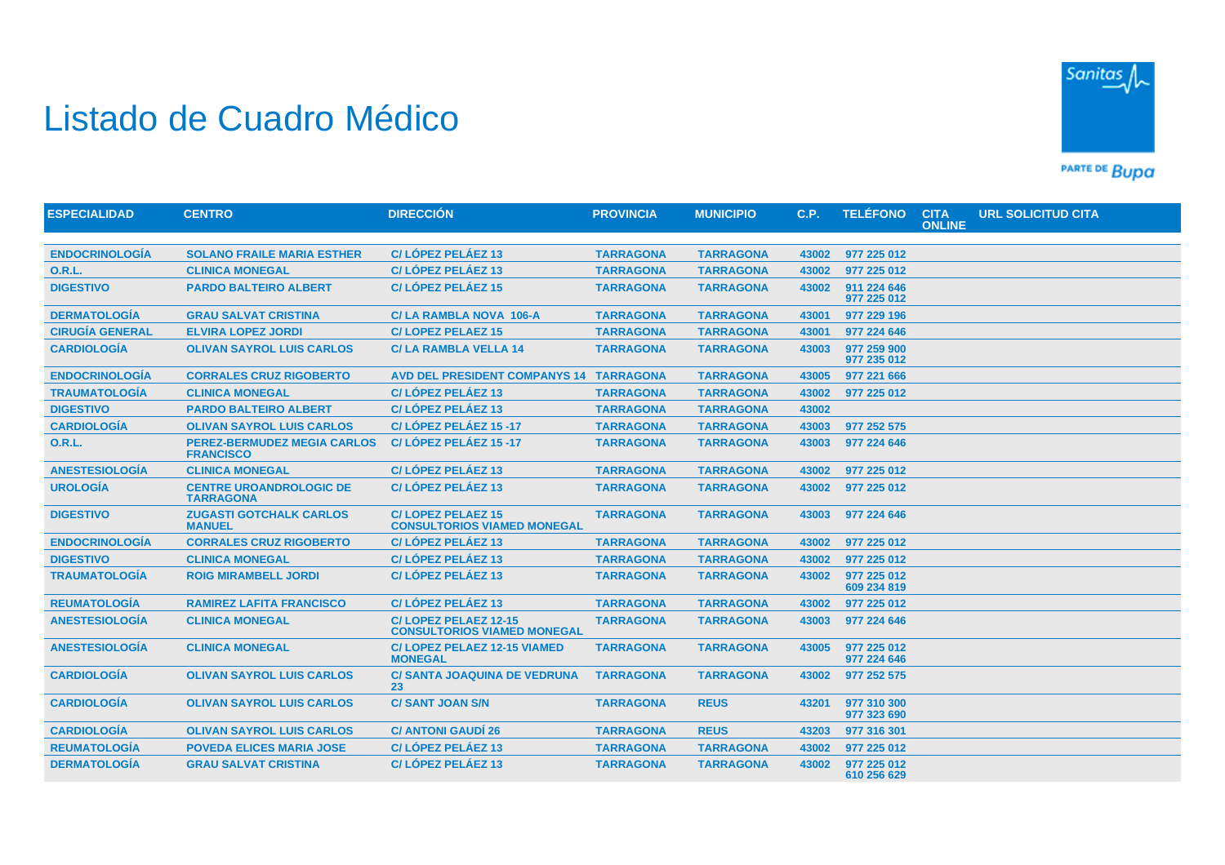## Listado de Cuadro Médico



PARTE DE BUDA

| <b>ESPECIALIDAD</b>    | <b>CENTRO</b>                                          | <b>DIRECCIÓN</b>                                               | <b>PROVINCIA</b> | <b>MUNICIPIO</b> | C.P.  | <b>TELÉFONO</b>            | <b>CITA</b><br><b>ONLINE</b> | <b>URL SOLICITUD CITA</b> |
|------------------------|--------------------------------------------------------|----------------------------------------------------------------|------------------|------------------|-------|----------------------------|------------------------------|---------------------------|
|                        |                                                        |                                                                |                  |                  |       |                            |                              |                           |
| <b>ENDOCRINOLOGÍA</b>  | <b>SOLANO FRAILE MARIA ESTHER</b>                      | C/LÓPEZ PELÁEZ 13                                              | <b>TARRAGONA</b> | <b>TARRAGONA</b> | 43002 | 977 225 012                |                              |                           |
| <b>O.R.L.</b>          | <b>CLINICA MONEGAL</b>                                 | C/LÓPEZ PELÁEZ 13                                              | <b>TARRAGONA</b> | <b>TARRAGONA</b> | 43002 | 977 225 012                |                              |                           |
| <b>DIGESTIVO</b>       | <b>PARDO BALTEIRO ALBERT</b>                           | C/LÓPEZ PELÁEZ 15                                              | <b>TARRAGONA</b> | <b>TARRAGONA</b> | 43002 | 911 224 646<br>977 225 012 |                              |                           |
| <b>DERMATOLOGÍA</b>    | <b>GRAU SALVAT CRISTINA</b>                            | C/LA RAMBLA NOVA 106-A                                         | <b>TARRAGONA</b> | <b>TARRAGONA</b> | 43001 | 977 229 196                |                              |                           |
| <b>CIRUGÍA GENERAL</b> | <b>ELVIRA LOPEZ JORDI</b>                              | <b>C/LOPEZ PELAEZ 15</b>                                       | <b>TARRAGONA</b> | <b>TARRAGONA</b> | 43001 | 977 224 646                |                              |                           |
| <b>CARDIOLOGÍA</b>     | <b>OLIVAN SAYROL LUIS CARLOS</b>                       | <b>C/LA RAMBLA VELLA 14</b>                                    | <b>TARRAGONA</b> | <b>TARRAGONA</b> | 43003 | 977 259 900<br>977 235 012 |                              |                           |
| <b>ENDOCRINOLOGÍA</b>  | <b>CORRALES CRUZ RIGOBERTO</b>                         | <b>AVD DEL PRESIDENT COMPANYS 14</b>                           | <b>TARRAGONA</b> | <b>TARRAGONA</b> | 43005 | 977 221 666                |                              |                           |
| <b>TRAUMATOLOGÍA</b>   | <b>CLINICA MONEGAL</b>                                 | C/LÓPEZ PELÁEZ 13                                              | <b>TARRAGONA</b> | <b>TARRAGONA</b> | 43002 | 977 225 012                |                              |                           |
| <b>DIGESTIVO</b>       | <b>PARDO BALTEIRO ALBERT</b>                           | C/LÓPEZ PELÁEZ 13                                              | <b>TARRAGONA</b> | <b>TARRAGONA</b> | 43002 |                            |                              |                           |
| <b>CARDIOLOGÍA</b>     | <b>OLIVAN SAYROL LUIS CARLOS</b>                       | C/LÓPEZ PELÁEZ 15 -17                                          | <b>TARRAGONA</b> | <b>TARRAGONA</b> | 43003 | 977 252 575                |                              |                           |
| <b>O.R.L.</b>          | <b>PEREZ-BERMUDEZ MEGIA CARLOS</b><br><b>FRANCISCO</b> | C/LÓPEZ PELÁEZ 15-17                                           | <b>TARRAGONA</b> | <b>TARRAGONA</b> | 43003 | 977 224 646                |                              |                           |
| <b>ANESTESIOLOGÍA</b>  | <b>CLINICA MONEGAL</b>                                 | C/LÓPEZ PELÁEZ 13                                              | <b>TARRAGONA</b> | <b>TARRAGONA</b> | 43002 | 977 225 012                |                              |                           |
| <b>UROLOGÍA</b>        | <b>CENTRE UROANDROLOGIC DE</b><br><b>TARRAGONA</b>     | C/LÓPEZ PELÁEZ 13                                              | <b>TARRAGONA</b> | <b>TARRAGONA</b> | 43002 | 977 225 012                |                              |                           |
| <b>DIGESTIVO</b>       | <b>ZUGASTI GOTCHALK CARLOS</b><br><b>MANUEL</b>        | <b>C/LOPEZ PELAEZ 15</b><br><b>CONSULTORIOS VIAMED MONEGAL</b> | <b>TARRAGONA</b> | <b>TARRAGONA</b> | 43003 | 977 224 646                |                              |                           |
| <b>ENDOCRINOLOGÍA</b>  | <b>CORRALES CRUZ RIGOBERTO</b>                         | C/LÓPEZ PELÁEZ 13                                              | <b>TARRAGONA</b> | <b>TARRAGONA</b> | 43002 | 977 225 012                |                              |                           |
| <b>DIGESTIVO</b>       | <b>CLINICA MONEGAL</b>                                 | C/LÓPEZ PELÁEZ 13                                              | <b>TARRAGONA</b> | <b>TARRAGONA</b> | 43002 | 977 225 012                |                              |                           |
| <b>TRAUMATOLOGÍA</b>   | <b>ROIG MIRAMBELL JORDI</b>                            | C/LÓPEZ PELÁEZ 13                                              | <b>TARRAGONA</b> | <b>TARRAGONA</b> | 43002 | 977 225 012<br>609 234 819 |                              |                           |
| <b>REUMATOLOGÍA</b>    | <b>RAMIREZ LAFITA FRANCISCO</b>                        | C/LÓPEZ PELÁEZ 13                                              | <b>TARRAGONA</b> | <b>TARRAGONA</b> | 43002 | 977 225 012                |                              |                           |
| <b>ANESTESIOLOGÍA</b>  | <b>CLINICA MONEGAL</b>                                 | C/LOPEZ PELAEZ 12-15<br><b>CONSULTORIOS VIAMED MONEGAL</b>     | <b>TARRAGONA</b> | <b>TARRAGONA</b> | 43003 | 977 224 646                |                              |                           |
| <b>ANESTESIOLOGÍA</b>  | <b>CLINICA MONEGAL</b>                                 | <b>C/LOPEZ PELAEZ 12-15 VIAMED</b><br><b>MONEGAL</b>           | <b>TARRAGONA</b> | <b>TARRAGONA</b> | 43005 | 977 225 012<br>977 224 646 |                              |                           |
| <b>CARDIOLOGÍA</b>     | <b>OLIVAN SAYROL LUIS CARLOS</b>                       | <b>C/ SANTA JOAQUINA DE VEDRUNA</b><br>23                      | <b>TARRAGONA</b> | <b>TARRAGONA</b> | 43002 | 977 252 575                |                              |                           |
| <b>CARDIOLOGIA</b>     | <b>OLIVAN SAYROL LUIS CARLOS</b>                       | <b>C/SANT JOAN S/N</b>                                         | <b>TARRAGONA</b> | <b>REUS</b>      | 43201 | 977 310 300<br>977 323 690 |                              |                           |
| <b>CARDIOLOGÍA</b>     | <b>OLIVAN SAYROL LUIS CARLOS</b>                       | <b>C/ ANTONI GAUDÍ 26</b>                                      | <b>TARRAGONA</b> | <b>REUS</b>      | 43203 | 977 316 301                |                              |                           |
| <b>REUMATOLOGÍA</b>    | <b>POVEDA ELICES MARIA JOSE</b>                        | C/LÓPEZ PELÁEZ 13                                              | <b>TARRAGONA</b> | <b>TARRAGONA</b> | 43002 | 977 225 012                |                              |                           |
| <b>DERMATOLOGÍA</b>    | <b>GRAU SALVAT CRISTINA</b>                            | C/LÓPEZ PELÁEZ 13                                              | <b>TARRAGONA</b> | <b>TARRAGONA</b> | 43002 | 977 225 012<br>610 256 629 |                              |                           |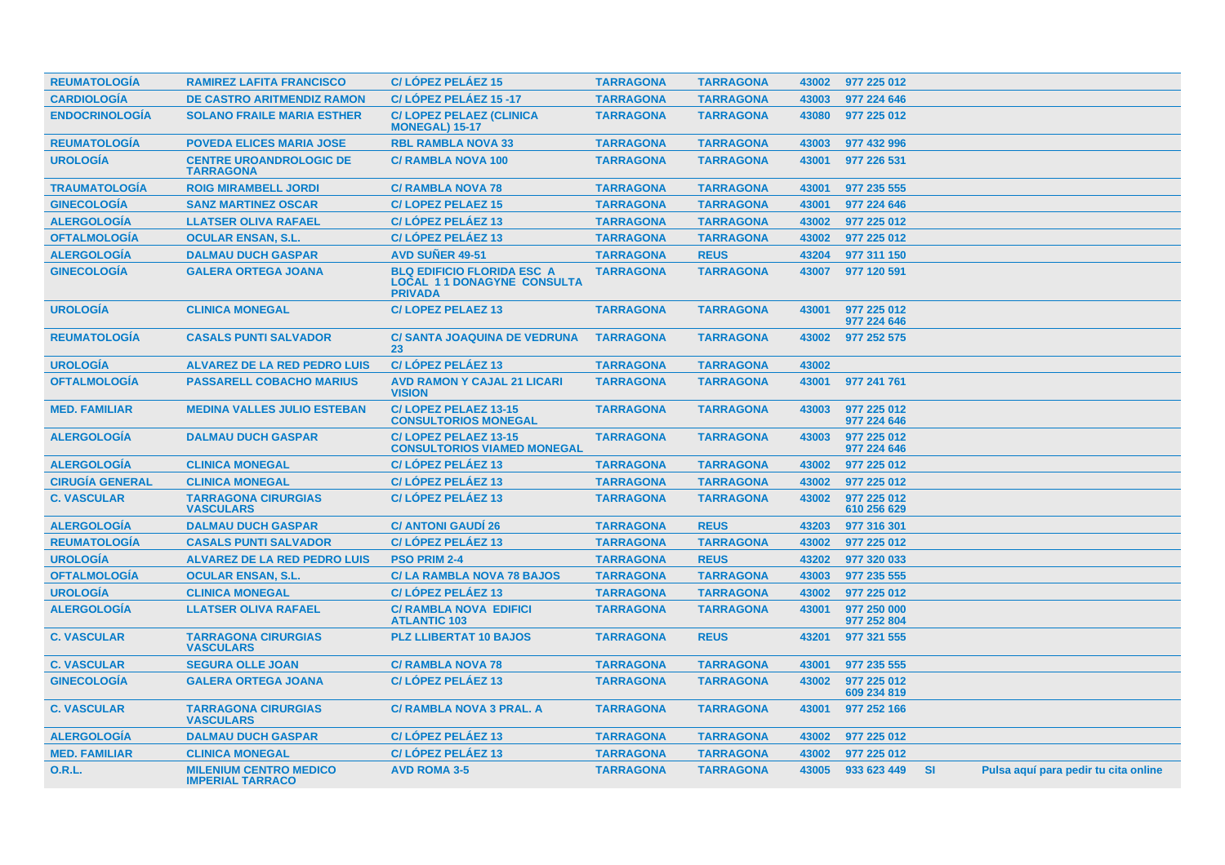| <b>REUMATOLOGÍA</b>    | <b>RAMIREZ LAFITA FRANCISCO</b>                          | C/LÓPEZ PELÁEZ 15                                                                        | <b>TARRAGONA</b> | <b>TARRAGONA</b> | 43002 | 977 225 012                |           |                                      |  |
|------------------------|----------------------------------------------------------|------------------------------------------------------------------------------------------|------------------|------------------|-------|----------------------------|-----------|--------------------------------------|--|
| <b>CARDIOLOGÍA</b>     | <b>DE CASTRO ARITMENDIZ RAMON</b>                        | C/LÓPEZ PELÁEZ 15-17                                                                     | <b>TARRAGONA</b> | <b>TARRAGONA</b> | 43003 | 977 224 646                |           |                                      |  |
| <b>ENDOCRINOLOGÍA</b>  | <b>SOLANO FRAILE MARIA ESTHER</b>                        | <b>C/LOPEZ PELAEZ (CLINICA</b><br><b>MONEGAL) 15-17</b>                                  | <b>TARRAGONA</b> | <b>TARRAGONA</b> | 43080 | 977 225 012                |           |                                      |  |
| <b>REUMATOLOGIA</b>    | <b>POVEDA ELICES MARIA JOSE</b>                          | <b>RBL RAMBLA NOVA 33</b>                                                                | <b>TARRAGONA</b> | <b>TARRAGONA</b> | 43003 | 977 432 996                |           |                                      |  |
| <b>UROLOGÍA</b>        | <b>CENTRE UROANDROLOGIC DE</b><br><b>TARRAGONA</b>       | <b>C/ RAMBLA NOVA 100</b>                                                                | <b>TARRAGONA</b> | <b>TARRAGONA</b> | 43001 | 977 226 531                |           |                                      |  |
| <b>TRAUMATOLOGÍA</b>   | <b>ROIG MIRAMBELL JORDI</b>                              | <b>C/ RAMBLA NOVA 78</b>                                                                 | <b>TARRAGONA</b> | <b>TARRAGONA</b> | 43001 | 977 235 555                |           |                                      |  |
| <b>GINECOLOGÍA</b>     | <b>SANZ MARTINEZ OSCAR</b>                               | <b>C/LOPEZ PELAEZ 15</b>                                                                 | <b>TARRAGONA</b> | <b>TARRAGONA</b> | 43001 | 977 224 646                |           |                                      |  |
| <b>ALERGOLOGÍA</b>     | <b>LLATSER OLIVA RAFAEL</b>                              | C/LÓPEZ PELÁEZ 13                                                                        | <b>TARRAGONA</b> | <b>TARRAGONA</b> | 43002 | 977 225 012                |           |                                      |  |
| <b>OFTALMOLOGÍA</b>    | <b>OCULAR ENSAN, S.L.</b>                                | C/LOPEZ PELAEZ 13                                                                        | <b>TARRAGONA</b> | <b>TARRAGONA</b> | 43002 | 977 225 012                |           |                                      |  |
| <b>ALERGOLOGÍA</b>     | <b>DALMAU DUCH GASPAR</b>                                | <b>AVD SUNER 49-51</b>                                                                   | <b>TARRAGONA</b> | <b>REUS</b>      | 43204 | 977 311 150                |           |                                      |  |
| <b>GINECOLOGÍA</b>     | <b>GALERA ORTEGA JOANA</b>                               | <b>BLQ EDIFICIO FLORIDA ESC A</b><br><b>LOCAL 11 DONAGYNE CONSULTA</b><br><b>PRIVADA</b> | <b>TARRAGONA</b> | <b>TARRAGONA</b> | 43007 | 977 120 591                |           |                                      |  |
| <b>UROLOGIA</b>        | <b>CLINICA MONEGAL</b>                                   | <b>C/LOPEZ PELAEZ 13</b>                                                                 | <b>TARRAGONA</b> | <b>TARRAGONA</b> | 43001 | 977 225 012<br>977 224 646 |           |                                      |  |
| <b>REUMATOLOGIA</b>    | <b>CASALS PUNTI SALVADOR</b>                             | C/ SANTA JOAQUINA DE VEDRUNA<br>23                                                       | <b>TARRAGONA</b> | <b>TARRAGONA</b> | 43002 | 977 252 575                |           |                                      |  |
| <b>UROLOGÍA</b>        | <b>ALVAREZ DE LA RED PEDRO LUIS</b>                      | C/LÓPEZ PELÁEZ 13                                                                        | <b>TARRAGONA</b> | <b>TARRAGONA</b> | 43002 |                            |           |                                      |  |
| <b>OFTALMOLOGÍA</b>    | <b>PASSARELL COBACHO MARIUS</b>                          | <b>AVD RAMON Y CAJAL 21 LICARI</b><br><b>VISION</b>                                      | <b>TARRAGONA</b> | <b>TARRAGONA</b> | 43001 | 977 241 761                |           |                                      |  |
| <b>MED. FAMILIAR</b>   | <b>MEDINA VALLES JULIO ESTEBAN</b>                       | C/LOPEZ PELAEZ 13-15<br><b>CONSULTORIOS MONEGAL</b>                                      | <b>TARRAGONA</b> | <b>TARRAGONA</b> | 43003 | 977 225 012<br>977 224 646 |           |                                      |  |
| <b>ALERGOLOGÍA</b>     | <b>DALMAU DUCH GASPAR</b>                                | C/LOPEZ PELAEZ 13-15<br><b>CONSULTORIOS VIAMED MONEGAL</b>                               | <b>TARRAGONA</b> | <b>TARRAGONA</b> | 43003 | 977 225 012<br>977 224 646 |           |                                      |  |
| <b>ALERGOLOGIA</b>     | <b>CLINICA MONEGAL</b>                                   | C/LÓPEZ PELÁEZ 13                                                                        | <b>TARRAGONA</b> | <b>TARRAGONA</b> | 43002 | 977 225 012                |           |                                      |  |
| <b>CIRUGÍA GENERAL</b> | <b>CLINICA MONEGAL</b>                                   | C/LOPEZ PELAEZ 13                                                                        | <b>TARRAGONA</b> | <b>TARRAGONA</b> | 43002 | 977 225 012                |           |                                      |  |
| <b>C. VASCULAR</b>     | <b>TARRAGONA CIRURGIAS</b><br><b>VASCULARS</b>           | C/LÓPEZ PELÁEZ 13                                                                        | <b>TARRAGONA</b> | <b>TARRAGONA</b> | 43002 | 977 225 012<br>610 256 629 |           |                                      |  |
| <b>ALERGOLOGÍA</b>     | <b>DALMAU DUCH GASPAR</b>                                | <b>C/ ANTONI GAUDI 26</b>                                                                | <b>TARRAGONA</b> | <b>REUS</b>      | 43203 | 977 316 301                |           |                                      |  |
| <b>REUMATOLOGÍA</b>    | <b>CASALS PUNTI SALVADOR</b>                             | C/LÓPEZ PELÁEZ 13                                                                        | <b>TARRAGONA</b> | <b>TARRAGONA</b> | 43002 | 977 225 012                |           |                                      |  |
| <b>UROLOGÍA</b>        | <b>ALVAREZ DE LA RED PEDRO LUIS</b>                      | <b>PSO PRIM 2-4</b>                                                                      | <b>TARRAGONA</b> | <b>REUS</b>      | 43202 | 977 320 033                |           |                                      |  |
| <b>OFTALMOLOGÍA</b>    | <b>OCULAR ENSAN, S.L.</b>                                | <b>C/LA RAMBLA NOVA 78 BAJOS</b>                                                         | <b>TARRAGONA</b> | <b>TARRAGONA</b> | 43003 | 977 235 555                |           |                                      |  |
| <b>UROLOGÍA</b>        | <b>CLINICA MONEGAL</b>                                   | C/LÓPEZ PELÁEZ 13                                                                        | <b>TARRAGONA</b> | <b>TARRAGONA</b> | 43002 | 977 225 012                |           |                                      |  |
| <b>ALERGOLOGÍA</b>     | <b>LLATSER OLIVA RAFAEL</b>                              | <b>C/ RAMBLA NOVA EDIFICI</b><br><b>ATLANTIC 103</b>                                     | <b>TARRAGONA</b> | <b>TARRAGONA</b> | 43001 | 977 250 000<br>977 252 804 |           |                                      |  |
| <b>C. VASCULAR</b>     | <b>TARRAGONA CIRURGIAS</b><br><b>VASCULARS</b>           | <b>PLZ LLIBERTAT 10 BAJOS</b>                                                            | <b>TARRAGONA</b> | <b>REUS</b>      | 43201 | 977 321 555                |           |                                      |  |
| <b>C. VASCULAR</b>     | <b>SEGURA OLLE JOAN</b>                                  | <b>C/ RAMBLA NOVA 78</b>                                                                 | <b>TARRAGONA</b> | <b>TARRAGONA</b> | 43001 | 977 235 555                |           |                                      |  |
| <b>GINECOLOGÍA</b>     | <b>GALERA ORTEGA JOANA</b>                               | C/LÓPEZ PELÁEZ 13                                                                        | <b>TARRAGONA</b> | <b>TARRAGONA</b> | 43002 | 977 225 012<br>609 234 819 |           |                                      |  |
| <b>C. VASCULAR</b>     | <b>TARRAGONA CIRURGIAS</b><br><b>VASCULARS</b>           | <b>C/ RAMBLA NOVA 3 PRAL. A</b>                                                          | <b>TARRAGONA</b> | <b>TARRAGONA</b> | 43001 | 977 252 166                |           |                                      |  |
| <b>ALERGOLOGÍA</b>     | <b>DALMAU DUCH GASPAR</b>                                | C/LÓPEZ PELÁEZ 13                                                                        | <b>TARRAGONA</b> | <b>TARRAGONA</b> | 43002 | 977 225 012                |           |                                      |  |
| <b>MED. FAMILIAR</b>   | <b>CLINICA MONEGAL</b>                                   | C/LOPEZ PELAEZ 13                                                                        | <b>TARRAGONA</b> | <b>TARRAGONA</b> | 43002 | 977 225 012                |           |                                      |  |
| <b>O.R.L.</b>          | <b>MILENIUM CENTRO MEDICO</b><br><b>IMPERIAL TARRACO</b> | <b>AVD ROMA 3-5</b>                                                                      | <b>TARRAGONA</b> | <b>TARRAGONA</b> | 43005 | 933 623 449                | <b>SI</b> | Pulsa aguí para pedir tu cita online |  |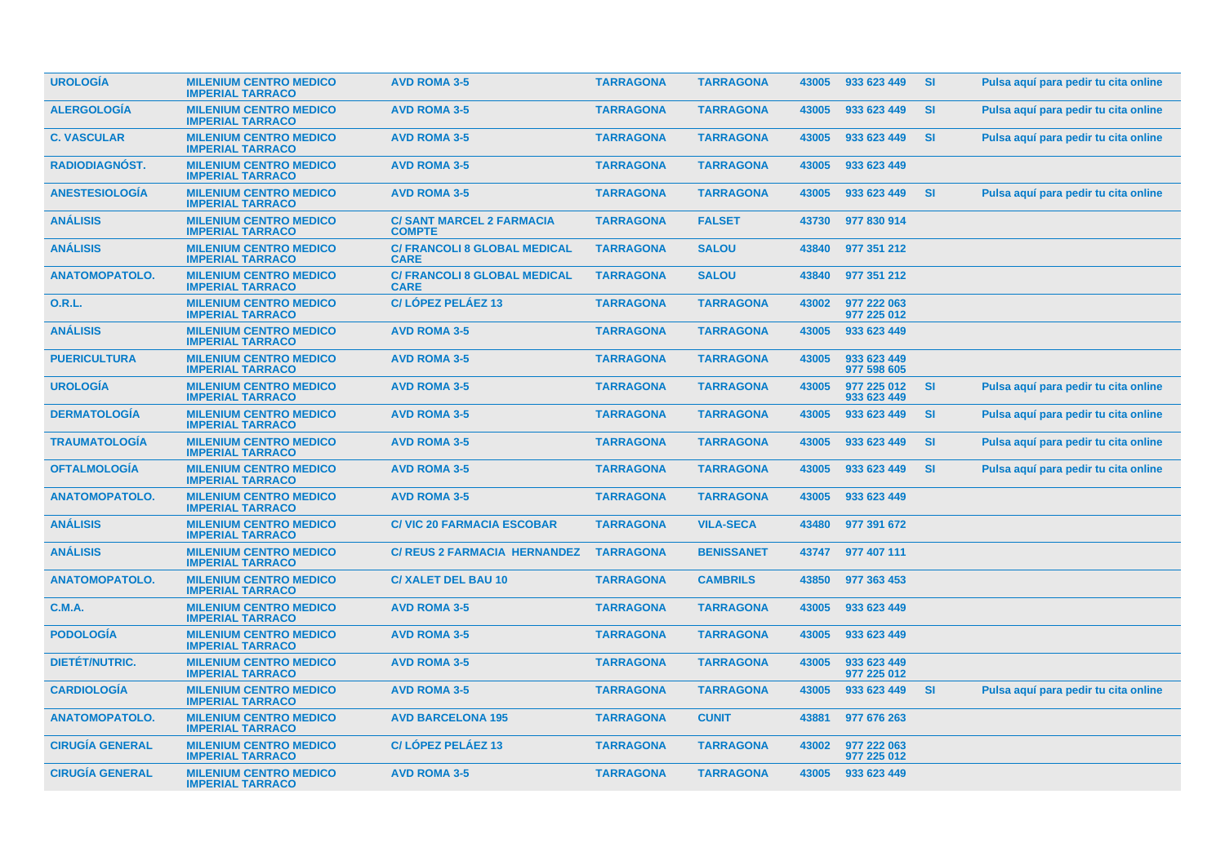| <b>UROLOGIA</b>        | <b>MILENIUM CENTRO MEDICO</b><br><b>IMPERIAL TARRACO</b> | <b>AVD ROMA 3-5</b>                                | <b>TARRAGONA</b> | <b>TARRAGONA</b>  | 43005 | 933 623 449                | <b>SI</b> | Pulsa aguí para pedir tu cita online |
|------------------------|----------------------------------------------------------|----------------------------------------------------|------------------|-------------------|-------|----------------------------|-----------|--------------------------------------|
| <b>ALERGOLOGÍA</b>     | <b>MILENIUM CENTRO MEDICO</b><br><b>IMPERIAL TARRACO</b> | <b>AVD ROMA 3-5</b>                                | <b>TARRAGONA</b> | <b>TARRAGONA</b>  | 43005 | 933 623 449                | <b>SI</b> | Pulsa aquí para pedir tu cita online |
| <b>C. VASCULAR</b>     | <b>MILENIUM CENTRO MEDICO</b><br><b>IMPERIAL TARRACO</b> | <b>AVD ROMA 3-5</b>                                | <b>TARRAGONA</b> | <b>TARRAGONA</b>  | 43005 | 933 623 449                | <b>SI</b> | Pulsa aquí para pedir tu cita online |
| RADIODIAGNÓST.         | <b>MILENIUM CENTRO MEDICO</b><br><b>IMPERIAL TARRACO</b> | <b>AVD ROMA 3-5</b>                                | <b>TARRAGONA</b> | <b>TARRAGONA</b>  | 43005 | 933 623 449                |           |                                      |
| <b>ANESTESIOLOGIA</b>  | <b>MILENIUM CENTRO MEDICO</b><br><b>IMPERIAL TARRACO</b> | <b>AVD ROMA 3-5</b>                                | <b>TARRAGONA</b> | <b>TARRAGONA</b>  | 43005 | 933 623 449                | <b>SI</b> | Pulsa aquí para pedir tu cita online |
| ANÁLISIS               | <b>MILENIUM CENTRO MEDICO</b><br><b>IMPERIAL TARRACO</b> | <b>C/SANT MARCEL 2 FARMACIA</b><br><b>COMPTE</b>   | <b>TARRAGONA</b> | <b>FALSET</b>     | 43730 | 977 830 914                |           |                                      |
| <b>ANÁLISIS</b>        | <b>MILENIUM CENTRO MEDICO</b><br><b>IMPERIAL TARRACO</b> | <b>C/ FRANCOLI 8 GLOBAL MEDICAL</b><br><b>CARE</b> | <b>TARRAGONA</b> | <b>SALOU</b>      | 43840 | 977 351 212                |           |                                      |
| <b>ANATOMOPATOLO.</b>  | <b>MILENIUM CENTRO MEDICO</b><br><b>IMPERIAL TARRACO</b> | <b>C/ FRANCOLI 8 GLOBAL MEDICAL</b><br><b>CARE</b> | <b>TARRAGONA</b> | <b>SALOU</b>      | 43840 | 977 351 212                |           |                                      |
| <b>O.R.L.</b>          | <b>MILENIUM CENTRO MEDICO</b><br><b>IMPERIAL TARRACO</b> | C/LÓPEZ PELÁEZ 13                                  | <b>TARRAGONA</b> | <b>TARRAGONA</b>  | 43002 | 977 222 063<br>977 225 012 |           |                                      |
| <b>ANALISIS</b>        | <b>MILENIUM CENTRO MEDICO</b><br><b>IMPERIAL TARRACO</b> | <b>AVD ROMA 3-5</b>                                | <b>TARRAGONA</b> | <b>TARRAGONA</b>  | 43005 | 933 623 449                |           |                                      |
| <b>PUERICULTURA</b>    | <b>MILENIUM CENTRO MEDICO</b><br><b>IMPERIAL TARRACO</b> | <b>AVD ROMA 3-5</b>                                | <b>TARRAGONA</b> | <b>TARRAGONA</b>  | 43005 | 933 623 449<br>977 598 605 |           |                                      |
| <b>UROLOGIA</b>        | <b>MILENIUM CENTRO MEDICO</b><br><b>IMPERIAL TARRACO</b> | <b>AVD ROMA 3-5</b>                                | <b>TARRAGONA</b> | <b>TARRAGONA</b>  | 43005 | 977 225 012<br>933 623 449 | <b>SI</b> | Pulsa aquí para pedir tu cita online |
| <b>DERMATOLOGÍA</b>    | <b>MILENIUM CENTRO MEDICO</b><br><b>IMPERIAL TARRACO</b> | <b>AVD ROMA 3-5</b>                                | <b>TARRAGONA</b> | <b>TARRAGONA</b>  | 43005 | 933 623 449                | <b>SI</b> | Pulsa aquí para pedir tu cita online |
| <b>TRAUMATOLOGIA</b>   | <b>MILENIUM CENTRO MEDICO</b><br><b>IMPERIAL TARRACO</b> | <b>AVD ROMA 3-5</b>                                | <b>TARRAGONA</b> | <b>TARRAGONA</b>  | 43005 | 933 623 449                | <b>SI</b> | Pulsa aquí para pedir tu cita online |
| <b>OFTALMOLOGÍA</b>    | <b>MILENIUM CENTRO MEDICO</b><br><b>IMPERIAL TARRACO</b> | <b>AVD ROMA 3-5</b>                                | <b>TARRAGONA</b> | <b>TARRAGONA</b>  | 43005 | 933 623 449                | <b>SI</b> | Pulsa aquí para pedir tu cita online |
| <b>ANATOMOPATOLO.</b>  | <b>MILENIUM CENTRO MEDICO</b><br><b>IMPERIAL TARRACO</b> | <b>AVD ROMA 3-5</b>                                | <b>TARRAGONA</b> | <b>TARRAGONA</b>  | 43005 | 933 623 449                |           |                                      |
| ANÁLISIS               | <b>MILENIUM CENTRO MEDICO</b><br><b>IMPERIAL TARRACO</b> | <b>C/VIC 20 FARMACIA ESCOBAR</b>                   | <b>TARRAGONA</b> | <b>VILA-SECA</b>  | 43480 | 977 391 672                |           |                                      |
| <b>ANÁLISIS</b>        | <b>MILENIUM CENTRO MEDICO</b><br><b>IMPERIAL TARRACO</b> | <b>C/ REUS 2 FARMACIA HERNANDEZ</b>                | <b>TARRAGONA</b> | <b>BENISSANET</b> | 43747 | 977 407 111                |           |                                      |
| <b>ANATOMOPATOLO.</b>  | <b>MILENIUM CENTRO MEDICO</b><br><b>IMPERIAL TARRACO</b> | <b>C/ XALET DEL BAU 10</b>                         | <b>TARRAGONA</b> | <b>CAMBRILS</b>   | 43850 | 977 363 453                |           |                                      |
| <b>C.M.A.</b>          | <b>MILENIUM CENTRO MEDICO</b><br><b>IMPERIAL TARRACO</b> | <b>AVD ROMA 3-5</b>                                | <b>TARRAGONA</b> | <b>TARRAGONA</b>  | 43005 | 933 623 449                |           |                                      |
| <b>PODOLOGIA</b>       | <b>MILENIUM CENTRO MEDICO</b><br><b>IMPERIAL TARRACO</b> | <b>AVD ROMA 3-5</b>                                | <b>TARRAGONA</b> | <b>TARRAGONA</b>  | 43005 | 933 623 449                |           |                                      |
| <b>DIETÉT/NUTRIC.</b>  | <b>MILENIUM CENTRO MEDICO</b><br><b>IMPERIAL TARRACO</b> | <b>AVD ROMA 3-5</b>                                | <b>TARRAGONA</b> | <b>TARRAGONA</b>  | 43005 | 933 623 449<br>977 225 012 |           |                                      |
| <b>CARDIOLOGIA</b>     | <b>MILENIUM CENTRO MEDICO</b><br><b>IMPERIAL TARRACO</b> | <b>AVD ROMA 3-5</b>                                | <b>TARRAGONA</b> | <b>TARRAGONA</b>  | 43005 | 933 623 449                | <b>SI</b> | Pulsa aquí para pedir tu cita online |
| <b>ANATOMOPATOLO.</b>  | <b>MILENIUM CENTRO MEDICO</b><br><b>IMPERIAL TARRACO</b> | <b>AVD BARCELONA 195</b>                           | <b>TARRAGONA</b> | <b>CUNIT</b>      | 43881 | 977 676 263                |           |                                      |
| <b>CIRUGÍA GENERAL</b> | <b>MILENIUM CENTRO MEDICO</b><br><b>IMPERIAL TARRACO</b> | C/LOPEZ PELAEZ 13                                  | <b>TARRAGONA</b> | <b>TARRAGONA</b>  | 43002 | 977 222 063<br>977 225 012 |           |                                      |
| <b>CIRUGÍA GENERAL</b> | <b>MILENIUM CENTRO MEDICO</b><br><b>IMPERIAL TARRACO</b> | <b>AVD ROMA 3-5</b>                                | <b>TARRAGONA</b> | <b>TARRAGONA</b>  | 43005 | 933 623 449                |           |                                      |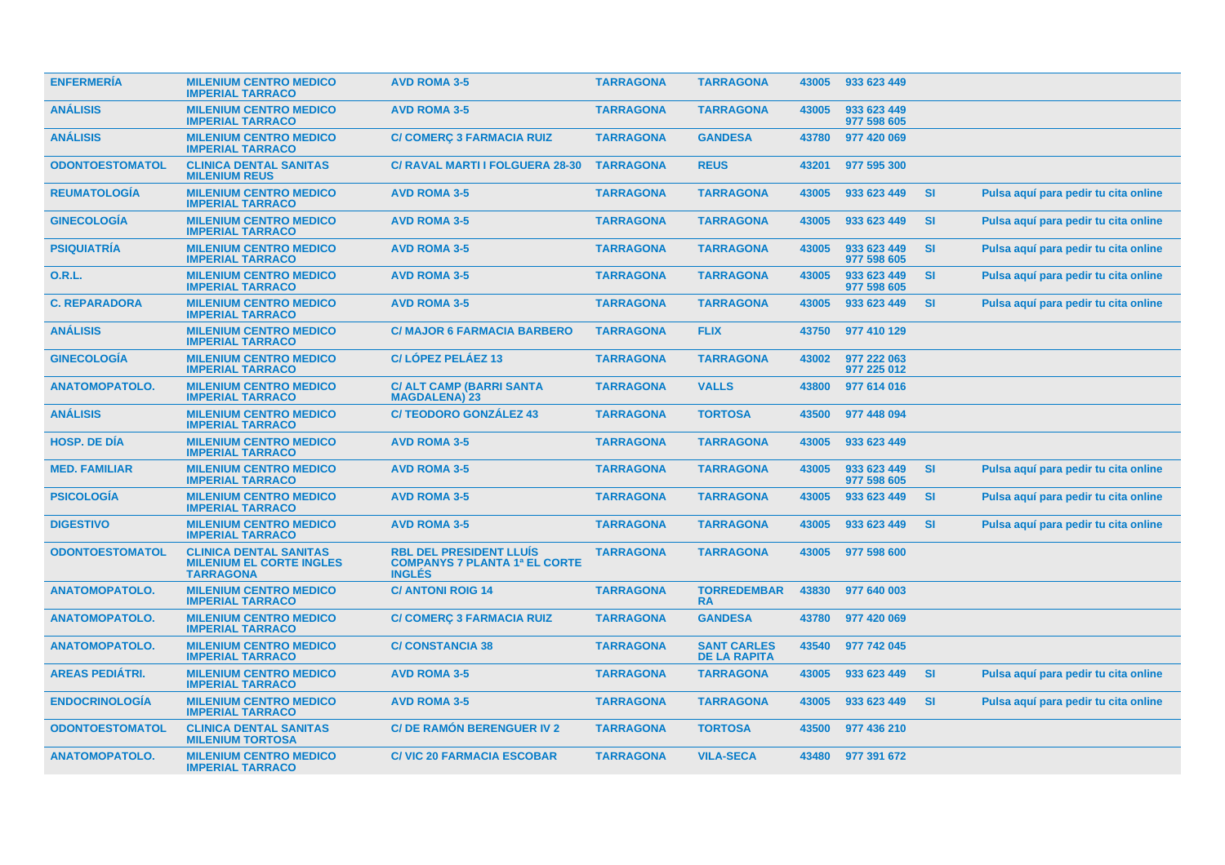| <b>ENFERMERIA</b>      | <b>MILENIUM CENTRO MEDICO</b><br><b>IMPERIAL TARRACO</b>                             | <b>AVD ROMA 3-5</b>                                                                     | <b>TARRAGONA</b> | <b>TARRAGONA</b>                          | 43005 | 933 623 449                |           |                                      |
|------------------------|--------------------------------------------------------------------------------------|-----------------------------------------------------------------------------------------|------------------|-------------------------------------------|-------|----------------------------|-----------|--------------------------------------|
| <b>ANÁLISIS</b>        | <b>MILENIUM CENTRO MEDICO</b><br><b>IMPERIAL TARRACO</b>                             | <b>AVD ROMA 3-5</b>                                                                     | <b>TARRAGONA</b> | <b>TARRAGONA</b>                          | 43005 | 933 623 449<br>977 598 605 |           |                                      |
| <b>ANÁLISIS</b>        | <b>MILENIUM CENTRO MEDICO</b><br><b>IMPERIAL TARRACO</b>                             | <b>C/ COMERÇ 3 FARMACIA RUIZ</b>                                                        | <b>TARRAGONA</b> | <b>GANDESA</b>                            | 43780 | 977 420 069                |           |                                      |
| <b>ODONTOESTOMATOL</b> | <b>CLINICA DENTAL SANITAS</b><br><b>MILENIUM REUS</b>                                | <b>C/ RAVAL MARTI I FOLGUERA 28-30</b>                                                  | <b>TARRAGONA</b> | <b>REUS</b>                               | 43201 | 977 595 300                |           |                                      |
| <b>REUMATOLOGÍA</b>    | <b>MILENIUM CENTRO MEDICO</b><br><b>IMPERIAL TARRACO</b>                             | <b>AVD ROMA 3-5</b>                                                                     | <b>TARRAGONA</b> | <b>TARRAGONA</b>                          | 43005 | 933 623 449                | SI        | Pulsa aguí para pedir tu cita online |
| <b>GINECOLOGÍA</b>     | <b>MILENIUM CENTRO MEDICO</b><br><b>IMPERIAL TARRACO</b>                             | <b>AVD ROMA 3-5</b>                                                                     | <b>TARRAGONA</b> | <b>TARRAGONA</b>                          | 43005 | 933 623 449                | <b>SI</b> | Pulsa aquí para pedir tu cita online |
| <b>PSIQUIATRIA</b>     | <b>MILENIUM CENTRO MEDICO</b><br><b>IMPERIAL TARRACO</b>                             | <b>AVD ROMA 3-5</b>                                                                     | <b>TARRAGONA</b> | <b>TARRAGONA</b>                          | 43005 | 933 623 449<br>977 598 605 | <b>SI</b> | Pulsa aquí para pedir tu cita online |
| O.R.L.                 | <b>MILENIUM CENTRO MEDICO</b><br><b>IMPERIAL TARRACO</b>                             | <b>AVD ROMA 3-5</b>                                                                     | <b>TARRAGONA</b> | <b>TARRAGONA</b>                          | 43005 | 933 623 449<br>977 598 605 | <b>SI</b> | Pulsa aquí para pedir tu cita online |
| <b>C. REPARADORA</b>   | <b>MILENIUM CENTRO MEDICO</b><br><b>IMPERIAL TARRACO</b>                             | <b>AVD ROMA 3-5</b>                                                                     | <b>TARRAGONA</b> | <b>TARRAGONA</b>                          | 43005 | 933 623 449                | <b>SI</b> | Pulsa aquí para pedir tu cita online |
| <b>ANALISIS</b>        | <b>MILENIUM CENTRO MEDICO</b><br><b>IMPERIAL TARRACO</b>                             | <b>C/ MAJOR 6 FARMACIA BARBERO</b>                                                      | <b>TARRAGONA</b> | <b>FLIX</b>                               | 43750 | 977 410 129                |           |                                      |
| <b>GINECOLOGIA</b>     | <b>MILENIUM CENTRO MEDICO</b><br><b>IMPERIAL TARRACO</b>                             | C/LÓPEZ PELÁEZ 13                                                                       | <b>TARRAGONA</b> | <b>TARRAGONA</b>                          | 43002 | 977 222 063<br>977 225 012 |           |                                      |
| <b>ANATOMOPATOLO.</b>  | <b>MILENIUM CENTRO MEDICO</b><br><b>IMPERIAL TARRACO</b>                             | <b>C/ ALT CAMP (BARRI SANTA</b><br><b>MAGDALENA) 23</b>                                 | <b>TARRAGONA</b> | <b>VALLS</b>                              | 43800 | 977 614 016                |           |                                      |
| <b>ANÁLISIS</b>        | <b>MILENIUM CENTRO MEDICO</b><br><b>IMPERIAL TARRACO</b>                             | <b>C/TEODORO GONZÁLEZ 43</b>                                                            | <b>TARRAGONA</b> | <b>TORTOSA</b>                            | 43500 | 977 448 094                |           |                                      |
| <b>HOSP, DE DÍA</b>    | <b>MILENIUM CENTRO MEDICO</b><br><b>IMPERIAL TARRACO</b>                             | <b>AVD ROMA 3-5</b>                                                                     | <b>TARRAGONA</b> | <b>TARRAGONA</b>                          | 43005 | 933 623 449                |           |                                      |
| <b>MED. FAMILIAR</b>   | <b>MILENIUM CENTRO MEDICO</b><br><b>IMPERIAL TARRACO</b>                             | <b>AVD ROMA 3-5</b>                                                                     | <b>TARRAGONA</b> | <b>TARRAGONA</b>                          | 43005 | 933 623 449<br>977 598 605 | <b>SI</b> | Pulsa aquí para pedir tu cita online |
| <b>PSICOLOGÍA</b>      | <b>MILENIUM CENTRO MEDICO</b><br><b>IMPERIAL TARRACO</b>                             | <b>AVD ROMA 3-5</b>                                                                     | <b>TARRAGONA</b> | <b>TARRAGONA</b>                          | 43005 | 933 623 449                | <b>SI</b> | Pulsa aquí para pedir tu cita online |
| <b>DIGESTIVO</b>       | <b>MILENIUM CENTRO MEDICO</b><br><b>IMPERIAL TARRACO</b>                             | <b>AVD ROMA 3-5</b>                                                                     | <b>TARRAGONA</b> | <b>TARRAGONA</b>                          | 43005 | 933 623 449                | SI        | Pulsa aquí para pedir tu cita online |
| <b>ODONTOESTOMATOL</b> | <b>CLINICA DENTAL SANITAS</b><br><b>MILENIUM EL CORTE INGLES</b><br><b>TARRAGONA</b> | <b>RBL DEL PRESIDENT LLUIS</b><br><b>COMPANYS 7 PLANTA 1ª EL CORTE</b><br><b>INGLES</b> | <b>TARRAGONA</b> | <b>TARRAGONA</b>                          | 43005 | 977 598 600                |           |                                      |
| <b>ANATOMOPATOLO.</b>  | <b>MILENIUM CENTRO MEDICO</b><br><b>IMPERIAL TARRACO</b>                             | <b>C/ ANTONI ROIG 14</b>                                                                | <b>TARRAGONA</b> | <b>TORREDEMBAR</b><br><b>RA</b>           | 43830 | 977 640 003                |           |                                      |
| <b>ANATOMOPATOLO.</b>  | <b>MILENIUM CENTRO MEDICO</b><br><b>IMPERIAL TARRACO</b>                             | <b>C/ COMERÇ 3 FARMACIA RUIZ</b>                                                        | <b>TARRAGONA</b> | <b>GANDESA</b>                            | 43780 | 977 420 069                |           |                                      |
| <b>ANATOMOPATOLO.</b>  | <b>MILENIUM CENTRO MEDICO</b><br><b>IMPERIAL TARRACO</b>                             | <b>C/CONSTANCIA 38</b>                                                                  | <b>TARRAGONA</b> | <b>SANT CARLES</b><br><b>DE LA RAPITA</b> | 43540 | 977 742 045                |           |                                      |
| <b>AREAS PEDIÁTRI.</b> | <b>MILENIUM CENTRO MEDICO</b><br><b>IMPERIAL TARRACO</b>                             | <b>AVD ROMA 3-5</b>                                                                     | <b>TARRAGONA</b> | <b>TARRAGONA</b>                          | 43005 | 933 623 449                | <b>SI</b> | Pulsa aquí para pedir tu cita online |
| <b>ENDOCRINOLOGIA</b>  | <b>MILENIUM CENTRO MEDICO</b><br><b>IMPERIAL TARRACO</b>                             | <b>AVD ROMA 3-5</b>                                                                     | <b>TARRAGONA</b> | <b>TARRAGONA</b>                          | 43005 | 933 623 449                | <b>SI</b> | Pulsa aquí para pedir tu cita online |
| <b>ODONTOESTOMATOL</b> | <b>CLINICA DENTAL SANITAS</b><br><b>MILENIUM TORTOSA</b>                             | <b>C/DE RAMON BERENGUER IV 2</b>                                                        | <b>TARRAGONA</b> | <b>TORTOSA</b>                            | 43500 | 977 436 210                |           |                                      |
| <b>ANATOMOPATOLO.</b>  | <b>MILENIUM CENTRO MEDICO</b><br><b>IMPERIAL TARRACO</b>                             | <b>C/VIC 20 FARMACIA ESCOBAR</b>                                                        | <b>TARRAGONA</b> | <b>VILA-SECA</b>                          | 43480 | 977 391 672                |           |                                      |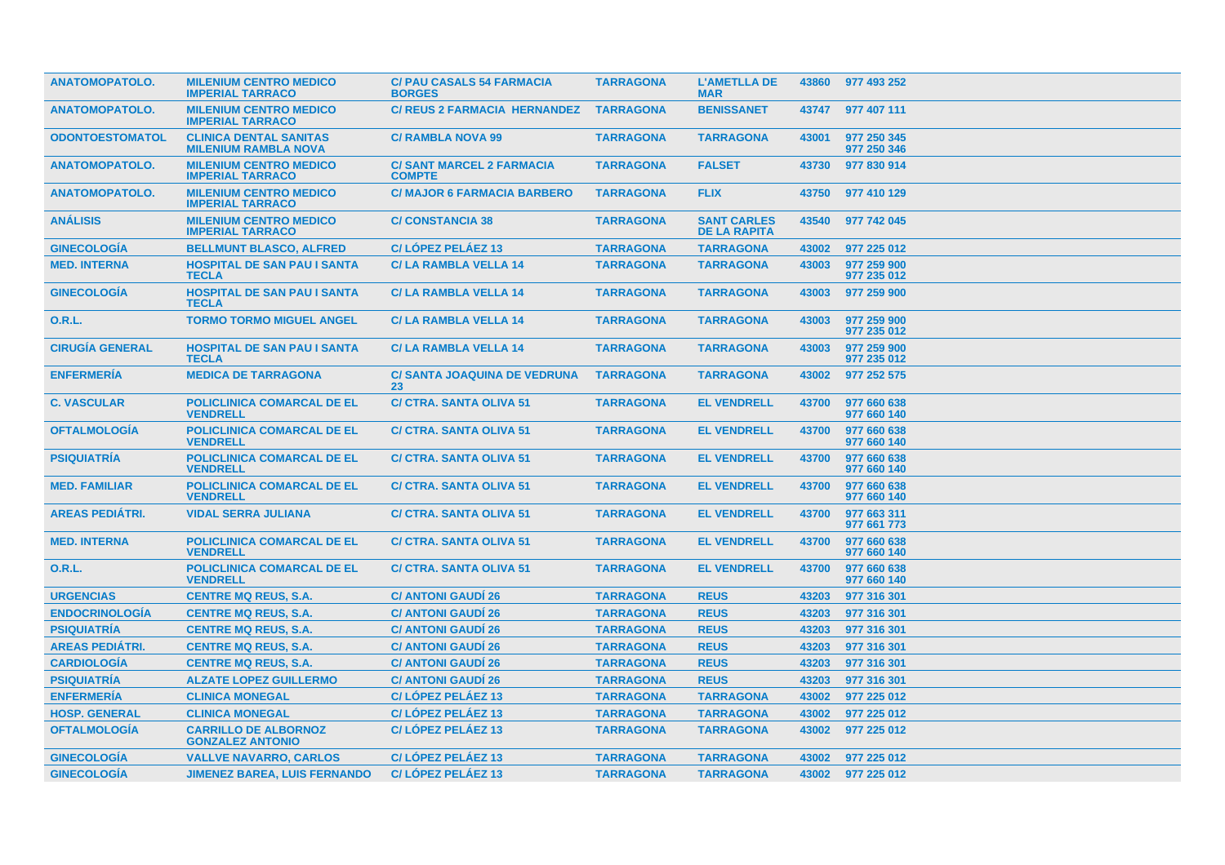| <b>ANATOMOPATOLO.</b>  | <b>MILENIUM CENTRO MEDICO</b><br><b>IMPERIAL TARRACO</b>     | <b>C/ PAU CASALS 54 FARMACIA</b><br><b>BORGES</b> | <b>TARRAGONA</b> | <b>L'AMETLLA DE</b><br><b>MAR</b>         |       | 43860 977 493 252          |
|------------------------|--------------------------------------------------------------|---------------------------------------------------|------------------|-------------------------------------------|-------|----------------------------|
| <b>ANATOMOPATOLO.</b>  | <b>MILENIUM CENTRO MEDICO</b><br><b>IMPERIAL TARRACO</b>     | <b>C/ REUS 2 FARMACIA HERNANDEZ</b>               | <b>TARRAGONA</b> | <b>BENISSANET</b>                         | 43747 | 977 407 111                |
| <b>ODONTOESTOMATOL</b> | <b>CLINICA DENTAL SANITAS</b><br><b>MILENIUM RAMBLA NOVA</b> | <b>C/ RAMBLA NOVA 99</b>                          | <b>TARRAGONA</b> | <b>TARRAGONA</b>                          | 43001 | 977 250 345<br>977 250 346 |
| <b>ANATOMOPATOLO.</b>  | <b>MILENIUM CENTRO MEDICO</b><br><b>IMPERIAL TARRACO</b>     | <b>C/SANT MARCEL 2 FARMACIA</b><br><b>COMPTE</b>  | <b>TARRAGONA</b> | <b>FALSET</b>                             | 43730 | 977 830 914                |
| <b>ANATOMOPATOLO.</b>  | <b>MILENIUM CENTRO MEDICO</b><br><b>IMPERIAL TARRACO</b>     | <b>C/MAJOR 6 FARMACIA BARBERO</b>                 | <b>TARRAGONA</b> | <b>FLIX</b>                               | 43750 | 977 410 129                |
| <b>ANÁLISIS</b>        | <b>MILENIUM CENTRO MEDICO</b><br><b>IMPERIAL TARRACO</b>     | <b>C/CONSTANCIA 38</b>                            | <b>TARRAGONA</b> | <b>SANT CARLES</b><br><b>DE LA RAPITA</b> | 43540 | 977 742 045                |
| <b>GINECOLOGÍA</b>     | <b>BELLMUNT BLASCO, ALFRED</b>                               | C/LÓPEZ PELÁEZ 13                                 | <b>TARRAGONA</b> | <b>TARRAGONA</b>                          | 43002 | 977 225 012                |
| <b>MED. INTERNA</b>    | <b>HOSPITAL DE SAN PAU I SANTA</b><br><b>TECLA</b>           | <b>C/LA RAMBLA VELLA 14</b>                       | <b>TARRAGONA</b> | <b>TARRAGONA</b>                          | 43003 | 977 259 900<br>977 235 012 |
| <b>GINECOLOGIA</b>     | <b>HOSPITAL DE SAN PAU I SANTA</b><br><b>TECLA</b>           | <b>C/LA RAMBLA VELLA 14</b>                       | <b>TARRAGONA</b> | <b>TARRAGONA</b>                          | 43003 | 977 259 900                |
| 0.R.L.                 | <b>TORMO TORMO MIGUEL ANGEL</b>                              | <b>C/LA RAMBLA VELLA 14</b>                       | <b>TARRAGONA</b> | <b>TARRAGONA</b>                          | 43003 | 977 259 900<br>977 235 012 |
| <b>CIRUGÍA GENERAL</b> | <b>HOSPITAL DE SAN PAU I SANTA</b><br><b>TECLA</b>           | <b>C/LA RAMBLA VELLA 14</b>                       | <b>TARRAGONA</b> | <b>TARRAGONA</b>                          | 43003 | 977 259 900<br>977 235 012 |
| <b>ENFERMERÍA</b>      | <b>MEDICA DE TARRAGONA</b>                                   | <b>C/ SANTA JOAQUINA DE VEDRUNA</b><br>23         | <b>TARRAGONA</b> | <b>TARRAGONA</b>                          | 43002 | 977 252 575                |
| <b>C. VASCULAR</b>     | <b>POLICLINICA COMARCAL DE EL</b><br><b>VENDRELL</b>         | <b>C/ CTRA. SANTA OLIVA 51</b>                    | <b>TARRAGONA</b> | <b>EL VENDRELL</b>                        | 43700 | 977 660 638<br>977 660 140 |
| <b>OFTALMOLOGIA</b>    | <b>POLICLINICA COMARCAL DE EL</b><br><b>VENDRELL</b>         | <b>C/ CTRA. SANTA OLIVA 51</b>                    | <b>TARRAGONA</b> | <b>EL VENDRELL</b>                        | 43700 | 977 660 638<br>977 660 140 |
| <b>PSIQUIATRIA</b>     | <b>POLICLINICA COMARCAL DE EL</b><br><b>VENDRELL</b>         | <b>C/ CTRA. SANTA OLIVA 51</b>                    | <b>TARRAGONA</b> | <b>EL VENDRELL</b>                        | 43700 | 977 660 638<br>977 660 140 |
| <b>MED. FAMILIAR</b>   | POLICLINICA COMARCAL DE EL<br><b>VENDRELL</b>                | <b>C/ CTRA. SANTA OLIVA 51</b>                    | <b>TARRAGONA</b> | <b>EL VENDRELL</b>                        | 43700 | 977 660 638<br>977 660 140 |
| <b>AREAS PEDIÁTRI.</b> | <b>VIDAL SERRA JULIANA</b>                                   | <b>C/ CTRA, SANTA OLIVA 51</b>                    | <b>TARRAGONA</b> | <b>EL VENDRELL</b>                        | 43700 | 977 663 311<br>977 661 773 |
| <b>MED. INTERNA</b>    | <b>POLICLINICA COMARCAL DE EL</b><br><b>VENDRELL</b>         | <b>C/ CTRA. SANTA OLIVA 51</b>                    | <b>TARRAGONA</b> | <b>EL VENDRELL</b>                        | 43700 | 977 660 638<br>977 660 140 |
| <b>O.R.L.</b>          | <b>POLICLINICA COMARCAL DE EL</b><br><b>VENDRELL</b>         | <b>C/ CTRA, SANTA OLIVA 51</b>                    | <b>TARRAGONA</b> | <b>EL VENDRELL</b>                        | 43700 | 977 660 638<br>977 660 140 |
| <b>URGENCIAS</b>       | <b>CENTRE MQ REUS, S.A.</b>                                  | <b>C/ ANTONI GAUDI 26</b>                         | <b>TARRAGONA</b> | <b>REUS</b>                               | 43203 | 977 316 301                |
| <b>ENDOCRINOLOGIA</b>  | <b>CENTRE MQ REUS, S.A.</b>                                  | <b>C/ ANTONI GAUDI 26</b>                         | <b>TARRAGONA</b> | <b>REUS</b>                               | 43203 | 977 316 301                |
| <b>PSIQUIATRÍA</b>     | <b>CENTRE MQ REUS, S.A.</b>                                  | <b>C/ ANTONI GAUDI 26</b>                         | <b>TARRAGONA</b> | <b>REUS</b>                               | 43203 | 977 316 301                |
| <b>AREAS PEDIÁTRI.</b> | <b>CENTRE MQ REUS, S.A.</b>                                  | <b>C/ ANTONI GAUDI 26</b>                         | <b>TARRAGONA</b> | <b>REUS</b>                               | 43203 | 977 316 301                |
| <b>CARDIOLOGÍA</b>     | <b>CENTRE MQ REUS, S.A.</b>                                  | <b>C/ ANTONI GAUDI 26</b>                         | <b>TARRAGONA</b> | <b>REUS</b>                               | 43203 | 977 316 301                |
| <b>PSIQUIATRIA</b>     | <b>ALZATE LOPEZ GUILLERMO</b>                                | <b>C/ ANTONI GAUDI 26</b>                         | <b>TARRAGONA</b> | <b>REUS</b>                               | 43203 | 977 316 301                |
| <b>ENFERMERÍA</b>      | <b>CLINICA MONEGAL</b>                                       | C/LÓPEZ PELÁEZ 13                                 | <b>TARRAGONA</b> | <b>TARRAGONA</b>                          | 43002 | 977 225 012                |
| <b>HOSP. GENERAL</b>   | <b>CLINICA MONEGAL</b>                                       | C/LOPEZ PELAEZ 13                                 | <b>TARRAGONA</b> | <b>TARRAGONA</b>                          | 43002 | 977 225 012                |
| <b>OFTALMOLOGÍA</b>    | <b>CARRILLO DE ALBORNOZ</b><br><b>GONZALEZ ANTONIO</b>       | C/LOPEZ PELAEZ 13                                 | <b>TARRAGONA</b> | <b>TARRAGONA</b>                          | 43002 | 977 225 012                |
| <b>GINECOLOGÍA</b>     | <b>VALLVE NAVARRO, CARLOS</b>                                | C/LÓPEZ PELÁEZ 13                                 | <b>TARRAGONA</b> | <b>TARRAGONA</b>                          | 43002 | 977 225 012                |
| <b>GINECOLOGÍA</b>     | <b>JIMENEZ BAREA, LUIS FERNANDO</b>                          | C/LOPEZ PELAEZ 13                                 | <b>TARRAGONA</b> | <b>TARRAGONA</b>                          |       | 43002 977 225 012          |
|                        |                                                              |                                                   |                  |                                           |       |                            |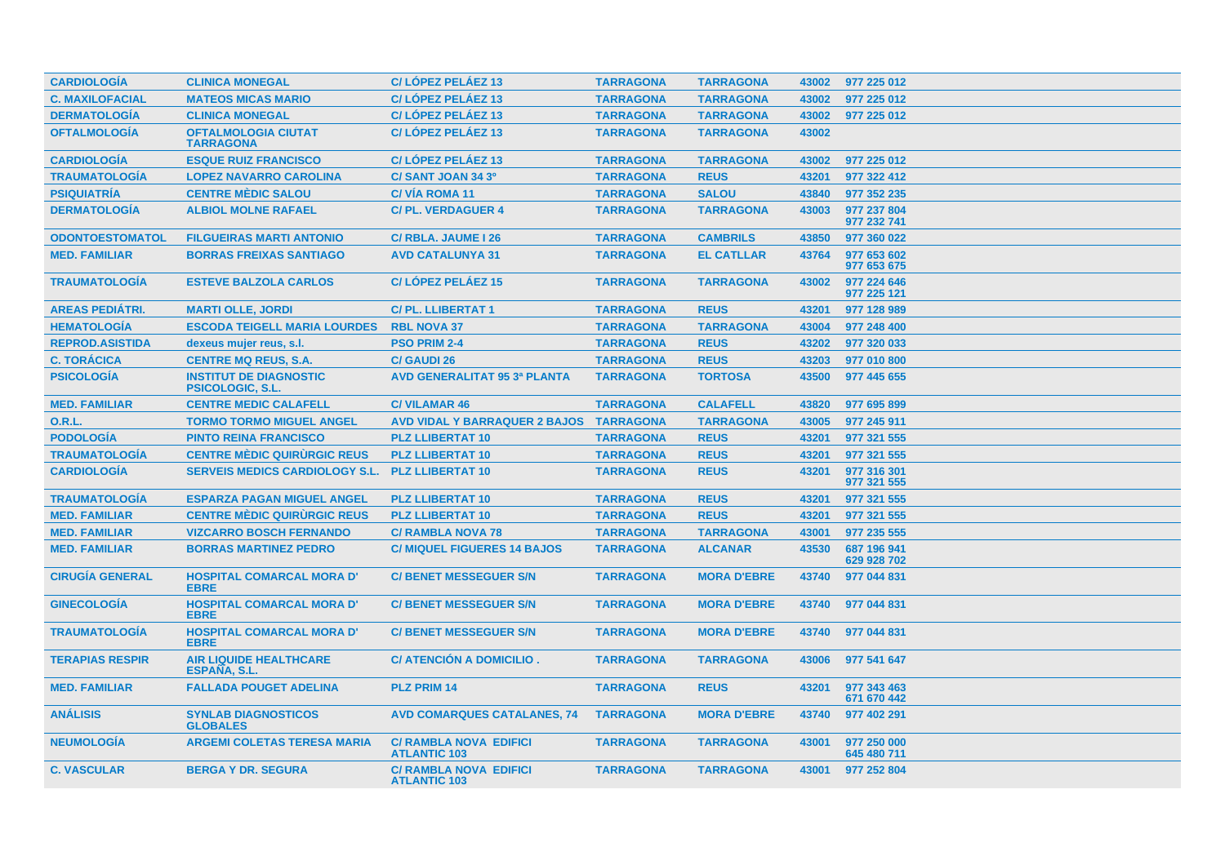| <b>CARDIOLOGIA</b>     | <b>CLINICA MONEGAL</b>                                   | C/LÓPEZ PELÁEZ 13                                    | <b>TARRAGONA</b> | <b>TARRAGONA</b>   | 43002 | 977 225 012                |
|------------------------|----------------------------------------------------------|------------------------------------------------------|------------------|--------------------|-------|----------------------------|
| <b>C. MAXILOFACIAL</b> | <b>MATEOS MICAS MARIO</b>                                | C/LÓPEZ PELÁEZ 13                                    | <b>TARRAGONA</b> | <b>TARRAGONA</b>   | 43002 | 977 225 012                |
| <b>DERMATOLOGÍA</b>    | <b>CLINICA MONEGAL</b>                                   | C/LÓPEZ PELÁEZ 13                                    | <b>TARRAGONA</b> | <b>TARRAGONA</b>   | 43002 | 977 225 012                |
| <b>OFTALMOLOGÍA</b>    | <b>OFTALMOLOGIA CIUTAT</b><br><b>TARRAGONA</b>           | C/LÓPEZ PELÁEZ 13                                    | <b>TARRAGONA</b> | <b>TARRAGONA</b>   | 43002 |                            |
| <b>CARDIOLOGÍA</b>     | <b>ESQUE RUIZ FRANCISCO</b>                              | C/LÓPEZ PELÁEZ 13                                    | <b>TARRAGONA</b> | <b>TARRAGONA</b>   | 43002 | 977 225 012                |
| <b>TRAUMATOLOGÍA</b>   | <b>LOPEZ NAVARRO CAROLINA</b>                            | C/SANT JOAN 34 3º                                    | <b>TARRAGONA</b> | <b>REUS</b>        | 43201 | 977 322 412                |
| <b>PSIQUIATRÍA</b>     | <b>CENTRE MÉDIC SALOU</b>                                | <b>C/VIA ROMA 11</b>                                 | <b>TARRAGONA</b> | <b>SALOU</b>       | 43840 | 977 352 235                |
| <b>DERMATOLOGÍA</b>    | <b>ALBIOL MOLNE RAFAEL</b>                               | <b>C/PL. VERDAGUER 4</b>                             | <b>TARRAGONA</b> | <b>TARRAGONA</b>   | 43003 | 977 237 804<br>977 232 741 |
| <b>ODONTOESTOMATOL</b> | <b>FILGUEIRAS MARTI ANTONIO</b>                          | C/ RBLA. JAUME I 26                                  | <b>TARRAGONA</b> | <b>CAMBRILS</b>    | 43850 | 977 360 022                |
| <b>MED. FAMILIAR</b>   | <b>BORRAS FREIXAS SANTIAGO</b>                           | <b>AVD CATALUNYA 31</b>                              | <b>TARRAGONA</b> | <b>EL CATLLAR</b>  | 43764 | 977 653 602<br>977 653 675 |
| <b>TRAUMATOLOGIA</b>   | <b>ESTEVE BALZOLA CARLOS</b>                             | C/LOPEZ PELAEZ 15                                    | <b>TARRAGONA</b> | <b>TARRAGONA</b>   | 43002 | 977 224 646<br>977 225 121 |
| <b>AREAS PEDIÁTRI.</b> | <b>MARTI OLLE, JORDI</b>                                 | <b>C/PL. LLIBERTAT 1</b>                             | <b>TARRAGONA</b> | <b>REUS</b>        | 43201 | 977 128 989                |
| <b>HEMATOLOGÍA</b>     | <b>ESCODA TEIGELL MARIA LOURDES</b>                      | <b>RBL NOVA 37</b>                                   | <b>TARRAGONA</b> | <b>TARRAGONA</b>   | 43004 | 977 248 400                |
| <b>REPROD.ASISTIDA</b> | dexeus mujer reus, s.l.                                  | <b>PSO PRIM 2-4</b>                                  | <b>TARRAGONA</b> | <b>REUS</b>        | 43202 | 977 320 033                |
| <b>C. TORÁCICA</b>     | <b>CENTRE MQ REUS, S.A.</b>                              | <b>C/ GAUDI 26</b>                                   | <b>TARRAGONA</b> | <b>REUS</b>        | 43203 | 977 010 800                |
| <b>PSICOLOGÍA</b>      | <b>INSTITUT DE DIAGNOSTIC</b><br><b>PSICOLOGIC, S.L.</b> | <b>AVD GENERALITAT 95 3ª PLANTA</b>                  | <b>TARRAGONA</b> | <b>TORTOSA</b>     | 43500 | 977 445 655                |
| <b>MED. FAMILIAR</b>   | <b>CENTRE MEDIC CALAFELL</b>                             | <b>C/VILAMAR 46</b>                                  | <b>TARRAGONA</b> | <b>CALAFELL</b>    | 43820 | 977 695 899                |
| <b>O.R.L.</b>          | <b>TORMO TORMO MIGUEL ANGEL</b>                          | AVD VIDAL Y BARRAQUER 2 BAJOS TARRAGONA              |                  | <b>TARRAGONA</b>   | 43005 | 977 245 911                |
| <b>PODOLOGÍA</b>       | <b>PINTO REINA FRANCISCO</b>                             | <b>PLZ LLIBERTAT 10</b>                              | <b>TARRAGONA</b> | <b>REUS</b>        | 43201 | 977 321 555                |
| <b>TRAUMATOLOGÍA</b>   | <b>CENTRE MÉDIC QUIRURGIC REUS</b>                       | <b>PLZ LLIBERTAT 10</b>                              | <b>TARRAGONA</b> | <b>REUS</b>        | 43201 | 977 321 555                |
| <b>CARDIOLOGÍA</b>     | <b>SERVEIS MEDICS CARDIOLOGY S.L.</b>                    | <b>PLZ LLIBERTAT 10</b>                              | <b>TARRAGONA</b> | <b>REUS</b>        | 43201 | 977 316 301<br>977 321 555 |
| <b>TRAUMATOLOGÍA</b>   | <b>ESPARZA PAGAN MIGUEL ANGEL</b>                        | <b>PLZ LLIBERTAT 10</b>                              | <b>TARRAGONA</b> | <b>REUS</b>        | 43201 | 977 321 555                |
| <b>MED. FAMILIAR</b>   | <b>CENTRE MÈDIC QUIRURGIC REUS</b>                       | <b>PLZ LLIBERTAT 10</b>                              | <b>TARRAGONA</b> | <b>REUS</b>        | 43201 | 977 321 555                |
| <b>MED. FAMILIAR</b>   | <b>VIZCARRO BOSCH FERNANDO</b>                           | <b>C/ RAMBLA NOVA 78</b>                             | <b>TARRAGONA</b> | <b>TARRAGONA</b>   | 43001 | 977 235 555                |
| <b>MED. FAMILIAR</b>   | <b>BORRAS MARTINEZ PEDRO</b>                             | <b>C/ MIQUEL FIGUERES 14 BAJOS</b>                   | <b>TARRAGONA</b> | <b>ALCANAR</b>     | 43530 | 687 196 941<br>629 928 702 |
| <b>CIRUGÍA GENERAL</b> | <b>HOSPITAL COMARCAL MORA D'</b><br><b>EBRE</b>          | <b>C/BENET MESSEGUER S/N</b>                         | <b>TARRAGONA</b> | <b>MORA D'EBRE</b> | 43740 | 977 044 831                |
| <b>GINECOLOGIA</b>     | <b>HOSPITAL COMARCAL MORA D'</b><br><b>EBRE</b>          | <b>C/BENET MESSEGUER S/N</b>                         | <b>TARRAGONA</b> | <b>MORA D'EBRE</b> | 43740 | 977 044 831                |
| <b>TRAUMATOLOGÍA</b>   | <b>HOSPITAL COMARCAL MORA D'</b><br><b>EBRE</b>          | <b>C/ BENET MESSEGUER S/N</b>                        | <b>TARRAGONA</b> | <b>MORA D'EBRE</b> | 43740 | 977 044 831                |
| <b>TERAPIAS RESPIR</b> | <b>AIR LIQUIDE HEALTHCARE</b><br>ESPAÑA, S.L.            | C/ ATENCIÓN A DOMICILIO.                             | <b>TARRAGONA</b> | <b>TARRAGONA</b>   | 43006 | 977 541 647                |
| <b>MED. FAMILIAR</b>   | <b>FALLADA POUGET ADELINA</b>                            | <b>PLZ PRIM 14</b>                                   | <b>TARRAGONA</b> | <b>REUS</b>        | 43201 | 977 343 463<br>671 670 442 |
| <b>ANALISIS</b>        | <b>SYNLAB DIAGNOSTICOS</b><br><b>GLOBALES</b>            | <b>AVD COMARQUES CATALANES, 74</b>                   | <b>TARRAGONA</b> | <b>MORA D'EBRE</b> | 43740 | 977 402 291                |
| <b>NEUMOLOGÍA</b>      | <b>ARGEMI COLETAS TERESA MARIA</b>                       | <b>C/ RAMBLA NOVA EDIFICI</b><br><b>ATLANTIC 103</b> | <b>TARRAGONA</b> | <b>TARRAGONA</b>   | 43001 | 977 250 000<br>645 480 711 |
| <b>C. VASCULAR</b>     | <b>BERGA Y DR. SEGURA</b>                                | <b>C/ RAMBLA NOVA EDIFICI</b><br><b>ATLANTIC 103</b> | <b>TARRAGONA</b> | <b>TARRAGONA</b>   |       | 43001 977 252 804          |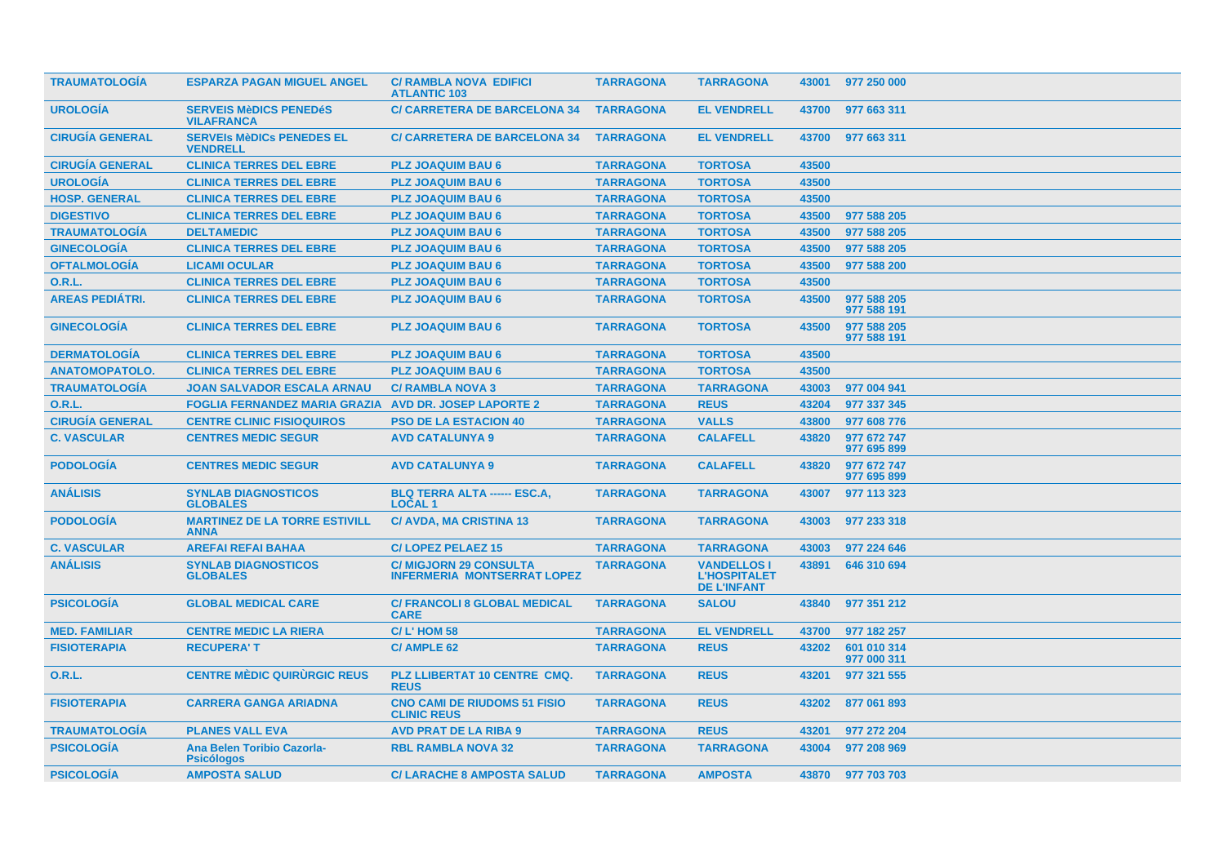| <b>TRAUMATOLOGIA</b>   | <b>ESPARZA PAGAN MIGUEL ANGEL</b>                            | <b>C/ RAMBLA NOVA EDIFICI</b><br><b>ATLANTIC 103</b>                | <b>TARRAGONA</b> | <b>TARRAGONA</b>                                                |       | 43001 977 250 000          |
|------------------------|--------------------------------------------------------------|---------------------------------------------------------------------|------------------|-----------------------------------------------------------------|-------|----------------------------|
| <b>UROLOGÍA</b>        | <b>SERVEIS MèDICS PENEDéS</b><br><b>VILAFRANCA</b>           | <b>C/ CARRETERA DE BARCELONA 34</b>                                 | <b>TARRAGONA</b> | <b>EL VENDRELL</b>                                              | 43700 | 977 663 311                |
| <b>CIRUGIA GENERAL</b> | <b>SERVEIS MèDICS PENEDES EL</b><br><b>VENDRELL</b>          | <b>C/ CARRETERA DE BARCELONA 34</b>                                 | <b>TARRAGONA</b> | <b>EL VENDRELL</b>                                              | 43700 | 977 663 311                |
| <b>CIRUGÍA GENERAL</b> | <b>CLINICA TERRES DEL EBRE</b>                               | <b>PLZ JOAQUIM BAU 6</b>                                            | <b>TARRAGONA</b> | <b>TORTOSA</b>                                                  | 43500 |                            |
| <b>UROLOGÍA</b>        | <b>CLINICA TERRES DEL EBRE</b>                               | <b>PLZ JOAQUIM BAU 6</b>                                            | <b>TARRAGONA</b> | <b>TORTOSA</b>                                                  | 43500 |                            |
| <b>HOSP. GENERAL</b>   | <b>CLINICA TERRES DEL EBRE</b>                               | <b>PLZ JOAQUIM BAU 6</b>                                            | <b>TARRAGONA</b> | <b>TORTOSA</b>                                                  | 43500 |                            |
| <b>DIGESTIVO</b>       | <b>CLINICA TERRES DEL EBRE</b>                               | <b>PLZ JOAQUIM BAU 6</b>                                            | <b>TARRAGONA</b> | <b>TORTOSA</b>                                                  | 43500 | 977 588 205                |
| <b>TRAUMATOLOGÍA</b>   | <b>DELTAMEDIC</b>                                            | <b>PLZ JOAQUIM BAU 6</b>                                            | <b>TARRAGONA</b> | <b>TORTOSA</b>                                                  | 43500 | 977 588 205                |
| <b>GINECOLOGÍA</b>     | <b>CLINICA TERRES DEL EBRE</b>                               | <b>PLZ JOAQUIM BAU 6</b>                                            | <b>TARRAGONA</b> | <b>TORTOSA</b>                                                  | 43500 | 977 588 205                |
| <b>OFTALMOLOGÍA</b>    | <b>LICAMI OCULAR</b>                                         | <b>PLZ JOAQUIM BAU 6</b>                                            | <b>TARRAGONA</b> | <b>TORTOSA</b>                                                  | 43500 | 977 588 200                |
| <b>O.R.L.</b>          | <b>CLINICA TERRES DEL EBRE</b>                               | <b>PLZ JOAQUIM BAU 6</b>                                            | <b>TARRAGONA</b> | <b>TORTOSA</b>                                                  | 43500 |                            |
| <b>AREAS PEDIÁTRI.</b> | <b>CLINICA TERRES DEL EBRE</b>                               | <b>PLZ JOAQUIM BAU 6</b>                                            | <b>TARRAGONA</b> | <b>TORTOSA</b>                                                  | 43500 | 977 588 205<br>977 588 191 |
| <b>GINECOLOGIA</b>     | <b>CLINICA TERRES DEL EBRE</b>                               | <b>PLZ JOAQUIM BAU 6</b>                                            | <b>TARRAGONA</b> | <b>TORTOSA</b>                                                  | 43500 | 977 588 205<br>977 588 191 |
| <b>DERMATOLOGÍA</b>    | <b>CLINICA TERRES DEL EBRE</b>                               | <b>PLZ JOAQUIM BAU 6</b>                                            | <b>TARRAGONA</b> | <b>TORTOSA</b>                                                  | 43500 |                            |
| <b>ANATOMOPATOLO.</b>  | <b>CLINICA TERRES DEL EBRE</b>                               | <b>PLZ JOAQUIM BAU 6</b>                                            | <b>TARRAGONA</b> | <b>TORTOSA</b>                                                  | 43500 |                            |
| <b>TRAUMATOLOGIA</b>   | <b>JOAN SALVADOR ESCALA ARNAU</b>                            | <b>C/ RAMBLA NOVA 3</b>                                             | <b>TARRAGONA</b> | <b>TARRAGONA</b>                                                | 43003 | 977 004 941                |
| <b>O.R.L.</b>          | <b>FOGLIA FERNANDEZ MARIA GRAZIA AVD DR. JOSEP LAPORTE 2</b> |                                                                     | <b>TARRAGONA</b> | <b>REUS</b>                                                     | 43204 | 977 337 345                |
| <b>CIRUGÍA GENERAL</b> | <b>CENTRE CLINIC FISIOQUIROS</b>                             | <b>PSO DE LA ESTACION 40</b>                                        | <b>TARRAGONA</b> | <b>VALLS</b>                                                    | 43800 | 977 608 776                |
| <b>C. VASCULAR</b>     | <b>CENTRES MEDIC SEGUR</b>                                   | <b>AVD CATALUNYA 9</b>                                              | <b>TARRAGONA</b> | <b>CALAFELL</b>                                                 | 43820 | 977 672 747<br>977 695 899 |
| <b>PODOLOGÍA</b>       | <b>CENTRES MEDIC SEGUR</b>                                   | <b>AVD CATALUNYA 9</b>                                              | <b>TARRAGONA</b> | <b>CALAFELL</b>                                                 | 43820 | 977 672 747<br>977 695 899 |
| <b>ANALISIS</b>        | <b>SYNLAB DIAGNOSTICOS</b><br><b>GLOBALES</b>                | <b>BLQ TERRA ALTA ------ ESC.A,</b><br><b>LOCAL1</b>                | <b>TARRAGONA</b> | <b>TARRAGONA</b>                                                | 43007 | 977 113 323                |
| <b>PODOLOGÍA</b>       | <b>MARTINEZ DE LA TORRE ESTIVILL</b><br><b>ANNA</b>          | <b>C/ AVDA, MA CRISTINA 13</b>                                      | <b>TARRAGONA</b> | <b>TARRAGONA</b>                                                | 43003 | 977 233 318                |
| <b>C. VASCULAR</b>     | <b>AREFAI REFAI BAHAA</b>                                    | <b>C/LOPEZ PELAEZ 15</b>                                            | <b>TARRAGONA</b> | <b>TARRAGONA</b>                                                | 43003 | 977 224 646                |
| <b>ANÁLISIS</b>        | <b>SYNLAB DIAGNOSTICOS</b><br><b>GLOBALES</b>                | <b>C/ MIGJORN 29 CONSULTA</b><br><b>INFERMERIA MONTSERRAT LOPEZ</b> | <b>TARRAGONA</b> | <b>VANDELLOS I</b><br><b>L'HOSPITALET</b><br><b>DE L'INFANT</b> | 43891 | 646 310 694                |
| <b>PSICOLOGÍA</b>      | <b>GLOBAL MEDICAL CARE</b>                                   | <b>C/ FRANCOLI 8 GLOBAL MEDICAL</b><br><b>CARE</b>                  | <b>TARRAGONA</b> | <b>SALOU</b>                                                    | 43840 | 977 351 212                |
| <b>MED. FAMILIAR</b>   | <b>CENTRE MEDIC LA RIERA</b>                                 | <b>C/L'HOM 58</b>                                                   | <b>TARRAGONA</b> | <b>EL VENDRELL</b>                                              | 43700 | 977 182 257                |
| <b>FISIOTERAPIA</b>    | <b>RECUPERA'T</b>                                            | C/AMPLE 62                                                          | <b>TARRAGONA</b> | <b>REUS</b>                                                     | 43202 | 601 010 314<br>977 000 311 |
| 0.R.L.                 | <b>CENTRE MÉDIC QUIRURGIC REUS</b>                           | PLZ LLIBERTAT 10 CENTRE CMQ.<br><b>REUS</b>                         | <b>TARRAGONA</b> | <b>REUS</b>                                                     | 43201 | 977 321 555                |
| <b>FISIOTERAPIA</b>    | <b>CARRERA GANGA ARIADNA</b>                                 | <b>CNO CAMI DE RIUDOMS 51 FISIO</b><br><b>CLINIC REUS</b>           | <b>TARRAGONA</b> | <b>REUS</b>                                                     | 43202 | 877 061 893                |
| <b>TRAUMATOLOGIA</b>   | <b>PLANES VALL EVA</b>                                       | <b>AVD PRAT DE LA RIBA 9</b>                                        | <b>TARRAGONA</b> | <b>REUS</b>                                                     | 43201 | 977 272 204                |
| <b>PSICOLOGIA</b>      | Ana Belen Toribio Cazorla-<br><b>Psicólogos</b>              | <b>RBL RAMBLA NOVA 32</b>                                           | <b>TARRAGONA</b> | <b>TARRAGONA</b>                                                | 43004 | 977 208 969                |
| <b>PSICOLOGIA</b>      | <b>AMPOSTA SALUD</b>                                         | <b>C/ LARACHE 8 AMPOSTA SALUD</b>                                   | <b>TARRAGONA</b> | <b>AMPOSTA</b>                                                  |       | 43870 977 703 703          |
|                        |                                                              |                                                                     |                  |                                                                 |       |                            |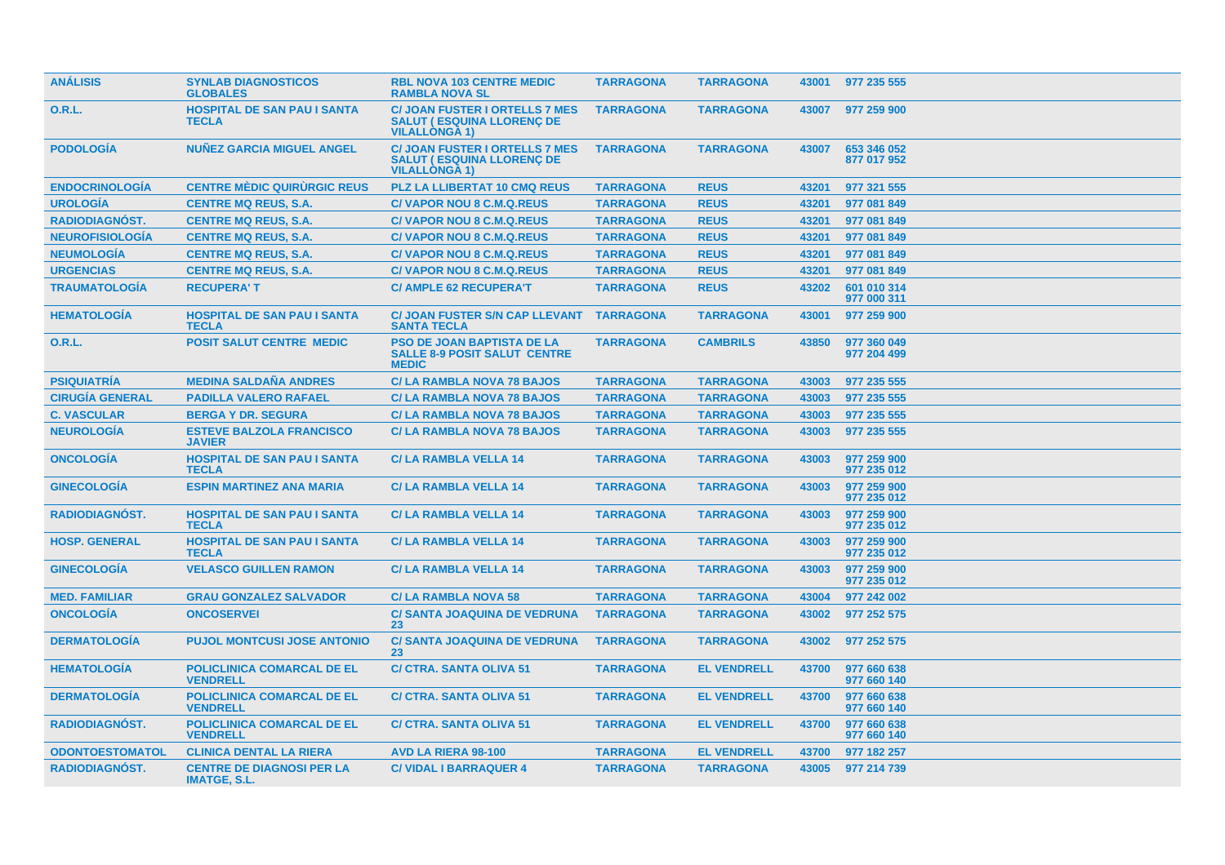| <b>ANÁLISIS</b>        | <b>SYNLAB DIAGNOSTICOS</b><br><b>GLOBALES</b>           | <b>RBL NOVA 103 CENTRE MEDIC</b><br><b>RAMBLA NOVA SL</b>                                         | <b>TARRAGONA</b> | <b>TARRAGONA</b>   |       | 43001 977 235 555          |
|------------------------|---------------------------------------------------------|---------------------------------------------------------------------------------------------------|------------------|--------------------|-------|----------------------------|
| 0.R.L.                 | <b>HOSPITAL DE SAN PAU I SANTA</b><br><b>TECLA</b>      | <b>C/ JOAN FUSTER I ORTELLS 7 MES</b><br><b>SALUT (ESQUINA LLORENC DE</b><br><b>VILALLONGA 1)</b> | <b>TARRAGONA</b> | <b>TARRAGONA</b>   | 43007 | 977 259 900                |
| <b>PODOLOGÍA</b>       | <b>NUNEZ GARCIA MIGUEL ANGEL</b>                        | <b>C/ JOAN FUSTER I ORTELLS 7 MES</b><br><b>SALUT (ESQUINA LLORENÇ DE</b><br><b>VILALLONGA 1)</b> | <b>TARRAGONA</b> | <b>TARRAGONA</b>   | 43007 | 653 346 052<br>877 017 952 |
| <b>ENDOCRINOLOGIA</b>  | <b>CENTRE MÉDIC QUIRURGIC REUS</b>                      | <b>PLZ LA LLIBERTAT 10 CMQ REUS</b>                                                               | <b>TARRAGONA</b> | <b>REUS</b>        | 43201 | 977 321 555                |
| <b>UROLOGÍA</b>        | <b>CENTRE MQ REUS, S.A.</b>                             | <b>C/VAPOR NOU 8 C.M.Q.REUS</b>                                                                   | <b>TARRAGONA</b> | <b>REUS</b>        | 43201 | 977 081 849                |
| <b>RADIODIAGNOST.</b>  | <b>CENTRE MQ REUS, S.A.</b>                             | C/VAPOR NOU 8 C.M.Q.REUS                                                                          | <b>TARRAGONA</b> | <b>REUS</b>        | 43201 | 977 081 849                |
| <b>NEUROFISIOLOGÍA</b> | <b>CENTRE MQ REUS, S.A.</b>                             | <b>C/VAPOR NOU 8 C.M.Q.REUS</b>                                                                   | <b>TARRAGONA</b> | <b>REUS</b>        | 43201 | 977 081 849                |
| <b>NEUMOLOGÍA</b>      | <b>CENTRE MQ REUS, S.A.</b>                             | <b>C/VAPOR NOU 8 C.M.Q.REUS</b>                                                                   | <b>TARRAGONA</b> | <b>REUS</b>        | 43201 | 977 081 849                |
| <b>URGENCIAS</b>       | <b>CENTRE MQ REUS, S.A.</b>                             | <b>C/VAPOR NOU 8 C.M.Q.REUS</b>                                                                   | <b>TARRAGONA</b> | <b>REUS</b>        | 43201 | 977 081 849                |
| <b>TRAUMATOLOGIA</b>   | <b>RECUPERA'T</b>                                       | <b>C/AMPLE 62 RECUPERA'T</b>                                                                      | <b>TARRAGONA</b> | <b>REUS</b>        | 43202 | 601 010 314<br>977 000 311 |
| <b>HEMATOLOGÍA</b>     | <b>HOSPITAL DE SAN PAU I SANTA</b><br><b>TECLA</b>      | <b>C/ JOAN FUSTER S/N CAP LLEVANT</b><br><b>SANTA TECLA</b>                                       | <b>TARRAGONA</b> | <b>TARRAGONA</b>   | 43001 | 977 259 900                |
| 0.R.L.                 | <b>POSIT SALUT CENTRE MEDIC</b>                         | <b>PSO DE JOAN BAPTISTA DE LA</b><br><b>SALLE 8-9 POSIT SALUT CENTRE</b><br><b>MEDIC</b>          | <b>TARRAGONA</b> | <b>CAMBRILS</b>    | 43850 | 977 360 049<br>977 204 499 |
| <b>PSIQUIATRIA</b>     | <b>MEDINA SALDAÑA ANDRES</b>                            | <b>C/LA RAMBLA NOVA 78 BAJOS</b>                                                                  | <b>TARRAGONA</b> | <b>TARRAGONA</b>   | 43003 | 977 235 555                |
| <b>CIRUGÍA GENERAL</b> | <b>PADILLA VALERO RAFAEL</b>                            | <b>C/LA RAMBLA NOVA 78 BAJOS</b>                                                                  | <b>TARRAGONA</b> | <b>TARRAGONA</b>   | 43003 | 977 235 555                |
| <b>C. VASCULAR</b>     | <b>BERGA Y DR. SEGURA</b>                               | <b>C/LA RAMBLA NOVA 78 BAJOS</b>                                                                  | <b>TARRAGONA</b> | <b>TARRAGONA</b>   | 43003 | 977 235 555                |
| <b>NEUROLOGIA</b>      | <b>ESTEVE BALZOLA FRANCISCO</b><br><b>JAVIER</b>        | <b>C/LA RAMBLA NOVA 78 BAJOS</b>                                                                  | <b>TARRAGONA</b> | <b>TARRAGONA</b>   | 43003 | 977 235 555                |
| <b>ONCOLOGIA</b>       | <b>HOSPITAL DE SAN PAU I SANTA</b><br><b>TECLA</b>      | <b>C/LA RAMBLA VELLA 14</b>                                                                       | <b>TARRAGONA</b> | <b>TARRAGONA</b>   | 43003 | 977 259 900<br>977 235 012 |
| <b>GINECOLOGIA</b>     | <b>ESPIN MARTINEZ ANA MARIA</b>                         | <b>C/LA RAMBLA VELLA 14</b>                                                                       | <b>TARRAGONA</b> | <b>TARRAGONA</b>   | 43003 | 977 259 900<br>977 235 012 |
| <b>RADIODIAGNÓST.</b>  | <b>HOSPITAL DE SAN PAU I SANTA</b><br><b>TECLA</b>      | <b>C/LA RAMBLA VELLA 14</b>                                                                       | <b>TARRAGONA</b> | <b>TARRAGONA</b>   | 43003 | 977 259 900<br>977 235 012 |
| <b>HOSP. GENERAL</b>   | <b>HOSPITAL DE SAN PAU I SANTA</b><br><b>TECLA</b>      | <b>C/LA RAMBLA VELLA 14</b>                                                                       | <b>TARRAGONA</b> | <b>TARRAGONA</b>   | 43003 | 977 259 900<br>977 235 012 |
| <b>GINECOLOGIA</b>     | <b>VELASCO GUILLEN RAMON</b>                            | <b>C/LA RAMBLA VELLA 14</b>                                                                       | <b>TARRAGONA</b> | <b>TARRAGONA</b>   | 43003 | 977 259 900<br>977 235 012 |
| <b>MED. FAMILIAR</b>   | <b>GRAU GONZALEZ SALVADOR</b>                           | <b>C/LA RAMBLA NOVA 58</b>                                                                        | <b>TARRAGONA</b> | <b>TARRAGONA</b>   | 43004 | 977 242 002                |
| <b>ONCOLOGIA</b>       | <b>ONCOSERVEI</b>                                       | <b>C/ SANTA JOAQUINA DE VEDRUNA</b><br>23                                                         | <b>TARRAGONA</b> | <b>TARRAGONA</b>   | 43002 | 977 252 575                |
| <b>DERMATOLOGÍA</b>    | <b>PUJOL MONTCUSI JOSE ANTONIO</b>                      | <b>C/ SANTA JOAQUINA DE VEDRUNA</b><br>23                                                         | <b>TARRAGONA</b> | <b>TARRAGONA</b>   | 43002 | 977 252 575                |
| <b>HEMATOLOGIA</b>     | <b>POLICLINICA COMARCAL DE EL</b><br><b>VENDRELL</b>    | <b>C/ CTRA, SANTA OLIVA 51</b>                                                                    | <b>TARRAGONA</b> | <b>EL VENDRELL</b> | 43700 | 977 660 638<br>977 660 140 |
| <b>DERMATOLOGÍA</b>    | POLICLINICA COMARCAL DE EL<br><b>VENDRELL</b>           | <b>C/ CTRA. SANTA OLIVA 51</b>                                                                    | <b>TARRAGONA</b> | <b>EL VENDRELL</b> | 43700 | 977 660 638<br>977 660 140 |
| <b>RADIODIAGNOST.</b>  | <b>POLICLINICA COMARCAL DE EL</b><br><b>VENDRELL</b>    | <b>C/ CTRA, SANTA OLIVA 51</b>                                                                    | <b>TARRAGONA</b> | <b>EL VENDRELL</b> | 43700 | 977 660 638<br>977 660 140 |
| <b>ODONTOESTOMATOL</b> | <b>CLINICA DENTAL LA RIERA</b>                          | <b>AVD LA RIERA 98-100</b>                                                                        | <b>TARRAGONA</b> | <b>EL VENDRELL</b> | 43700 | 977 182 257                |
| <b>RADIODIAGNOST.</b>  | <b>CENTRE DE DIAGNOSI PER LA</b><br><b>IMATGE, S.L.</b> | <b>C/ VIDAL I BARRAQUER 4</b>                                                                     | <b>TARRAGONA</b> | <b>TARRAGONA</b>   | 43005 | 977 214 739                |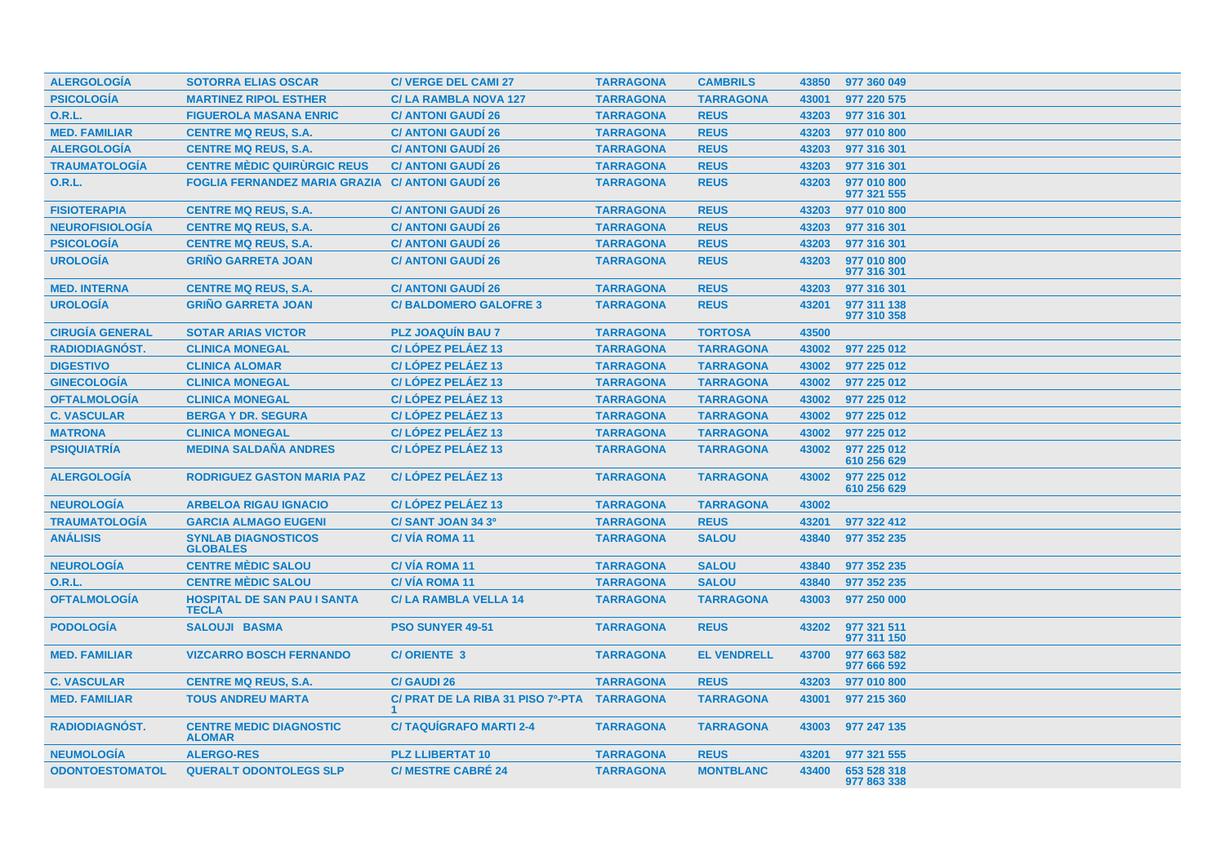| <b>ALERGOLOGÍA</b>     | <b>SOTORRA ELIAS OSCAR</b>                         | <b>C/ VERGE DEL CAMI 27</b>                 | <b>TARRAGONA</b> | <b>CAMBRILS</b>    | 43850 | 977 360 049                |
|------------------------|----------------------------------------------------|---------------------------------------------|------------------|--------------------|-------|----------------------------|
| <b>PSICOLOGÍA</b>      | <b>MARTINEZ RIPOL ESTHER</b>                       | <b>C/LA RAMBLA NOVA 127</b>                 | <b>TARRAGONA</b> | <b>TARRAGONA</b>   | 43001 | 977 220 575                |
| <b>O.R.L.</b>          | <b>FIGUEROLA MASANA ENRIC</b>                      | <b>C/ ANTONI GAUDI 26</b>                   | <b>TARRAGONA</b> | <b>REUS</b>        | 43203 | 977 316 301                |
| <b>MED. FAMILIAR</b>   | <b>CENTRE MQ REUS, S.A.</b>                        | <b>C/ ANTONI GAUDI 26</b>                   | <b>TARRAGONA</b> | <b>REUS</b>        | 43203 | 977 010 800                |
| <b>ALERGOLOGÍA</b>     | <b>CENTRE MQ REUS, S.A.</b>                        | <b>C/ ANTONI GAUDI 26</b>                   | <b>TARRAGONA</b> | <b>REUS</b>        | 43203 | 977 316 301                |
| <b>TRAUMATOLOGÍA</b>   | <b>CENTRE MÉDIC QUIRURGIC REUS</b>                 | <b>C/ ANTONI GAUDI 26</b>                   | <b>TARRAGONA</b> | <b>REUS</b>        | 43203 | 977 316 301                |
| <b>O.R.L.</b>          | <b>FOGLIA FERNANDEZ MARIA GRAZIA</b>               | <b>C/ ANTONI GAUDI 26</b>                   | <b>TARRAGONA</b> | <b>REUS</b>        | 43203 | 977 010 800<br>977 321 555 |
| <b>FISIOTERAPIA</b>    | <b>CENTRE MQ REUS, S.A.</b>                        | <b>C/ ANTONI GAUDI 26</b>                   | <b>TARRAGONA</b> | <b>REUS</b>        | 43203 | 977 010 800                |
| <b>NEUROFISIOLOGÍA</b> | <b>CENTRE MQ REUS, S.A.</b>                        | <b>C/ ANTONI GAUDI 26</b>                   | <b>TARRAGONA</b> | <b>REUS</b>        | 43203 | 977 316 301                |
| <b>PSICOLOGÍA</b>      | <b>CENTRE MQ REUS, S.A.</b>                        | <b>C/ ANTONI GAUDI 26</b>                   | <b>TARRAGONA</b> | <b>REUS</b>        | 43203 | 977 316 301                |
| <b>UROLOGÍA</b>        | <b>GRIÑO GARRETA JOAN</b>                          | <b>C/ ANTONI GAUDI 26</b>                   | <b>TARRAGONA</b> | <b>REUS</b>        | 43203 | 977 010 800<br>977 316 301 |
| <b>MED. INTERNA</b>    | <b>CENTRE MQ REUS, S.A.</b>                        | <b>C/ ANTONI GAUDI 26</b>                   | <b>TARRAGONA</b> | <b>REUS</b>        | 43203 | 977 316 301                |
| <b>UROLOGÍA</b>        | <b>GRIÑO GARRETA JOAN</b>                          | <b>C/BALDOMERO GALOFRE 3</b>                | <b>TARRAGONA</b> | <b>REUS</b>        | 43201 | 977 311 138<br>977 310 358 |
| <b>CIRUGÍA GENERAL</b> | <b>SOTAR ARIAS VICTOR</b>                          | <b>PLZ JOAQUIN BAU 7</b>                    | <b>TARRAGONA</b> | <b>TORTOSA</b>     | 43500 |                            |
| <b>RADIODIAGNÓST.</b>  | <b>CLINICA MONEGAL</b>                             | C/LÓPEZ PELÁEZ 13                           | <b>TARRAGONA</b> | <b>TARRAGONA</b>   | 43002 | 977 225 012                |
| <b>DIGESTIVO</b>       | <b>CLINICA ALOMAR</b>                              | C/LÓPEZ PELÁEZ 13                           | <b>TARRAGONA</b> | <b>TARRAGONA</b>   | 43002 | 977 225 012                |
| <b>GINECOLOGÍA</b>     | <b>CLINICA MONEGAL</b>                             | C/LOPEZ PELAEZ 13                           | <b>TARRAGONA</b> | <b>TARRAGONA</b>   | 43002 | 977 225 012                |
| <b>OFTALMOLOGÍA</b>    | <b>CLINICA MONEGAL</b>                             | C/LÓPEZ PELÁEZ 13                           | <b>TARRAGONA</b> | <b>TARRAGONA</b>   | 43002 | 977 225 012                |
| <b>C. VASCULAR</b>     | <b>BERGA Y DR. SEGURA</b>                          | C/LÓPEZ PELÁEZ 13                           | <b>TARRAGONA</b> | <b>TARRAGONA</b>   | 43002 | 977 225 012                |
| <b>MATRONA</b>         | <b>CLINICA MONEGAL</b>                             | C/LOPEZ PELAEZ 13                           | <b>TARRAGONA</b> | <b>TARRAGONA</b>   | 43002 | 977 225 012                |
| <b>PSIQUIATRÍA</b>     | <b>MEDINA SALDAÑA ANDRES</b>                       | C/LÓPEZ PELÁEZ 13                           | <b>TARRAGONA</b> | <b>TARRAGONA</b>   | 43002 | 977 225 012<br>610 256 629 |
| <b>ALERGOLOGÍA</b>     | <b>RODRIGUEZ GASTON MARIA PAZ</b>                  | C/LÓPEZ PELÁEZ 13                           | <b>TARRAGONA</b> | <b>TARRAGONA</b>   | 43002 | 977 225 012<br>610 256 629 |
| <b>NEUROLOGÍA</b>      | <b>ARBELOA RIGAU IGNACIO</b>                       | C/LÓPEZ PELÁEZ 13                           | <b>TARRAGONA</b> | <b>TARRAGONA</b>   | 43002 |                            |
| <b>TRAUMATOLOGÍA</b>   | <b>GARCIA ALMAGO EUGENI</b>                        | C/SANT JOAN 34 3º                           | <b>TARRAGONA</b> | <b>REUS</b>        | 43201 | 977 322 412                |
| <b>ANÁLISIS</b>        | <b>SYNLAB DIAGNOSTICOS</b><br><b>GLOBALES</b>      | <b>C/VIA ROMA 11</b>                        | <b>TARRAGONA</b> | <b>SALOU</b>       | 43840 | 977 352 235                |
| <b>NEUROLOGÍA</b>      | <b>CENTRE MÈDIC SALOU</b>                          | <b>C/VÍA ROMA 11</b>                        | <b>TARRAGONA</b> | <b>SALOU</b>       | 43840 | 977 352 235                |
| <b>O.R.L.</b>          | <b>CENTRE MÉDIC SALOU</b>                          | <b>C/VIA ROMA 11</b>                        | <b>TARRAGONA</b> | <b>SALOU</b>       | 43840 | 977 352 235                |
| <b>OFTALMOLOGÍA</b>    | <b>HOSPITAL DE SAN PAU I SANTA</b><br><b>TECLA</b> | <b>C/LA RAMBLA VELLA 14</b>                 | <b>TARRAGONA</b> | <b>TARRAGONA</b>   | 43003 | 977 250 000                |
| <b>PODOLOGÍA</b>       | <b>SALOUJI BASMA</b>                               | <b>PSO SUNYER 49-51</b>                     | <b>TARRAGONA</b> | <b>REUS</b>        | 43202 | 977 321 511<br>977 311 150 |
| <b>MED. FAMILIAR</b>   | <b>VIZCARRO BOSCH FERNANDO</b>                     | <b>C/ORIENTE 3</b>                          | <b>TARRAGONA</b> | <b>EL VENDRELL</b> | 43700 | 977 663 582<br>977 666 592 |
| <b>C. VASCULAR</b>     | <b>CENTRE MQ REUS, S.A.</b>                        | <b>C/ GAUDI 26</b>                          | <b>TARRAGONA</b> | <b>REUS</b>        | 43203 | 977 010 800                |
| <b>MED. FAMILIAR</b>   | <b>TOUS ANDREU MARTA</b>                           | C/ PRAT DE LA RIBA 31 PISO 7º-PTA TARRAGONA |                  | <b>TARRAGONA</b>   | 43001 | 977 215 360                |
| RADIODIAGNÓST.         | <b>CENTRE MEDIC DIAGNOSTIC</b><br><b>ALOMAR</b>    | <b>C/TAQUIGRAFO MARTI 2-4</b>               | <b>TARRAGONA</b> | <b>TARRAGONA</b>   | 43003 | 977 247 135                |
| <b>NEUMOLOGÍA</b>      | <b>ALERGO-RES</b>                                  | <b>PLZ LLIBERTAT 10</b>                     | <b>TARRAGONA</b> | <b>REUS</b>        | 43201 | 977 321 555                |
| <b>ODONTOESTOMATOL</b> | <b>QUERALT ODONTOLEGS SLP</b>                      | <b>C/MESTRE CABRÉ 24</b>                    | <b>TARRAGONA</b> | <b>MONTBLANC</b>   | 43400 | 653 528 318<br>977 863 338 |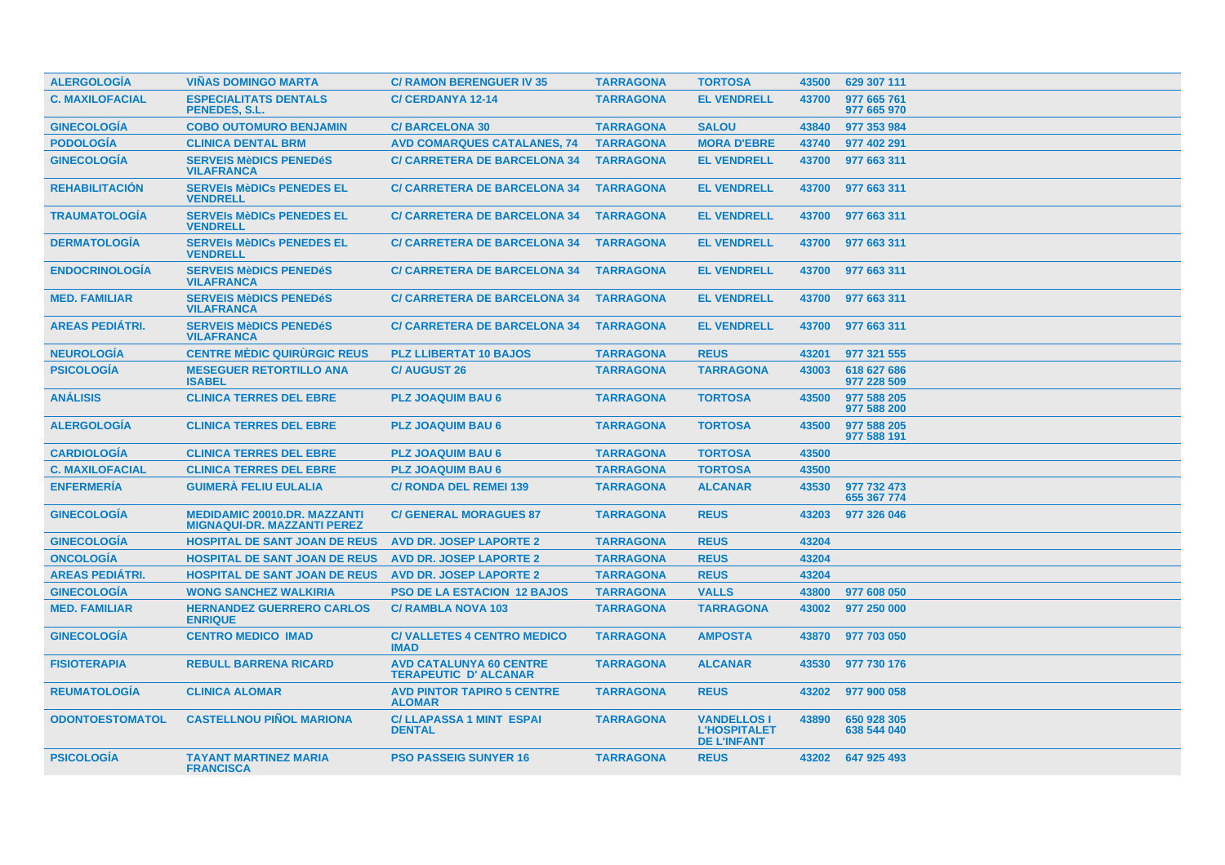| <b>ALERGOLOGÍA</b>     | <b>VIÑAS DOMINGO MARTA</b>                                                | <b>C/ RAMON BERENGUER IV 35</b>                               | <b>TARRAGONA</b> | <b>TORTOSA</b>                                                  | 43500 | 629 307 111                |
|------------------------|---------------------------------------------------------------------------|---------------------------------------------------------------|------------------|-----------------------------------------------------------------|-------|----------------------------|
| <b>C. MAXILOFACIAL</b> | <b>ESPECIALITATS DENTALS</b><br>PENEDES, S.L.                             | <b>C/CERDANYA 12-14</b>                                       | <b>TARRAGONA</b> | <b>EL VENDRELL</b>                                              | 43700 | 977 665 761<br>977 665 970 |
| <b>GINECOLOGÍA</b>     | <b>COBO OUTOMURO BENJAMIN</b>                                             | <b>C/BARCELONA 30</b>                                         | <b>TARRAGONA</b> | <b>SALOU</b>                                                    | 43840 | 977 353 984                |
| <b>PODOLOGÍA</b>       | <b>CLINICA DENTAL BRM</b>                                                 | <b>AVD COMARQUES CATALANES, 74</b>                            | <b>TARRAGONA</b> | <b>MORA D'EBRE</b>                                              | 43740 | 977 402 291                |
| <b>GINECOLOGÍA</b>     | <b>SERVEIS MèDICS PENEDéS</b><br><b>VILAFRANCA</b>                        | <b>C/ CARRETERA DE BARCELONA 34</b>                           | <b>TARRAGONA</b> | <b>EL VENDRELL</b>                                              | 43700 | 977 663 311                |
| <b>REHABILITACIÓN</b>  | <b>SERVEIS MèDICS PENEDES EL</b><br><b>VENDRELL</b>                       | <b>C/ CARRETERA DE BARCELONA 34</b>                           | <b>TARRAGONA</b> | <b>EL VENDRELL</b>                                              | 43700 | 977 663 311                |
| <b>TRAUMATOLOGIA</b>   | <b>SERVEIS MèDICS PENEDES EL</b><br><b>VENDRELL</b>                       | <b>C/ CARRETERA DE BARCELONA 34</b>                           | <b>TARRAGONA</b> | <b>EL VENDRELL</b>                                              | 43700 | 977 663 311                |
| <b>DERMATOLOGÍA</b>    | <b>SERVEIS MèDICS PENEDES EL</b><br><b>VENDRELL</b>                       | <b>C/ CARRETERA DE BARCELONA 34</b>                           | <b>TARRAGONA</b> | <b>EL VENDRELL</b>                                              | 43700 | 977 663 311                |
| <b>ENDOCRINOLOGIA</b>  | <b>SERVEIS MèDICS PENEDéS</b><br><b>VILAFRANCA</b>                        | <b>C/ CARRETERA DE BARCELONA 34</b>                           | <b>TARRAGONA</b> | <b>EL VENDRELL</b>                                              | 43700 | 977 663 311                |
| <b>MED. FAMILIAR</b>   | <b>SERVEIS MèDICS PENEDéS</b><br><b>VILAFRANCA</b>                        | <b>C/ CARRETERA DE BARCELONA 34</b>                           | <b>TARRAGONA</b> | <b>EL VENDRELL</b>                                              | 43700 | 977 663 311                |
| <b>AREAS PEDIÁTRI.</b> | <b>SERVEIS MèDICS PENEDéS</b><br><b>VILAFRANCA</b>                        | <b>C/ CARRETERA DE BARCELONA 34</b>                           | <b>TARRAGONA</b> | <b>EL VENDRELL</b>                                              | 43700 | 977 663 311                |
| <b>NEUROLOGIA</b>      | <b>CENTRE MÈDIC QUIRURGIC REUS</b>                                        | <b>PLZ LLIBERTAT 10 BAJOS</b>                                 | <b>TARRAGONA</b> | <b>REUS</b>                                                     | 43201 | 977 321 555                |
| <b>PSICOLOGÍA</b>      | <b>MESEGUER RETORTILLO ANA</b><br><b>ISABEL</b>                           | <b>C/AUGUST 26</b>                                            | <b>TARRAGONA</b> | <b>TARRAGONA</b>                                                | 43003 | 618 627 686<br>977 228 509 |
| <b>ANÁLISIS</b>        | <b>CLINICA TERRES DEL EBRE</b>                                            | <b>PLZ JOAQUIM BAU 6</b>                                      | <b>TARRAGONA</b> | <b>TORTOSA</b>                                                  | 43500 | 977 588 205<br>977 588 200 |
| <b>ALERGOLOGÍA</b>     | <b>CLINICA TERRES DEL EBRE</b>                                            | <b>PLZ JOAQUIM BAU 6</b>                                      | <b>TARRAGONA</b> | <b>TORTOSA</b>                                                  | 43500 | 977 588 205<br>977 588 191 |
| <b>CARDIOLOGÍA</b>     | <b>CLINICA TERRES DEL EBRE</b>                                            | <b>PLZ JOAQUIM BAU 6</b>                                      | <b>TARRAGONA</b> | <b>TORTOSA</b>                                                  | 43500 |                            |
| <b>C. MAXILOFACIAL</b> | <b>CLINICA TERRES DEL EBRE</b>                                            | <b>PLZ JOAQUIM BAU 6</b>                                      | <b>TARRAGONA</b> | <b>TORTOSA</b>                                                  | 43500 |                            |
| <b>ENFERMERÍA</b>      | <b>GUIMERÀ FELIU EULALIA</b>                                              | <b>C/ RONDA DEL REMEI 139</b>                                 | <b>TARRAGONA</b> | <b>ALCANAR</b>                                                  | 43530 | 977 732 473<br>655 367 774 |
| <b>GINECOLOGÍA</b>     | <b>MEDIDAMIC 20010.DR. MAZZANTI</b><br><b>MIGNAQUI-DR. MAZZANTI PEREZ</b> | <b>C/ GENERAL MORAGUES 87</b>                                 | <b>TARRAGONA</b> | <b>REUS</b>                                                     | 43203 | 977 326 046                |
| <b>GINECOLOGÍA</b>     | <b>HOSPITAL DE SANT JOAN DE REUS</b>                                      | <b>AVD DR. JOSEP LAPORTE 2</b>                                | <b>TARRAGONA</b> | <b>REUS</b>                                                     | 43204 |                            |
| <b>ONCOLOGIA</b>       | <b>HOSPITAL DE SANT JOAN DE REUS</b>                                      | <b>AVD DR. JOSEP LAPORTE 2</b>                                | <b>TARRAGONA</b> | <b>REUS</b>                                                     | 43204 |                            |
| <b>AREAS PEDIATRI.</b> | <b>HOSPITAL DE SANT JOAN DE REUS</b>                                      | <b>AVD DR. JOSEP LAPORTE 2</b>                                | <b>TARRAGONA</b> | <b>REUS</b>                                                     | 43204 |                            |
| <b>GINECOLOGÍA</b>     | <b>WONG SANCHEZ WALKIRIA</b>                                              | <b>PSO DE LA ESTACION 12 BAJOS</b>                            | <b>TARRAGONA</b> | <b>VALLS</b>                                                    | 43800 | 977 608 050                |
| <b>MED. FAMILIAR</b>   | <b>HERNANDEZ GUERRERO CARLOS</b><br><b>ENRIQUE</b>                        | <b>C/ RAMBLA NOVA 103</b>                                     | <b>TARRAGONA</b> | <b>TARRAGONA</b>                                                | 43002 | 977 250 000                |
| <b>GINECOLOGIA</b>     | <b>CENTRO MEDICO IMAD</b>                                                 | <b>C/VALLETES 4 CENTRO MEDICO</b><br><b>IMAD</b>              | <b>TARRAGONA</b> | <b>AMPOSTA</b>                                                  | 43870 | 977 703 050                |
| <b>FISIOTERAPIA</b>    | <b>REBULL BARRENA RICARD</b>                                              | <b>AVD CATALUNYA 60 CENTRE</b><br><b>TERAPEUTIC D'ALCANAR</b> | <b>TARRAGONA</b> | <b>ALCANAR</b>                                                  | 43530 | 977 730 176                |
| <b>REUMATOLOGIA</b>    | <b>CLINICA ALOMAR</b>                                                     | <b>AVD PINTOR TAPIRO 5 CENTRE</b><br><b>ALOMAR</b>            | <b>TARRAGONA</b> | <b>REUS</b>                                                     | 43202 | 977 900 058                |
| <b>ODONTOESTOMATOL</b> | <b>CASTELLNOU PIÑOL MARIONA</b>                                           | <b>C/ LLAPASSA 1 MINT ESPAI</b><br><b>DENTAL</b>              | <b>TARRAGONA</b> | <b>VANDELLOS I</b><br><b>L'HOSPITALET</b><br><b>DE L'INFANT</b> | 43890 | 650 928 305<br>638 544 040 |
| <b>PSICOLOGIA</b>      | <b>TAYANT MARTINEZ MARIA</b><br><b>FRANCISCA</b>                          | <b>PSO PASSEIG SUNYER 16</b>                                  | <b>TARRAGONA</b> | <b>REUS</b>                                                     |       | 43202 647 925 493          |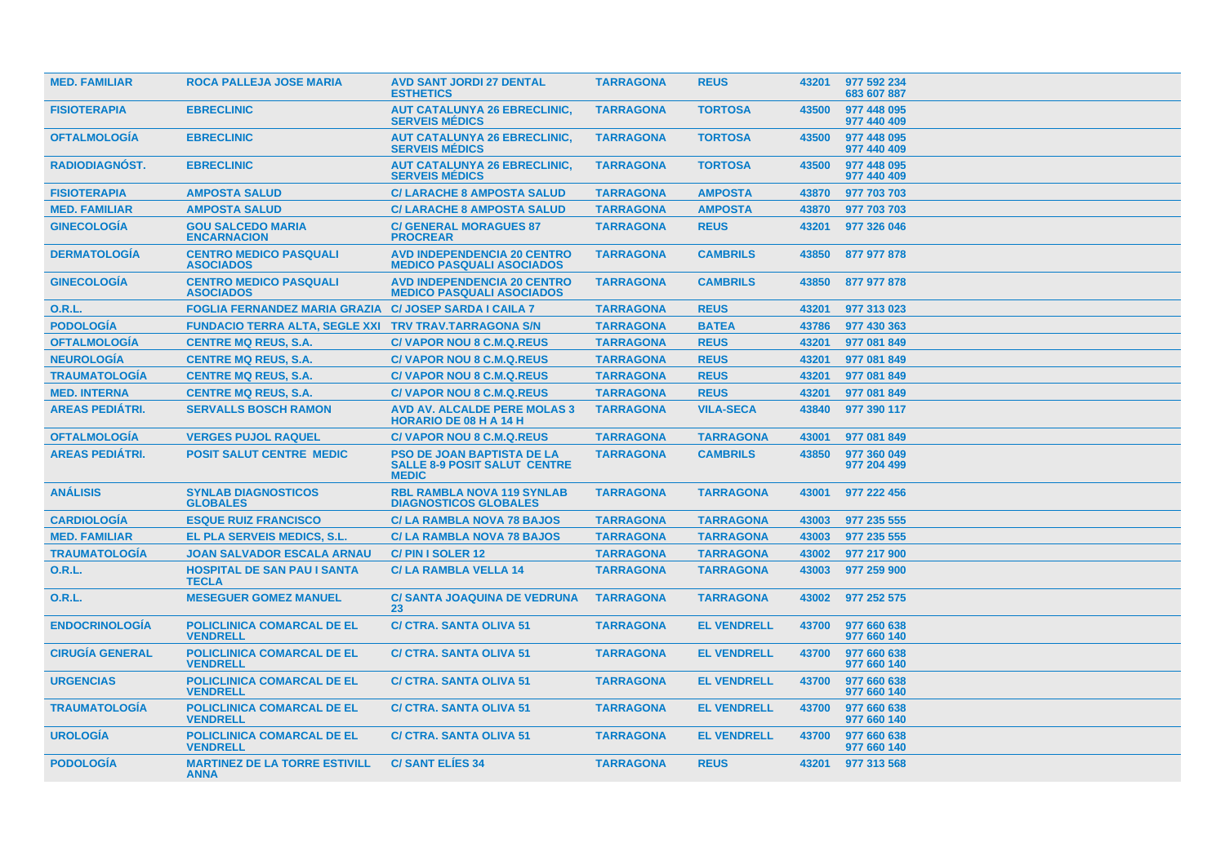| <b>MED. FAMILIAR</b>   | <b>ROCA PALLEJA JOSE MARIA</b>                                | <b>AVD SANT JORDI 27 DENTAL</b><br><b>ESTHETICS</b>                                      | <b>TARRAGONA</b> | <b>REUS</b>        | 43201 | 977 592 234<br>683 607 887 |
|------------------------|---------------------------------------------------------------|------------------------------------------------------------------------------------------|------------------|--------------------|-------|----------------------------|
| <b>FISIOTERAPIA</b>    | <b>EBRECLINIC</b>                                             | <b>AUT CATALUNYA 26 EBRECLINIC,</b><br><b>SERVEIS MEDICS</b>                             | <b>TARRAGONA</b> | <b>TORTOSA</b>     | 43500 | 977 448 095<br>977 440 409 |
| <b>OFTALMOLOGIA</b>    | <b>EBRECLINIC</b>                                             | <b>AUT CATALUNYA 26 EBRECLINIC,</b><br><b>SERVEIS MÉDICS</b>                             | <b>TARRAGONA</b> | <b>TORTOSA</b>     | 43500 | 977 448 095<br>977 440 409 |
| <b>RADIODIAGNOST.</b>  | <b>EBRECLINIC</b>                                             | <b>AUT CATALUNYA 26 EBRECLINIC,</b><br><b>SERVEIS MÉDICS</b>                             | <b>TARRAGONA</b> | <b>TORTOSA</b>     | 43500 | 977 448 095<br>977 440 409 |
| <b>FISIOTERAPIA</b>    | <b>AMPOSTA SALUD</b>                                          | <b>C/ LARACHE 8 AMPOSTA SALUD</b>                                                        | <b>TARRAGONA</b> | <b>AMPOSTA</b>     | 43870 | 977 703 703                |
| <b>MED. FAMILIAR</b>   | <b>AMPOSTA SALUD</b>                                          | <b>C/ LARACHE 8 AMPOSTA SALUD</b>                                                        | <b>TARRAGONA</b> | <b>AMPOSTA</b>     | 43870 | 977 703 703                |
| <b>GINECOLOGÍA</b>     | <b>GOU SALCEDO MARIA</b><br><b>ENCARNACION</b>                | <b>C/ GENERAL MORAGUES 87</b><br><b>PROCREAR</b>                                         | <b>TARRAGONA</b> | <b>REUS</b>        | 43201 | 977 326 046                |
| <b>DERMATOLOGÍA</b>    | <b>CENTRO MEDICO PASQUALI</b><br><b>ASOCIADOS</b>             | <b>AVD INDEPENDENCIA 20 CENTRO</b><br><b>MEDICO PASQUALI ASOCIADOS</b>                   | <b>TARRAGONA</b> | <b>CAMBRILS</b>    | 43850 | 877 977 878                |
| <b>GINECOLOGIA</b>     | <b>CENTRO MEDICO PASQUALI</b><br><b>ASOCIADOS</b>             | <b>AVD INDEPENDENCIA 20 CENTRO</b><br><b>MEDICO PASQUALI ASOCIADOS</b>                   | <b>TARRAGONA</b> | <b>CAMBRILS</b>    | 43850 | 877 977 878                |
| O.R.L.                 | <b>FOGLIA FERNANDEZ MARIA GRAZIA C/ JOSEP SARDA I CAILA 7</b> |                                                                                          | <b>TARRAGONA</b> | <b>REUS</b>        | 43201 | 977 313 023                |
| <b>PODOLOGÍA</b>       | FUNDACIO TERRA ALTA, SEGLE XXI TRV TRAV.TARRAGONA S/N         |                                                                                          | <b>TARRAGONA</b> | <b>BATEA</b>       | 43786 | 977 430 363                |
| <b>OFTALMOLOGÍA</b>    | <b>CENTRE MQ REUS, S.A.</b>                                   | <b>C/VAPOR NOU 8 C.M.Q.REUS</b>                                                          | <b>TARRAGONA</b> | <b>REUS</b>        | 43201 | 977 081 849                |
| <b>NEUROLOGÍA</b>      | <b>CENTRE MQ REUS, S.A.</b>                                   | <b>C/VAPOR NOU 8 C.M.Q.REUS</b>                                                          | <b>TARRAGONA</b> | <b>REUS</b>        | 43201 | 977 081 849                |
| <b>TRAUMATOLOGIA</b>   | <b>CENTRE MQ REUS, S.A.</b>                                   | <b>C/VAPOR NOU 8 C.M.Q.REUS</b>                                                          | <b>TARRAGONA</b> | <b>REUS</b>        | 43201 | 977 081 849                |
| <b>MED. INTERNA</b>    | <b>CENTRE MQ REUS, S.A.</b>                                   | <b>C/VAPOR NOU 8 C.M.Q.REUS</b>                                                          | <b>TARRAGONA</b> | <b>REUS</b>        | 43201 | 977 081 849                |
| <b>AREAS PEDIATRI.</b> | <b>SERVALLS BOSCH RAMON</b>                                   | <b>AVD AV. ALCALDE PERE MOLAS 3</b><br><b>HORARIO DE 08 H A 14 H</b>                     | <b>TARRAGONA</b> | <b>VILA-SECA</b>   | 43840 | 977 390 117                |
| <b>OFTALMOLOGIA</b>    | <b>VERGES PUJOL RAQUEL</b>                                    | <b>C/VAPOR NOU 8 C.M.Q.REUS</b>                                                          | <b>TARRAGONA</b> | <b>TARRAGONA</b>   | 43001 | 977 081 849                |
| <b>AREAS PEDIÁTRI.</b> | <b>POSIT SALUT CENTRE MEDIC</b>                               | <b>PSO DE JOAN BAPTISTA DE LA</b><br><b>SALLE 8-9 POSIT SALUT CENTRE</b><br><b>MEDIC</b> | <b>TARRAGONA</b> | <b>CAMBRILS</b>    | 43850 | 977 360 049<br>977 204 499 |
| <b>ANÁLISIS</b>        | <b>SYNLAB DIAGNOSTICOS</b><br><b>GLOBALES</b>                 | <b>RBL RAMBLA NOVA 119 SYNLAB</b><br><b>DIAGNOSTICOS GLOBALES</b>                        | <b>TARRAGONA</b> | <b>TARRAGONA</b>   | 43001 | 977 222 456                |
| <b>CARDIOLOGIA</b>     | <b>ESQUE RUIZ FRANCISCO</b>                                   | <b>C/LA RAMBLA NOVA 78 BAJOS</b>                                                         | <b>TARRAGONA</b> | <b>TARRAGONA</b>   | 43003 | 977 235 555                |
| <b>MED. FAMILIAR</b>   | EL PLA SERVEIS MEDICS, S.L.                                   | <b>C/LA RAMBLA NOVA 78 BAJOS</b>                                                         | <b>TARRAGONA</b> | <b>TARRAGONA</b>   | 43003 | 977 235 555                |
| <b>TRAUMATOLOGÍA</b>   | <b>JOAN SALVADOR ESCALA ARNAU</b>                             | C/PIN I SOLER 12                                                                         | <b>TARRAGONA</b> | <b>TARRAGONA</b>   | 43002 | 977 217 900                |
| 0.R.L.                 | <b>HOSPITAL DE SAN PAU I SANTA</b><br><b>TECLA</b>            | <b>C/LA RAMBLA VELLA 14</b>                                                              | <b>TARRAGONA</b> | <b>TARRAGONA</b>   | 43003 | 977 259 900                |
| <b>O.R.L.</b>          | <b>MESEGUER GOMEZ MANUEL</b>                                  | C/ SANTA JOAQUINA DE VEDRUNA<br>23                                                       | <b>TARRAGONA</b> | <b>TARRAGONA</b>   | 43002 | 977 252 575                |
| <b>ENDOCRINOLOGIA</b>  | <b>POLICLINICA COMARCAL DE EL</b><br><b>VENDRELL</b>          | <b>C/ CTRA. SANTA OLIVA 51</b>                                                           | <b>TARRAGONA</b> | <b>EL VENDRELL</b> | 43700 | 977 660 638<br>977 660 140 |
| <b>CIRUGIA GENERAL</b> | <b>POLICLINICA COMARCAL DE EL</b><br><b>VENDRELL</b>          | <b>C/ CTRA. SANTA OLIVA 51</b>                                                           | <b>TARRAGONA</b> | <b>EL VENDRELL</b> | 43700 | 977 660 638<br>977 660 140 |
| <b>URGENCIAS</b>       | <b>POLICLINICA COMARCAL DE EL</b><br><b>VENDRELL</b>          | <b>C/ CTRA, SANTA OLIVA 51</b>                                                           | <b>TARRAGONA</b> | <b>EL VENDRELL</b> | 43700 | 977 660 638<br>977 660 140 |
| <b>TRAUMATOLOGIA</b>   | <b>POLICLINICA COMARCAL DE EL</b><br><b>VENDRELL</b>          | <b>C/ CTRA. SANTA OLIVA 51</b>                                                           | <b>TARRAGONA</b> | <b>EL VENDRELL</b> | 43700 | 977 660 638<br>977 660 140 |
| <b>UROLOGIA</b>        | <b>POLICLINICA COMARCAL DE EL</b><br><b>VENDRELL</b>          | <b>C/ CTRA. SANTA OLIVA 51</b>                                                           | <b>TARRAGONA</b> | <b>EL VENDRELL</b> | 43700 | 977 660 638<br>977 660 140 |
| <b>PODOLOGÍA</b>       | <b>MARTINEZ DE LA TORRE ESTIVILL</b><br><b>ANNA</b>           | <b>C/SANT ELIES 34</b>                                                                   | <b>TARRAGONA</b> | <b>REUS</b>        |       | 43201 977 313 568          |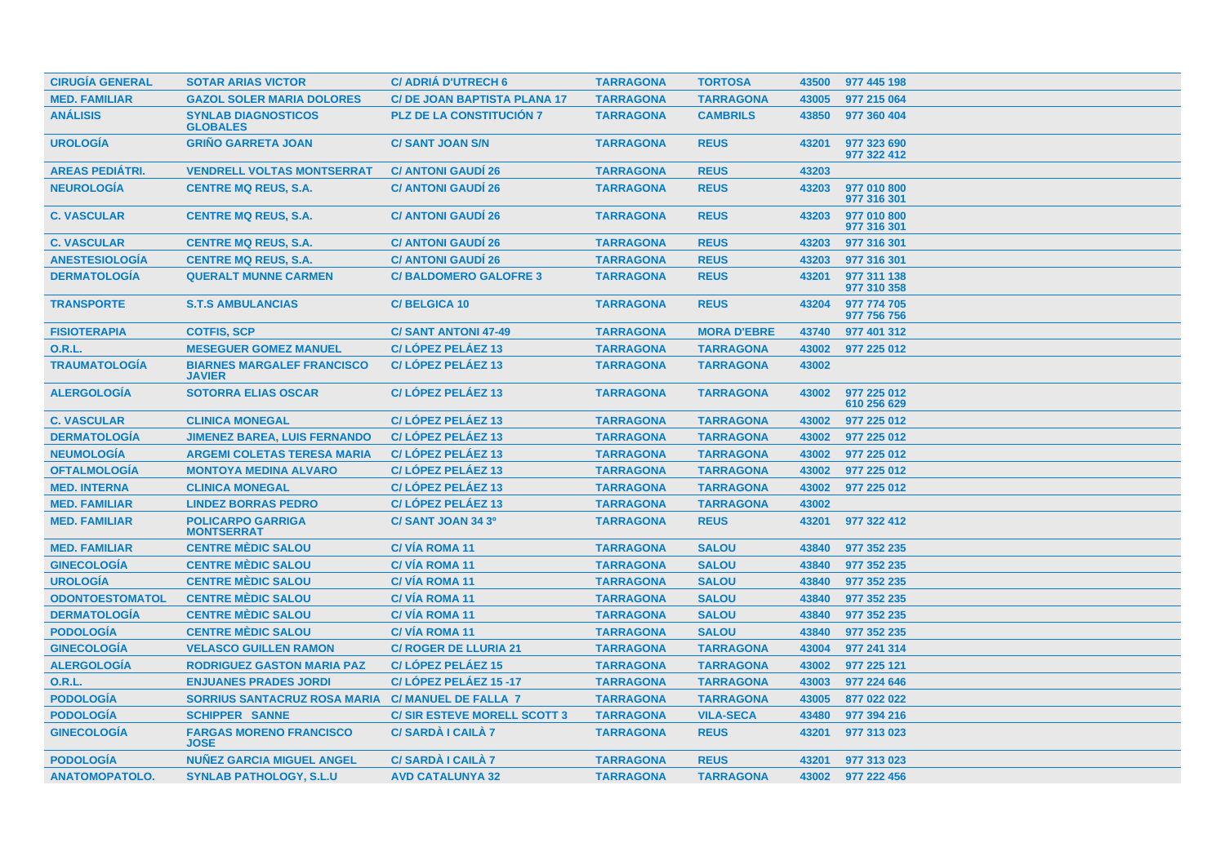| <b>CIRUGÍA GENERAL</b> | <b>SOTAR ARIAS VICTOR</b>                          | <b>C/ ADRIÁ D'UTRECH 6</b>         | <b>TARRAGONA</b> | <b>TORTOSA</b>     | 43500 | 977 445 198                |
|------------------------|----------------------------------------------------|------------------------------------|------------------|--------------------|-------|----------------------------|
| <b>MED. FAMILIAR</b>   | <b>GAZOL SOLER MARIA DOLORES</b>                   | <b>C/DE JOAN BAPTISTA PLANA 17</b> | <b>TARRAGONA</b> | <b>TARRAGONA</b>   | 43005 | 977 215 064                |
| <b>ANÁLISIS</b>        | <b>SYNLAB DIAGNOSTICOS</b><br><b>GLOBALES</b>      | <b>PLZ DE LA CONSTITUCIÓN 7</b>    | <b>TARRAGONA</b> | <b>CAMBRILS</b>    | 43850 | 977 360 404                |
| <b>UROLOGÍA</b>        | <b>GRIÑO GARRETA JOAN</b>                          | <b>C/SANT JOAN S/N</b>             | <b>TARRAGONA</b> | <b>REUS</b>        | 43201 | 977 323 690<br>977 322 412 |
| <b>AREAS PEDIATRI.</b> | <b>VENDRELL VOLTAS MONTSERRAT</b>                  | <b>C/ ANTONI GAUDI 26</b>          | <b>TARRAGONA</b> | <b>REUS</b>        | 43203 |                            |
| <b>NEUROLOGÍA</b>      | <b>CENTRE MQ REUS, S.A.</b>                        | <b>C/ ANTONI GAUDI 26</b>          | <b>TARRAGONA</b> | <b>REUS</b>        | 43203 | 977 010 800<br>977 316 301 |
| <b>C. VASCULAR</b>     | <b>CENTRE MQ REUS, S.A.</b>                        | <b>C/ ANTONI GAUDÍ 26</b>          | <b>TARRAGONA</b> | <b>REUS</b>        | 43203 | 977 010 800<br>977 316 301 |
| <b>C. VASCULAR</b>     | <b>CENTRE MQ REUS, S.A.</b>                        | <b>C/ ANTONI GAUDI 26</b>          | <b>TARRAGONA</b> | <b>REUS</b>        | 43203 | 977 316 301                |
| <b>ANESTESIOLOGÍA</b>  | <b>CENTRE MQ REUS, S.A.</b>                        | <b>C/ ANTONI GAUDI 26</b>          | <b>TARRAGONA</b> | <b>REUS</b>        | 43203 | 977 316 301                |
| <b>DERMATOLOGÍA</b>    | <b>QUERALT MUNNE CARMEN</b>                        | <b>C/BALDOMERO GALOFRE 3</b>       | <b>TARRAGONA</b> | <b>REUS</b>        | 43201 | 977 311 138<br>977 310 358 |
| <b>TRANSPORTE</b>      | <b>S.T.S AMBULANCIAS</b>                           | <b>C/BELGICA 10</b>                | <b>TARRAGONA</b> | <b>REUS</b>        | 43204 | 977 774 705<br>977 756 756 |
| <b>FISIOTERAPIA</b>    | <b>COTFIS, SCP</b>                                 | <b>C/SANT ANTONI 47-49</b>         | <b>TARRAGONA</b> | <b>MORA D'EBRE</b> | 43740 | 977 401 312                |
| <b>O.R.L.</b>          | <b>MESEGUER GOMEZ MANUEL</b>                       | C/LÓPEZ PELÁEZ 13                  | <b>TARRAGONA</b> | <b>TARRAGONA</b>   | 43002 | 977 225 012                |
| <b>TRAUMATOLOGÍA</b>   | <b>BIARNES MARGALEF FRANCISCO</b><br><b>JAVIER</b> | C/LÓPEZ PELÁEZ 13                  | <b>TARRAGONA</b> | <b>TARRAGONA</b>   | 43002 |                            |
| <b>ALERGOLOGÍA</b>     | <b>SOTORRA ELIAS OSCAR</b>                         | C/LÓPEZ PELÁEZ 13                  | <b>TARRAGONA</b> | <b>TARRAGONA</b>   | 43002 | 977 225 012<br>610 256 629 |
| <b>C. VASCULAR</b>     | <b>CLINICA MONEGAL</b>                             | C/LÓPEZ PELÁEZ 13                  | <b>TARRAGONA</b> | <b>TARRAGONA</b>   | 43002 | 977 225 012                |
| <b>DERMATOLOGIA</b>    | <b>JIMENEZ BAREA, LUIS FERNANDO</b>                | C/LÓPEZ PELÁEZ 13                  | <b>TARRAGONA</b> | <b>TARRAGONA</b>   | 43002 | 977 225 012                |
| <b>NEUMOLOGÍA</b>      | <b>ARGEMI COLETAS TERESA MARIA</b>                 | C/LÓPEZ PELÁEZ 13                  | <b>TARRAGONA</b> | <b>TARRAGONA</b>   | 43002 | 977 225 012                |
| <b>OFTALMOLOGÍA</b>    | <b>MONTOYA MEDINA ALVARO</b>                       | C/LÓPEZ PELÁEZ 13                  | <b>TARRAGONA</b> | <b>TARRAGONA</b>   | 43002 | 977 225 012                |
| <b>MED. INTERNA</b>    | <b>CLINICA MONEGAL</b>                             | C/LÓPEZ PELÁEZ 13                  | <b>TARRAGONA</b> | <b>TARRAGONA</b>   | 43002 | 977 225 012                |
| <b>MED. FAMILIAR</b>   | <b>LINDEZ BORRAS PEDRO</b>                         | C/LÓPEZ PELÁEZ 13                  | <b>TARRAGONA</b> | <b>TARRAGONA</b>   | 43002 |                            |
| <b>MED. FAMILIAR</b>   | <b>POLICARPO GARRIGA</b><br><b>MONTSERRAT</b>      | C/SANT JOAN 34 3º                  | <b>TARRAGONA</b> | <b>REUS</b>        | 43201 | 977 322 412                |
| <b>MED. FAMILIAR</b>   | <b>CENTRE MEDIC SALOU</b>                          | <b>C/VIA ROMA 11</b>               | <b>TARRAGONA</b> | <b>SALOU</b>       | 43840 | 977 352 235                |
| <b>GINECOLOGÍA</b>     | <b>CENTRE MÈDIC SALOU</b>                          | C/VÍA ROMA 11                      | <b>TARRAGONA</b> | <b>SALOU</b>       | 43840 | 977 352 235                |
| <b>UROLOGÍA</b>        | <b>CENTRE MÈDIC SALOU</b>                          | <b>C/VIA ROMA 11</b>               | <b>TARRAGONA</b> | <b>SALOU</b>       | 43840 | 977 352 235                |
| <b>ODONTOESTOMATOL</b> | <b>CENTRE MÈDIC SALOU</b>                          | <b>C/VIA ROMA 11</b>               | <b>TARRAGONA</b> | <b>SALOU</b>       | 43840 | 977 352 235                |
| <b>DERMATOLOGÍA</b>    | <b>CENTRE MÈDIC SALOU</b>                          | C/VÍA ROMA 11                      | <b>TARRAGONA</b> | <b>SALOU</b>       | 43840 | 977 352 235                |
| <b>PODOLOGÍA</b>       | <b>CENTRE MÈDIC SALOU</b>                          | C/VÍA ROMA 11                      | <b>TARRAGONA</b> | <b>SALOU</b>       | 43840 | 977 352 235                |
| <b>GINECOLOGÍA</b>     | <b>VELASCO GUILLEN RAMON</b>                       | <b>C/ ROGER DE LLURIA 21</b>       | <b>TARRAGONA</b> | <b>TARRAGONA</b>   | 43004 | 977 241 314                |
| <b>ALERGOLOGÍA</b>     | <b>RODRIGUEZ GASTON MARIA PAZ</b>                  | C/LÓPEZ PELÁEZ 15                  | <b>TARRAGONA</b> | <b>TARRAGONA</b>   | 43002 | 977 225 121                |
| <b>O.R.L.</b>          | <b>ENJUANES PRADES JORDI</b>                       | C/LÓPEZ PELÁEZ 15 -17              | <b>TARRAGONA</b> | <b>TARRAGONA</b>   | 43003 | 977 224 646                |
| <b>PODOLOGÍA</b>       | <b>SORRIUS SANTACRUZ ROSA MARIA</b>                | <b>C/ MANUEL DE FALLA 7</b>        | <b>TARRAGONA</b> | <b>TARRAGONA</b>   | 43005 | 877 022 022                |
| <b>PODOLOGÍA</b>       | <b>SCHIPPER SANNE</b>                              | <b>C/SIR ESTEVE MORELL SCOTT 3</b> | <b>TARRAGONA</b> | <b>VILA-SECA</b>   | 43480 | 977 394 216                |
| <b>GINECOLOGÍA</b>     | <b>FARGAS MORENO FRANCISCO</b><br><b>JOSE</b>      | <b>C/SARDA I CAILA 7</b>           | <b>TARRAGONA</b> | <b>REUS</b>        | 43201 | 977 313 023                |
| <b>PODOLOGÍA</b>       | <b>NUÑEZ GARCIA MIGUEL ANGEL</b>                   | <b>C/SARDA I CAILA 7</b>           | <b>TARRAGONA</b> | <b>REUS</b>        | 43201 | 977 313 023                |
| <b>ANATOMOPATOLO.</b>  | <b>SYNLAB PATHOLOGY, S.L.U</b>                     | <b>AVD CATALUNYA 32</b>            | <b>TARRAGONA</b> | <b>TARRAGONA</b>   |       | 43002 977 222 456          |
|                        |                                                    |                                    |                  |                    |       |                            |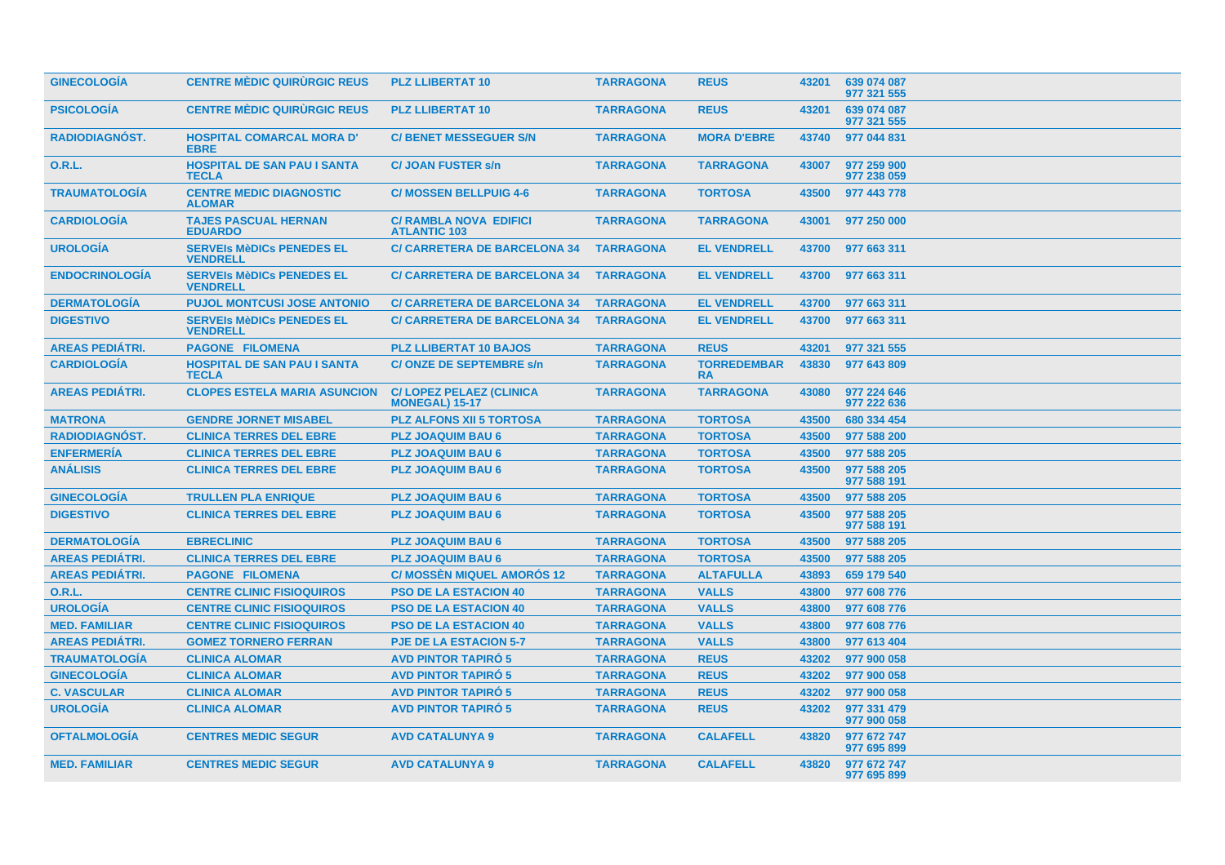| <b>GINECOLOGIA</b>     | <b>CENTRE MÉDIC QUIRURGIC REUS</b>                  | <b>PLZ LLIBERTAT 10</b>                                 | <b>TARRAGONA</b> | <b>REUS</b>                     | 43201 | 639 074 087<br>977 321 555 |
|------------------------|-----------------------------------------------------|---------------------------------------------------------|------------------|---------------------------------|-------|----------------------------|
| <b>PSICOLOGIA</b>      | <b>CENTRE MÈDIC QUIRURGIC REUS</b>                  | <b>PLZ LLIBERTAT 10</b>                                 | <b>TARRAGONA</b> | <b>REUS</b>                     | 43201 | 639 074 087<br>977 321 555 |
| <b>RADIODIAGNÓST.</b>  | <b>HOSPITAL COMARCAL MORA D'</b><br><b>EBRE</b>     | <b>C/ BENET MESSEGUER S/N</b>                           | <b>TARRAGONA</b> | <b>MORA D'EBRE</b>              | 43740 | 977 044 831                |
| <b>O.R.L.</b>          | <b>HOSPITAL DE SAN PAU I SANTA</b><br><b>TECLA</b>  | <b>C/JOAN FUSTER s/n</b>                                | <b>TARRAGONA</b> | <b>TARRAGONA</b>                | 43007 | 977 259 900<br>977 238 059 |
| <b>TRAUMATOLOGÍA</b>   | <b>CENTRE MEDIC DIAGNOSTIC</b><br><b>ALOMAR</b>     | <b>C/ MOSSEN BELLPUIG 4-6</b>                           | <b>TARRAGONA</b> | <b>TORTOSA</b>                  | 43500 | 977 443 778                |
| <b>CARDIOLOGÍA</b>     | <b>TAJES PASCUAL HERNAN</b><br><b>EDUARDO</b>       | <b>C/ RAMBLA NOVA EDIFICI</b><br><b>ATLANTIC 103</b>    | <b>TARRAGONA</b> | <b>TARRAGONA</b>                | 43001 | 977 250 000                |
| <b>UROLOGÍA</b>        | <b>SERVEIS MèDICS PENEDES EL</b><br><b>VENDRELL</b> | <b>C/ CARRETERA DE BARCELONA 34</b>                     | <b>TARRAGONA</b> | <b>EL VENDRELL</b>              | 43700 | 977 663 311                |
| <b>ENDOCRINOLOGÍA</b>  | <b>SERVEIS MèDICS PENEDES EL</b><br><b>VENDRELL</b> | <b>C/ CARRETERA DE BARCELONA 34</b>                     | <b>TARRAGONA</b> | <b>EL VENDRELL</b>              | 43700 | 977 663 311                |
| <b>DERMATOLOGÍA</b>    | <b>PUJOL MONTCUSI JOSE ANTONIO</b>                  | <b>C/ CARRETERA DE BARCELONA 34</b>                     | <b>TARRAGONA</b> | <b>EL VENDRELL</b>              | 43700 | 977 663 311                |
| <b>DIGESTIVO</b>       | <b>SERVEIS MèDICS PENEDES EL</b><br><b>VENDRELL</b> | <b>C/ CARRETERA DE BARCELONA 34</b>                     | <b>TARRAGONA</b> | <b>EL VENDRELL</b>              | 43700 | 977 663 311                |
| <b>AREAS PEDIATRI.</b> | <b>PAGONE FILOMENA</b>                              | <b>PLZ LLIBERTAT 10 BAJOS</b>                           | <b>TARRAGONA</b> | <b>REUS</b>                     | 43201 | 977 321 555                |
| <b>CARDIOLOGÍA</b>     | <b>HOSPITAL DE SAN PAU I SANTA</b><br><b>TECLA</b>  | <b>C/ONZE DE SEPTEMBRE s/n</b>                          | <b>TARRAGONA</b> | <b>TORREDEMBAR</b><br><b>RA</b> | 43830 | 977 643 809                |
| <b>AREAS PEDIÁTRI.</b> | <b>CLOPES ESTELA MARIA ASUNCION</b>                 | <b>C/LOPEZ PELAEZ (CLINICA</b><br><b>MONEGAL) 15-17</b> | <b>TARRAGONA</b> | <b>TARRAGONA</b>                | 43080 | 977 224 646<br>977 222 636 |
| <b>MATRONA</b>         | <b>GENDRE JORNET MISABEL</b>                        | <b>PLZ ALFONS XII 5 TORTOSA</b>                         | <b>TARRAGONA</b> | <b>TORTOSA</b>                  | 43500 | 680 334 454                |
| RADIODIAGNÓST.         | <b>CLINICA TERRES DEL EBRE</b>                      | <b>PLZ JOAQUIM BAU 6</b>                                | <b>TARRAGONA</b> | <b>TORTOSA</b>                  | 43500 | 977 588 200                |
| <b>ENFERMERÍA</b>      | <b>CLINICA TERRES DEL EBRE</b>                      | <b>PLZ JOAQUIM BAU 6</b>                                | <b>TARRAGONA</b> | <b>TORTOSA</b>                  | 43500 | 977 588 205                |
| <b>ANÁLISIS</b>        | <b>CLINICA TERRES DEL EBRE</b>                      | <b>PLZ JOAQUIM BAU 6</b>                                | <b>TARRAGONA</b> | <b>TORTOSA</b>                  | 43500 | 977 588 205<br>977 588 191 |
| <b>GINECOLOGÍA</b>     | <b>TRULLEN PLA ENRIQUE</b>                          | <b>PLZ JOAQUIM BAU 6</b>                                | <b>TARRAGONA</b> | <b>TORTOSA</b>                  | 43500 | 977 588 205                |
| <b>DIGESTIVO</b>       | <b>CLINICA TERRES DEL EBRE</b>                      | <b>PLZ JOAQUIM BAU 6</b>                                | <b>TARRAGONA</b> | <b>TORTOSA</b>                  | 43500 | 977 588 205<br>977 588 191 |
| <b>DERMATOLOGÍA</b>    | <b>EBRECLINIC</b>                                   | <b>PLZ JOAQUIM BAU 6</b>                                | <b>TARRAGONA</b> | <b>TORTOSA</b>                  | 43500 | 977 588 205                |
| <b>AREAS PEDIÁTRI.</b> | <b>CLINICA TERRES DEL EBRE</b>                      | <b>PLZ JOAQUIM BAU 6</b>                                | <b>TARRAGONA</b> | <b>TORTOSA</b>                  | 43500 | 977 588 205                |
| <b>AREAS PEDIÁTRI.</b> | <b>PAGONE FILOMENA</b>                              | <b>C/ MOSSEN MIQUEL AMOROS 12</b>                       | <b>TARRAGONA</b> | <b>ALTAFULLA</b>                | 43893 | 659 179 540                |
| <b>O.R.L.</b>          | <b>CENTRE CLINIC FISIOQUIROS</b>                    | <b>PSO DE LA ESTACION 40</b>                            | <b>TARRAGONA</b> | <b>VALLS</b>                    | 43800 | 977 608 776                |
| <b>UROLOGÍA</b>        | <b>CENTRE CLINIC FISIOQUIROS</b>                    | <b>PSO DE LA ESTACION 40</b>                            | <b>TARRAGONA</b> | <b>VALLS</b>                    | 43800 | 977 608 776                |
| <b>MED. FAMILIAR</b>   | <b>CENTRE CLINIC FISIOQUIROS</b>                    | <b>PSO DE LA ESTACION 40</b>                            | <b>TARRAGONA</b> | <b>VALLS</b>                    | 43800 | 977 608 776                |
| <b>AREAS PEDIÁTRI.</b> | <b>GOMEZ TORNERO FERRAN</b>                         | <b>PJE DE LA ESTACION 5-7</b>                           | <b>TARRAGONA</b> | <b>VALLS</b>                    | 43800 | 977 613 404                |
| <b>TRAUMATOLOGÍA</b>   | <b>CLINICA ALOMAR</b>                               | <b>AVD PINTOR TAPIRO 5</b>                              | <b>TARRAGONA</b> | <b>REUS</b>                     | 43202 | 977 900 058                |
| <b>GINECOLOGÍA</b>     | <b>CLINICA ALOMAR</b>                               | <b>AVD PINTOR TAPIRO 5</b>                              | <b>TARRAGONA</b> | <b>REUS</b>                     | 43202 | 977 900 058                |
| <b>C. VASCULAR</b>     | <b>CLINICA ALOMAR</b>                               | <b>AVD PINTOR TAPIRÓ 5</b>                              | <b>TARRAGONA</b> | <b>REUS</b>                     | 43202 | 977 900 058                |
| <b>UROLOGÍA</b>        | <b>CLINICA ALOMAR</b>                               | <b>AVD PINTOR TAPIRO 5</b>                              | <b>TARRAGONA</b> | <b>REUS</b>                     | 43202 | 977 331 479<br>977 900 058 |
| <b>OFTALMOLOGIA</b>    | <b>CENTRES MEDIC SEGUR</b>                          | <b>AVD CATALUNYA 9</b>                                  | <b>TARRAGONA</b> | <b>CALAFELL</b>                 | 43820 | 977 672 747<br>977 695 899 |
| <b>MED. FAMILIAR</b>   | <b>CENTRES MEDIC SEGUR</b>                          | <b>AVD CATALUNYA 9</b>                                  | <b>TARRAGONA</b> | <b>CALAFELL</b>                 | 43820 | 977 672 747<br>977 695 899 |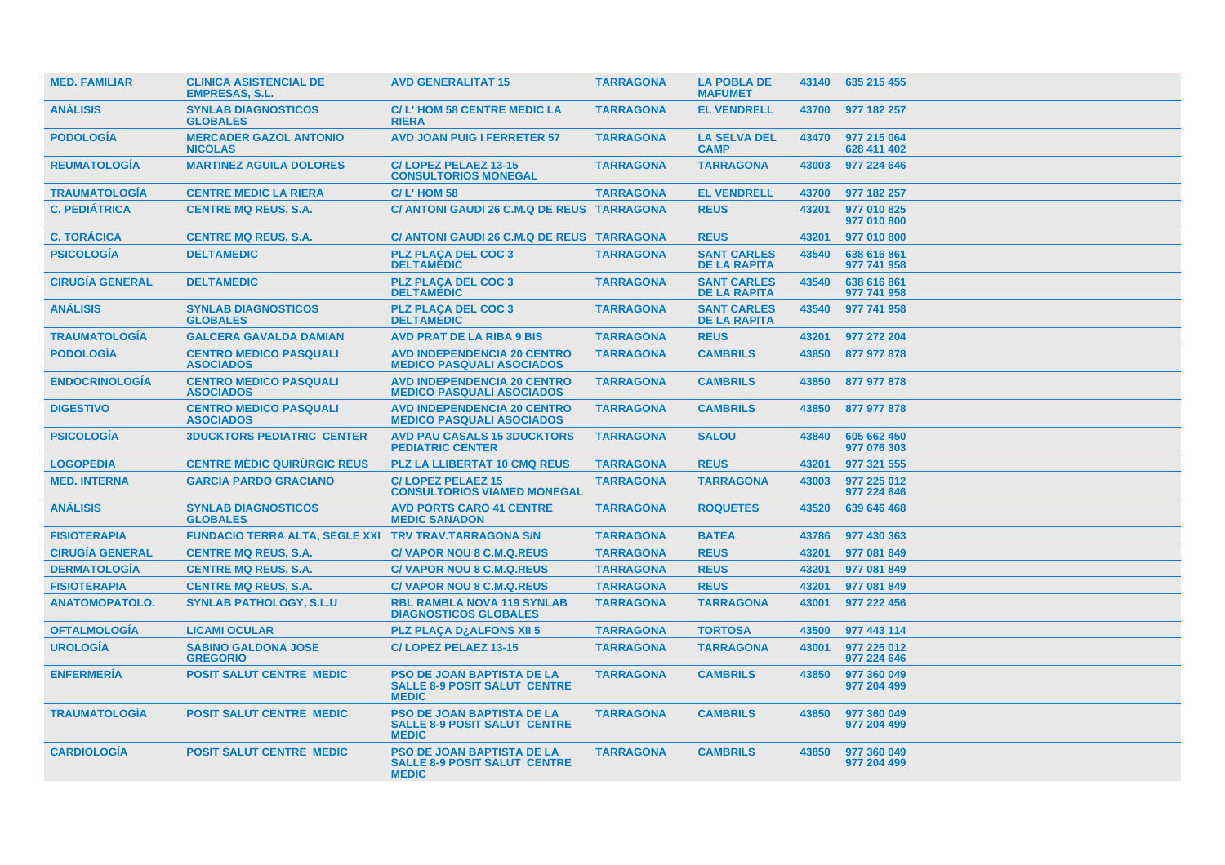| <b>MED. FAMILIAR</b>   | <b>CLINICA ASISTENCIAL DE</b><br><b>EMPRESAS, S.L.</b> | <b>AVD GENERALITAT 15</b>                                                                | <b>TARRAGONA</b> | <b>LA POBLA DE</b><br><b>MAFUMET</b>      |       | 43140 635 215 455          |
|------------------------|--------------------------------------------------------|------------------------------------------------------------------------------------------|------------------|-------------------------------------------|-------|----------------------------|
| <b>ANÁLISIS</b>        | <b>SYNLAB DIAGNOSTICOS</b><br><b>GLOBALES</b>          | C/L'HOM 58 CENTRE MEDIC LA<br><b>RIERA</b>                                               | <b>TARRAGONA</b> | <b>EL VENDRELL</b>                        | 43700 | 977 182 257                |
| <b>PODOLOGÍA</b>       | <b>MERCADER GAZOL ANTONIO</b><br><b>NICOLAS</b>        | <b>AVD JOAN PUIG I FERRETER 57</b>                                                       | <b>TARRAGONA</b> | <b>LA SELVA DEL</b><br><b>CAMP</b>        | 43470 | 977 215 064<br>628 411 402 |
| <b>REUMATOLOGÍA</b>    | <b>MARTINEZ AGUILA DOLORES</b>                         | C/LOPEZ PELAEZ 13-15<br><b>CONSULTORIOS MONEGAL</b>                                      | <b>TARRAGONA</b> | <b>TARRAGONA</b>                          | 43003 | 977 224 646                |
| <b>TRAUMATOLOGÍA</b>   | <b>CENTRE MEDIC LA RIERA</b>                           | <b>C/L'HOM 58</b>                                                                        | <b>TARRAGONA</b> | <b>EL VENDRELL</b>                        | 43700 | 977 182 257                |
| <b>C. PEDIÁTRICA</b>   | <b>CENTRE MQ REUS, S.A.</b>                            | C/ ANTONI GAUDI 26 C.M.Q DE REUS TARRAGONA                                               |                  | <b>REUS</b>                               | 43201 | 977 010 825<br>977 010 800 |
| <b>C. TORÁCICA</b>     | <b>CENTRE MQ REUS, S.A.</b>                            | C/ ANTONI GAUDI 26 C.M.Q DE REUS TARRAGONA                                               |                  | <b>REUS</b>                               | 43201 | 977 010 800                |
| <b>PSICOLOGÍA</b>      | <b>DELTAMEDIC</b>                                      | <b>PLZ PLAÇA DEL COC 3</b><br><b>DELTAMÉDIC</b>                                          | <b>TARRAGONA</b> | <b>SANT CARLES</b><br><b>DE LA RAPITA</b> | 43540 | 638 616 861<br>977 741 958 |
| <b>CIRUGÍA GENERAL</b> | <b>DELTAMEDIC</b>                                      | <b>PLZ PLACA DEL COC 3</b><br><b>DELTAMÉDIC</b>                                          | <b>TARRAGONA</b> | <b>SANT CARLES</b><br><b>DE LA RAPITA</b> | 43540 | 638 616 861<br>977 741 958 |
| <b>ANÁLISIS</b>        | <b>SYNLAB DIAGNOSTICOS</b><br><b>GLOBALES</b>          | <b>PLZ PLAÇA DEL COC 3</b><br><b>DELTAMÉDIC</b>                                          | <b>TARRAGONA</b> | <b>SANT CARLES</b><br><b>DE LA RAPITA</b> | 43540 | 977 741 958                |
| <b>TRAUMATOLOGÍA</b>   | <b>GALCERA GAVALDA DAMIAN</b>                          | <b>AVD PRAT DE LA RIBA 9 BIS</b>                                                         | <b>TARRAGONA</b> | <b>REUS</b>                               | 43201 | 977 272 204                |
| <b>PODOLOGÍA</b>       | <b>CENTRO MEDICO PASQUALI</b><br><b>ASOCIADOS</b>      | <b>AVD INDEPENDENCIA 20 CENTRO</b><br><b>MEDICO PASQUALI ASOCIADOS</b>                   | <b>TARRAGONA</b> | <b>CAMBRILS</b>                           | 43850 | 877 977 878                |
| <b>ENDOCRINOLOGIA</b>  | <b>CENTRO MEDICO PASQUALI</b><br><b>ASOCIADOS</b>      | <b>AVD INDEPENDENCIA 20 CENTRO</b><br><b>MEDICO PASQUALI ASOCIADOS</b>                   | <b>TARRAGONA</b> | <b>CAMBRILS</b>                           | 43850 | 877 977 878                |
| <b>DIGESTIVO</b>       | <b>CENTRO MEDICO PASQUALI</b><br><b>ASOCIADOS</b>      | <b>AVD INDEPENDENCIA 20 CENTRO</b><br><b>MEDICO PASQUALI ASOCIADOS</b>                   | <b>TARRAGONA</b> | <b>CAMBRILS</b>                           | 43850 | 877 977 878                |
| <b>PSICOLOGÍA</b>      | <b>3DUCKTORS PEDIATRIC CENTER</b>                      | <b>AVD PAU CASALS 15 3DUCKTORS</b><br><b>PEDIATRIC CENTER</b>                            | <b>TARRAGONA</b> | <b>SALOU</b>                              | 43840 | 605 662 450<br>977 076 303 |
| <b>LOGOPEDIA</b>       | <b>CENTRE MÉDIC QUIRURGIC REUS</b>                     | <b>PLZ LA LLIBERTAT 10 CMQ REUS</b>                                                      | <b>TARRAGONA</b> | <b>REUS</b>                               | 43201 | 977 321 555                |
| <b>MED. INTERNA</b>    | <b>GARCIA PARDO GRACIANO</b>                           | <b>C/LOPEZ PELAEZ 15</b><br><b>CONSULTORIOS VIAMED MONEGAL</b>                           | <b>TARRAGONA</b> | <b>TARRAGONA</b>                          | 43003 | 977 225 012<br>977 224 646 |
| <b>ANÁLISIS</b>        | <b>SYNLAB DIAGNOSTICOS</b><br><b>GLOBALES</b>          | <b>AVD PORTS CARO 41 CENTRE</b><br><b>MEDIC SANADON</b>                                  | <b>TARRAGONA</b> | <b>ROQUETES</b>                           | 43520 | 639 646 468                |
| <b>FISIOTERAPIA</b>    | FUNDACIO TERRA ALTA, SEGLE XXI TRV TRAV.TARRAGONA S/N  |                                                                                          | <b>TARRAGONA</b> | <b>BATEA</b>                              | 43786 | 977 430 363                |
| <b>CIRUGÍA GENERAL</b> | <b>CENTRE MQ REUS, S.A.</b>                            | <b>C/VAPOR NOU 8 C.M.Q.REUS</b>                                                          | <b>TARRAGONA</b> | <b>REUS</b>                               | 43201 | 977 081 849                |
| <b>DERMATOLOGÍA</b>    | <b>CENTRE MQ REUS, S.A.</b>                            | <b>C/VAPOR NOU 8 C.M.Q.REUS</b>                                                          | <b>TARRAGONA</b> | <b>REUS</b>                               | 43201 | 977 081 849                |
| <b>FISIOTERAPIA</b>    | <b>CENTRE MQ REUS, S.A.</b>                            | <b>C/VAPOR NOU 8 C.M.Q.REUS</b>                                                          | <b>TARRAGONA</b> | <b>REUS</b>                               | 43201 | 977 081 849                |
| <b>ANATOMOPATOLO.</b>  | <b>SYNLAB PATHOLOGY, S.L.U</b>                         | <b>RBL RAMBLA NOVA 119 SYNLAB</b><br><b>DIAGNOSTICOS GLOBALES</b>                        | <b>TARRAGONA</b> | <b>TARRAGONA</b>                          | 43001 | 977 222 456                |
| <b>OFTALMOLOGIA</b>    | <b>LICAMI OCULAR</b>                                   | <b>PLZ PLAÇA DzALFONS XII 5</b>                                                          | <b>TARRAGONA</b> | <b>TORTOSA</b>                            | 43500 | 977 443 114                |
| <b>UROLOGÍA</b>        | <b>SABINO GALDONA JOSE</b><br><b>GREGORIO</b>          | C/LOPEZ PELAEZ 13-15                                                                     | <b>TARRAGONA</b> | <b>TARRAGONA</b>                          | 43001 | 977 225 012<br>977 224 646 |
| <b>ENFERMERÍA</b>      | <b>POSIT SALUT CENTRE MEDIC</b>                        | <b>PSO DE JOAN BAPTISTA DE LA</b><br><b>SALLE 8-9 POSIT SALUT CENTRE</b><br><b>MEDIC</b> | <b>TARRAGONA</b> | <b>CAMBRILS</b>                           | 43850 | 977 360 049<br>977 204 499 |
| <b>TRAUMATOLOGIA</b>   | <b>POSIT SALUT CENTRE MEDIC</b>                        | <b>PSO DE JOAN BAPTISTA DE LA</b><br><b>SALLE 8-9 POSIT SALUT CENTRE</b><br><b>MEDIC</b> | <b>TARRAGONA</b> | <b>CAMBRILS</b>                           | 43850 | 977 360 049<br>977 204 499 |
| <b>CARDIOLOGIA</b>     | <b>POSIT SALUT CENTRE MEDIC</b>                        | <b>PSO DE JOAN BAPTISTA DE LA</b><br><b>SALLE 8-9 POSIT SALUT CENTRE</b><br><b>MEDIC</b> | <b>TARRAGONA</b> | <b>CAMBRILS</b>                           | 43850 | 977 360 049<br>977 204 499 |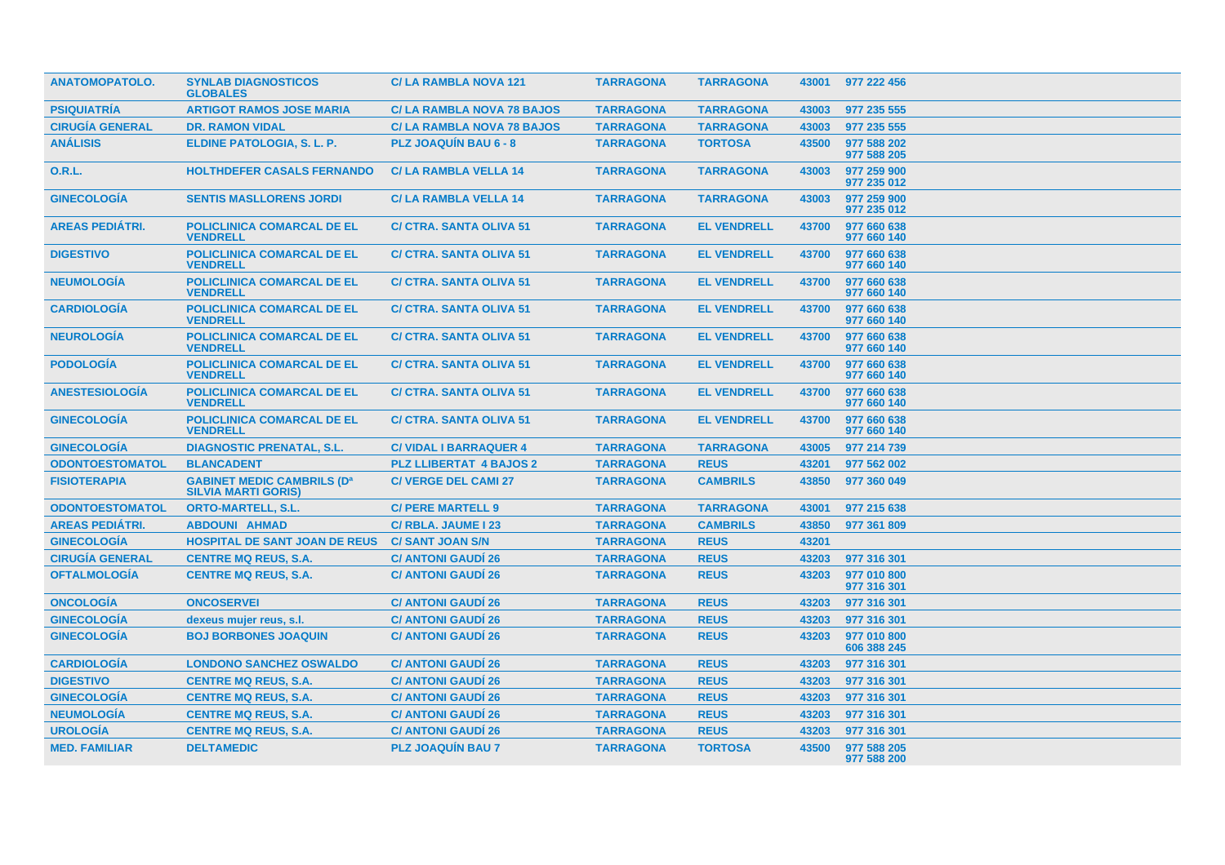| <b>ANATOMOPATOLO.</b>  | <b>SYNLAB DIAGNOSTICOS</b><br><b>GLOBALES</b>                   | <b>C/LA RAMBLA NOVA 121</b>      | <b>TARRAGONA</b> | <b>TARRAGONA</b>   |       | 43001 977 222 456          |
|------------------------|-----------------------------------------------------------------|----------------------------------|------------------|--------------------|-------|----------------------------|
| <b>PSIQUIATRÍA</b>     | <b>ARTIGOT RAMOS JOSE MARIA</b>                                 | <b>C/LA RAMBLA NOVA 78 BAJOS</b> | <b>TARRAGONA</b> | <b>TARRAGONA</b>   | 43003 | 977 235 555                |
| <b>CIRUGÍA GENERAL</b> | <b>DR. RAMON VIDAL</b>                                          | <b>C/LA RAMBLA NOVA 78 BAJOS</b> | <b>TARRAGONA</b> | <b>TARRAGONA</b>   | 43003 | 977 235 555                |
| <b>ANÁLISIS</b>        | ELDINE PATOLOGIA, S. L. P.                                      | <b>PLZ JOAQUIN BAU 6 - 8</b>     | <b>TARRAGONA</b> | <b>TORTOSA</b>     | 43500 | 977 588 202<br>977 588 205 |
| 0.R.L.                 | <b>HOLTHDEFER CASALS FERNANDO</b>                               | <b>C/LA RAMBLA VELLA 14</b>      | <b>TARRAGONA</b> | <b>TARRAGONA</b>   | 43003 | 977 259 900<br>977 235 012 |
| <b>GINECOLOGIA</b>     | <b>SENTIS MASLLORENS JORDI</b>                                  | <b>C/LA RAMBLA VELLA 14</b>      | <b>TARRAGONA</b> | <b>TARRAGONA</b>   | 43003 | 977 259 900<br>977 235 012 |
| <b>AREAS PEDIATRI.</b> | POLICLINICA COMARCAL DE EL<br><b>VENDRELL</b>                   | <b>C/ CTRA. SANTA OLIVA 51</b>   | <b>TARRAGONA</b> | <b>EL VENDRELL</b> | 43700 | 977 660 638<br>977 660 140 |
| <b>DIGESTIVO</b>       | <b>POLICLINICA COMARCAL DE EL</b><br><b>VENDRELL</b>            | <b>C/ CTRA, SANTA OLIVA 51</b>   | <b>TARRAGONA</b> | <b>EL VENDRELL</b> | 43700 | 977 660 638<br>977 660 140 |
| <b>NEUMOLOGÍA</b>      | <b>POLICLINICA COMARCAL DE EL</b><br><b>VENDRELL</b>            | <b>C/ CTRA. SANTA OLIVA 51</b>   | <b>TARRAGONA</b> | <b>EL VENDRELL</b> | 43700 | 977 660 638<br>977 660 140 |
| <b>CARDIOLOGÍA</b>     | <b>POLICLINICA COMARCAL DE EL</b><br><b>VENDRELL</b>            | <b>C/ CTRA. SANTA OLIVA 51</b>   | <b>TARRAGONA</b> | <b>EL VENDRELL</b> | 43700 | 977 660 638<br>977 660 140 |
| <b>NEUROLOGÍA</b>      | <b>POLICLINICA COMARCAL DE EL</b><br><b>VENDRELL</b>            | <b>C/ CTRA, SANTA OLIVA 51</b>   | <b>TARRAGONA</b> | <b>EL VENDRELL</b> | 43700 | 977 660 638<br>977 660 140 |
| <b>PODOLOGÍA</b>       | <b>POLICLINICA COMARCAL DE EL</b><br><b>VENDRELL</b>            | <b>C/ CTRA, SANTA OLIVA 51</b>   | <b>TARRAGONA</b> | <b>EL VENDRELL</b> | 43700 | 977 660 638<br>977 660 140 |
| <b>ANESTESIOLOGÍA</b>  | <b>POLICLINICA COMARCAL DE EL</b><br><b>VENDRELL</b>            | <b>C/ CTRA. SANTA OLIVA 51</b>   | <b>TARRAGONA</b> | <b>EL VENDRELL</b> | 43700 | 977 660 638<br>977 660 140 |
| <b>GINECOLOGÍA</b>     | <b>POLICLINICA COMARCAL DE EL</b><br><b>VENDRELL</b>            | <b>C/ CTRA. SANTA OLIVA 51</b>   | <b>TARRAGONA</b> | <b>EL VENDRELL</b> | 43700 | 977 660 638<br>977 660 140 |
| <b>GINECOLOGÍA</b>     | <b>DIAGNOSTIC PRENATAL, S.L.</b>                                | <b>C/ VIDAL I BARRAQUER 4</b>    | <b>TARRAGONA</b> | <b>TARRAGONA</b>   | 43005 | 977 214 739                |
| <b>ODONTOESTOMATOL</b> | <b>BLANCADENT</b>                                               | <b>PLZ LLIBERTAT 4 BAJOS 2</b>   | <b>TARRAGONA</b> | <b>REUS</b>        | 43201 | 977 562 002                |
| <b>FISIOTERAPIA</b>    | <b>GABINET MEDIC CAMBRILS (Da</b><br><b>SILVIA MARTI GORIS)</b> | <b>C/ VERGE DEL CAMI 27</b>      | <b>TARRAGONA</b> | <b>CAMBRILS</b>    | 43850 | 977 360 049                |
| <b>ODONTOESTOMATOL</b> | <b>ORTO-MARTELL, S.L.</b>                                       | <b>C/ PERE MARTELL 9</b>         | <b>TARRAGONA</b> | <b>TARRAGONA</b>   | 43001 | 977 215 638                |
| <b>AREAS PEDIÁTRI.</b> | <b>ABDOUNI AHMAD</b>                                            | C/ RBLA. JAUME I 23              | <b>TARRAGONA</b> | <b>CAMBRILS</b>    | 43850 | 977 361 809                |
| <b>GINECOLOGÍA</b>     | <b>HOSPITAL DE SANT JOAN DE REUS</b>                            | <b>C/ SANT JOAN S/N</b>          | <b>TARRAGONA</b> | <b>REUS</b>        | 43201 |                            |
| <b>CIRUGÍA GENERAL</b> | <b>CENTRE MQ REUS, S.A.</b>                                     | <b>C/ ANTONI GAUDI 26</b>        | <b>TARRAGONA</b> | <b>REUS</b>        | 43203 | 977 316 301                |
| <b>OFTALMOLOGÍA</b>    | <b>CENTRE MQ REUS, S.A.</b>                                     | <b>C/ ANTONI GAUDI 26</b>        | <b>TARRAGONA</b> | <b>REUS</b>        | 43203 | 977 010 800<br>977 316 301 |
| <b>ONCOLOGÍA</b>       | <b>ONCOSERVEI</b>                                               | <b>C/ ANTONI GAUDÍ 26</b>        | <b>TARRAGONA</b> | <b>REUS</b>        | 43203 | 977 316 301                |
| <b>GINECOLOGÍA</b>     | dexeus mujer reus, s.l.                                         | <b>C/ ANTONI GAUDI 26</b>        | <b>TARRAGONA</b> | <b>REUS</b>        | 43203 | 977 316 301                |
| <b>GINECOLOGÍA</b>     | <b>BOJ BORBONES JOAQUIN</b>                                     | <b>C/ ANTONI GAUDI 26</b>        | <b>TARRAGONA</b> | <b>REUS</b>        | 43203 | 977 010 800<br>606 388 245 |
| <b>CARDIOLOGÍA</b>     | <b>LONDONO SANCHEZ OSWALDO</b>                                  | <b>C/ ANTONI GAUDI 26</b>        | <b>TARRAGONA</b> | <b>REUS</b>        | 43203 | 977 316 301                |
| <b>DIGESTIVO</b>       | <b>CENTRE MQ REUS, S.A.</b>                                     | <b>C/ ANTONI GAUDI 26</b>        | <b>TARRAGONA</b> | <b>REUS</b>        | 43203 | 977 316 301                |
| <b>GINECOLOGÍA</b>     | <b>CENTRE MQ REUS, S.A.</b>                                     | <b>C/ ANTONI GAUDÍ 26</b>        | <b>TARRAGONA</b> | <b>REUS</b>        | 43203 | 977 316 301                |
| <b>NEUMOLOGÍA</b>      | <b>CENTRE MQ REUS, S.A.</b>                                     | <b>C/ ANTONI GAUDI 26</b>        | <b>TARRAGONA</b> | <b>REUS</b>        | 43203 | 977 316 301                |
| <b>UROLOGÍA</b>        | <b>CENTRE MQ REUS, S.A.</b>                                     | <b>C/ ANTONI GAUDI 26</b>        | <b>TARRAGONA</b> | <b>REUS</b>        | 43203 | 977 316 301                |
| <b>MED. FAMILIAR</b>   | <b>DELTAMEDIC</b>                                               | <b>PLZ JOAQUÍN BAU 7</b>         | <b>TARRAGONA</b> | <b>TORTOSA</b>     | 43500 | 977 588 205<br>977 588 200 |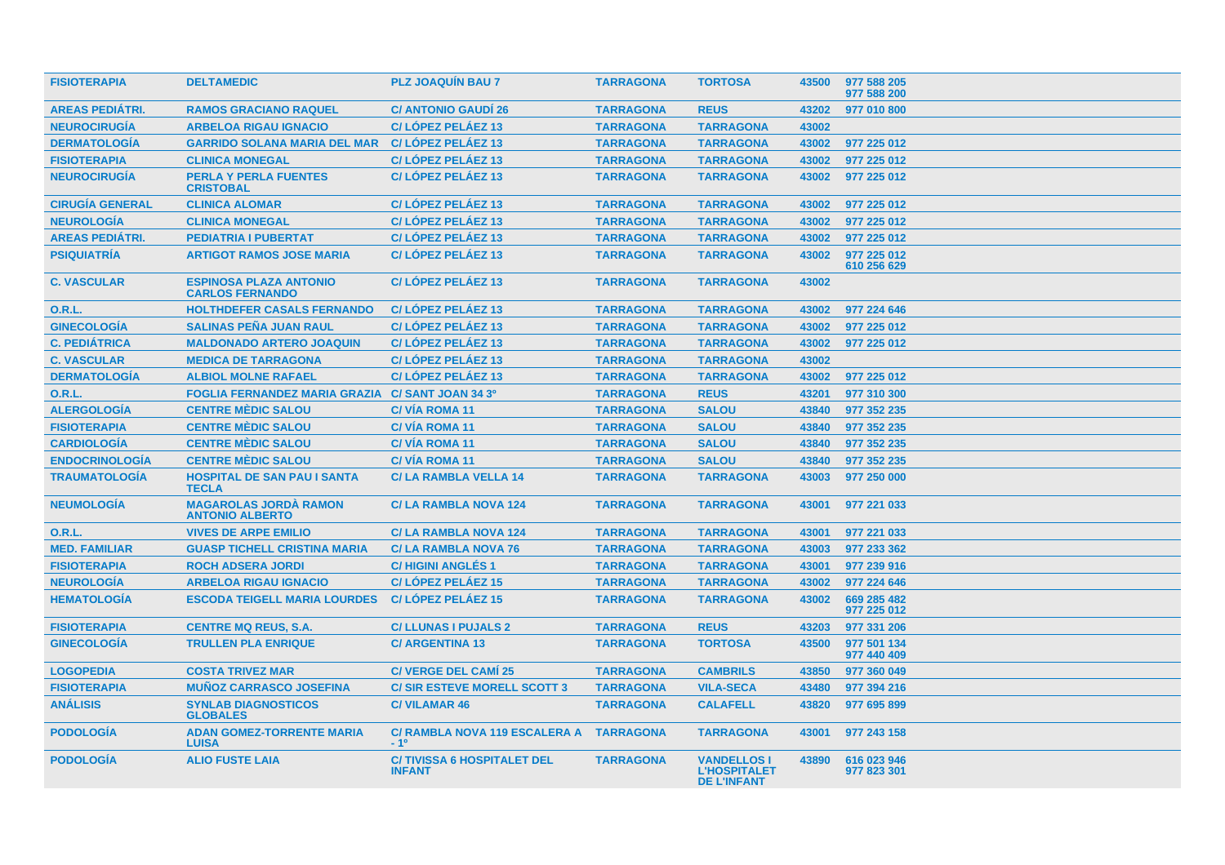| <b>FISIOTERAPIA</b>    | <b>DELTAMEDIC</b>                                       | <b>PLZ JOAQUIN BAU 7</b>                           | <b>TARRAGONA</b> | <b>TORTOSA</b>                                                  | 43500 | 977 588 205<br>977 588 200 |
|------------------------|---------------------------------------------------------|----------------------------------------------------|------------------|-----------------------------------------------------------------|-------|----------------------------|
| <b>AREAS PEDIÁTRI.</b> | <b>RAMOS GRACIANO RAQUEL</b>                            | <b>C/ ANTONIO GAUDI 26</b>                         | <b>TARRAGONA</b> | <b>REUS</b>                                                     | 43202 | 977 010 800                |
| <b>NEUROCIRUGÍA</b>    | <b>ARBELOA RIGAU IGNACIO</b>                            | C/LÓPEZ PELÁEZ 13                                  | <b>TARRAGONA</b> | <b>TARRAGONA</b>                                                | 43002 |                            |
| <b>DERMATOLOGÍA</b>    | <b>GARRIDO SOLANA MARIA DEL MAR</b>                     | C/LÓPEZ PELÁEZ 13                                  | <b>TARRAGONA</b> | <b>TARRAGONA</b>                                                | 43002 | 977 225 012                |
| <b>FISIOTERAPIA</b>    | <b>CLINICA MONEGAL</b>                                  | C/LÓPEZ PELÁEZ 13                                  | <b>TARRAGONA</b> | <b>TARRAGONA</b>                                                | 43002 | 977 225 012                |
| <b>NEUROCIRUGÍA</b>    | <b>PERLA Y PERLA FUENTES</b><br><b>CRISTOBAL</b>        | C/LOPEZ PELAEZ 13                                  | <b>TARRAGONA</b> | <b>TARRAGONA</b>                                                | 43002 | 977 225 012                |
| <b>CIRUGÍA GENERAL</b> | <b>CLINICA ALOMAR</b>                                   | C/LÓPEZ PELÁEZ 13                                  | <b>TARRAGONA</b> | <b>TARRAGONA</b>                                                | 43002 | 977 225 012                |
| <b>NEUROLOGÍA</b>      | <b>CLINICA MONEGAL</b>                                  | C/LOPEZ PELAEZ 13                                  | <b>TARRAGONA</b> | <b>TARRAGONA</b>                                                | 43002 | 977 225 012                |
| <b>AREAS PEDIÁTRI.</b> | <b>PEDIATRIA I PUBERTAT</b>                             | C/LÓPEZ PELÁEZ 13                                  | <b>TARRAGONA</b> | <b>TARRAGONA</b>                                                | 43002 | 977 225 012                |
| <b>PSIQUIATRÍA</b>     | <b>ARTIGOT RAMOS JOSE MARIA</b>                         | C/LOPEZ PELAEZ 13                                  | <b>TARRAGONA</b> | <b>TARRAGONA</b>                                                | 43002 | 977 225 012<br>610 256 629 |
| <b>C. VASCULAR</b>     | <b>ESPINOSA PLAZA ANTONIO</b><br><b>CARLOS FERNANDO</b> | C/LÓPEZ PELÁEZ 13                                  | <b>TARRAGONA</b> | <b>TARRAGONA</b>                                                | 43002 |                            |
| 0.R.L.                 | <b>HOLTHDEFER CASALS FERNANDO</b>                       | C/LOPEZ PELAEZ 13                                  | <b>TARRAGONA</b> | <b>TARRAGONA</b>                                                | 43002 | 977 224 646                |
| <b>GINECOLOGÍA</b>     | <b>SALINAS PEÑA JUAN RAUL</b>                           | C/LÓPEZ PELÁEZ 13                                  | <b>TARRAGONA</b> | <b>TARRAGONA</b>                                                | 43002 | 977 225 012                |
| <b>C. PEDIÁTRICA</b>   | <b>MALDONADO ARTERO JOAQUIN</b>                         | C/LOPEZ PELAEZ 13                                  | <b>TARRAGONA</b> | <b>TARRAGONA</b>                                                | 43002 | 977 225 012                |
| <b>C. VASCULAR</b>     | <b>MEDICA DE TARRAGONA</b>                              | C/LOPEZ PELAEZ 13                                  | <b>TARRAGONA</b> | <b>TARRAGONA</b>                                                | 43002 |                            |
| <b>DERMATOLOGÍA</b>    | <b>ALBIOL MOLNE RAFAEL</b>                              | C/LÓPEZ PELÁEZ 13                                  | <b>TARRAGONA</b> | <b>TARRAGONA</b>                                                | 43002 | 977 225 012                |
| <b>O.R.L.</b>          | <b>FOGLIA FERNANDEZ MARIA GRAZIA</b>                    | C/ SANT JOAN 34 3º                                 | <b>TARRAGONA</b> | <b>REUS</b>                                                     | 43201 | 977 310 300                |
| <b>ALERGOLOGÍA</b>     | <b>CENTRE MÈDIC SALOU</b>                               | <b>C/VÍA ROMA 11</b>                               | <b>TARRAGONA</b> | <b>SALOU</b>                                                    | 43840 | 977 352 235                |
| <b>FISIOTERAPIA</b>    | <b>CENTRE MÈDIC SALOU</b>                               | <b>C/VIA ROMA 11</b>                               | <b>TARRAGONA</b> | <b>SALOU</b>                                                    | 43840 | 977 352 235                |
| <b>CARDIOLOGÍA</b>     | <b>CENTRE MÈDIC SALOU</b>                               | <b>C/VIA ROMA 11</b>                               | <b>TARRAGONA</b> | <b>SALOU</b>                                                    | 43840 | 977 352 235                |
| <b>ENDOCRINOLOGÍA</b>  | <b>CENTRE MÈDIC SALOU</b>                               | <b>C/VÍA ROMA 11</b>                               | <b>TARRAGONA</b> | <b>SALOU</b>                                                    | 43840 | 977 352 235                |
| <b>TRAUMATOLOGÍA</b>   | <b>HOSPITAL DE SAN PAU I SANTA</b><br><b>TECLA</b>      | <b>C/LA RAMBLA VELLA 14</b>                        | <b>TARRAGONA</b> | <b>TARRAGONA</b>                                                | 43003 | 977 250 000                |
| <b>NEUMOLOGÍA</b>      | <b>MAGAROLAS JORDÀ RAMON</b><br><b>ANTONIO ALBERTO</b>  | <b>C/LA RAMBLA NOVA 124</b>                        | <b>TARRAGONA</b> | <b>TARRAGONA</b>                                                | 43001 | 977 221 033                |
| <b>O.R.L.</b>          | <b>VIVES DE ARPE EMILIO</b>                             | <b>C/LA RAMBLA NOVA 124</b>                        | <b>TARRAGONA</b> | <b>TARRAGONA</b>                                                | 43001 | 977 221 033                |
| <b>MED. FAMILIAR</b>   | <b>GUASP TICHELL CRISTINA MARIA</b>                     | <b>C/LA RAMBLA NOVA 76</b>                         | <b>TARRAGONA</b> | <b>TARRAGONA</b>                                                | 43003 | 977 233 362                |
| <b>FISIOTERAPIA</b>    | <b>ROCH ADSERA JORDI</b>                                | <b>C/HIGINI ANGLÉS 1</b>                           | <b>TARRAGONA</b> | <b>TARRAGONA</b>                                                | 43001 | 977 239 916                |
| <b>NEUROLOGÍA</b>      | <b>ARBELOA RIGAU IGNACIO</b>                            | C/LOPEZ PELAEZ 15                                  | <b>TARRAGONA</b> | <b>TARRAGONA</b>                                                | 43002 | 977 224 646                |
| <b>HEMATOLOGÍA</b>     | <b>ESCODA TEIGELL MARIA LOURDES</b>                     | C/LÓPEZ PELÁEZ 15                                  | <b>TARRAGONA</b> | <b>TARRAGONA</b>                                                | 43002 | 669 285 482<br>977 225 012 |
| <b>FISIOTERAPIA</b>    | <b>CENTRE MQ REUS, S.A.</b>                             | <b>C/LLUNAS I PUJALS 2</b>                         | <b>TARRAGONA</b> | <b>REUS</b>                                                     | 43203 | 977 331 206                |
| <b>GINECOLOGÍA</b>     | <b>TRULLEN PLA ENRIQUE</b>                              | <b>C/ ARGENTINA 13</b>                             | <b>TARRAGONA</b> | <b>TORTOSA</b>                                                  | 43500 | 977 501 134<br>977 440 409 |
| <b>LOGOPEDIA</b>       | <b>COSTA TRIVEZ MAR</b>                                 | <b>C/ VERGE DEL CAMI 25</b>                        | <b>TARRAGONA</b> | <b>CAMBRILS</b>                                                 | 43850 | 977 360 049                |
| <b>FISIOTERAPIA</b>    | <b>MUÑOZ CARRASCO JOSEFINA</b>                          | <b>C/SIR ESTEVE MORELL SCOTT 3</b>                 | <b>TARRAGONA</b> | <b>VILA-SECA</b>                                                | 43480 | 977 394 216                |
| <b>ANÁLISIS</b>        | <b>SYNLAB DIAGNOSTICOS</b><br><b>GLOBALES</b>           | <b>C/VILAMAR 46</b>                                | <b>TARRAGONA</b> | <b>CALAFELL</b>                                                 | 43820 | 977 695 899                |
| <b>PODOLOGÍA</b>       | <b>ADAN GOMEZ-TORRENTE MARIA</b><br><b>LUISA</b>        | <b>C/ RAMBLA NOVA 119 ESCALERA A</b><br>$-10$      | <b>TARRAGONA</b> | <b>TARRAGONA</b>                                                | 43001 | 977 243 158                |
| <b>PODOLOGIA</b>       | <b>ALIO FUSTE LAIA</b>                                  | <b>C/TIVISSA 6 HOSPITALET DEL</b><br><b>INFANT</b> | <b>TARRAGONA</b> | <b>VANDELLOS I</b><br><b>L'HOSPITALET</b><br><b>DE L'INFANT</b> | 43890 | 616 023 946<br>977 823 301 |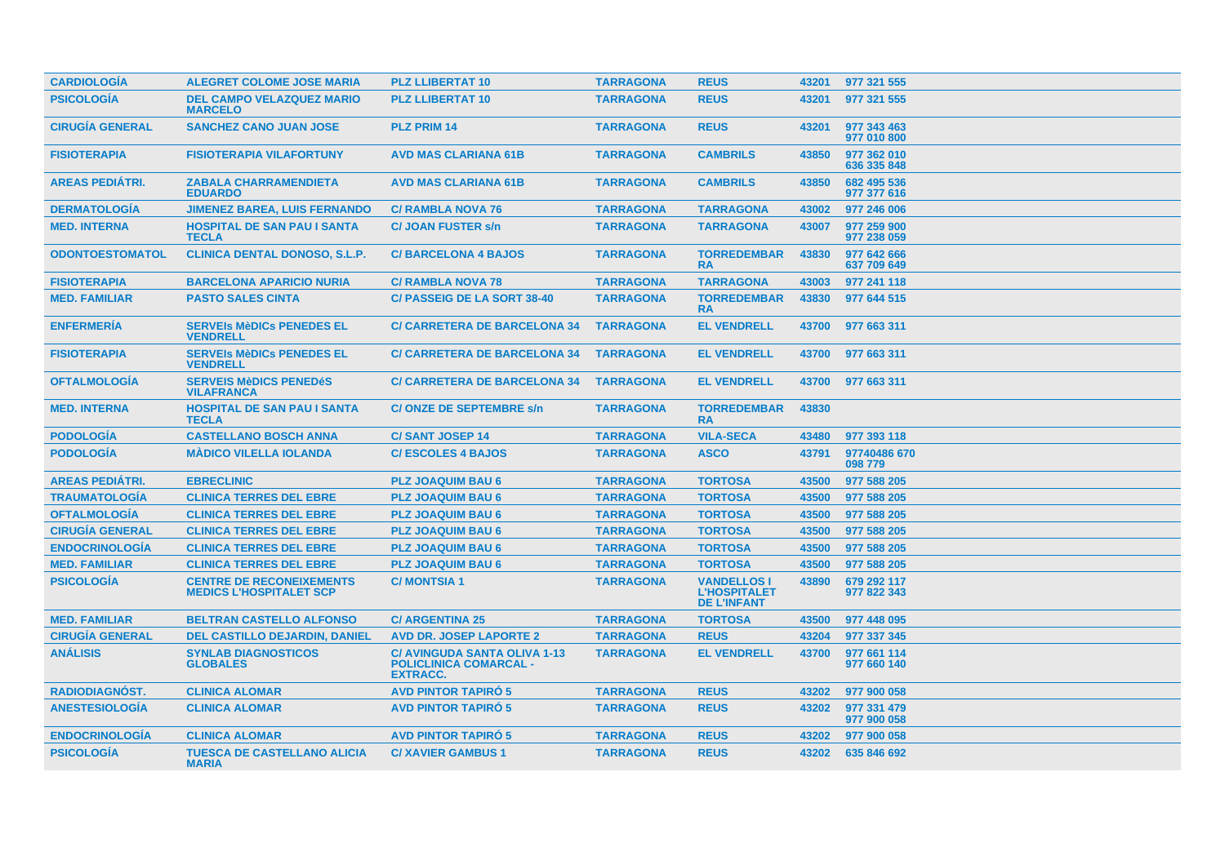| <b>CARDIOLOGÍA</b>     | <b>ALEGRET COLOME JOSE MARIA</b>                                  | <b>PLZ LLIBERTAT 10</b>                                                                 | <b>TARRAGONA</b> | <b>REUS</b>                                                     | 43201 | 977 321 555                |
|------------------------|-------------------------------------------------------------------|-----------------------------------------------------------------------------------------|------------------|-----------------------------------------------------------------|-------|----------------------------|
| <b>PSICOLOGÍA</b>      | <b>DEL CAMPO VELAZQUEZ MARIO</b><br><b>MARCELO</b>                | <b>PLZ LLIBERTAT 10</b>                                                                 | <b>TARRAGONA</b> | <b>REUS</b>                                                     | 43201 | 977 321 555                |
| <b>CIRUGÍA GENERAL</b> | <b>SANCHEZ CANO JUAN JOSE</b>                                     | <b>PLZ PRIM 14</b>                                                                      | <b>TARRAGONA</b> | <b>REUS</b>                                                     | 43201 | 977 343 463<br>977 010 800 |
| <b>FISIOTERAPIA</b>    | <b>FISIOTERAPIA VILAFORTUNY</b>                                   | <b>AVD MAS CLARIANA 61B</b>                                                             | <b>TARRAGONA</b> | <b>CAMBRILS</b>                                                 | 43850 | 977 362 010<br>636 335 848 |
| <b>AREAS PEDIÁTRI.</b> | <b>ZABALA CHARRAMENDIETA</b><br><b>EDUARDO</b>                    | <b>AVD MAS CLARIANA 61B</b>                                                             | <b>TARRAGONA</b> | <b>CAMBRILS</b>                                                 | 43850 | 682 495 536<br>977 377 616 |
| <b>DERMATOLOGIA</b>    | <b>JIMENEZ BAREA, LUIS FERNANDO</b>                               | <b>C/ RAMBLA NOVA 76</b>                                                                | <b>TARRAGONA</b> | <b>TARRAGONA</b>                                                | 43002 | 977 246 006                |
| <b>MED. INTERNA</b>    | <b>HOSPITAL DE SAN PAU I SANTA</b><br><b>TECLA</b>                | <b>C/ JOAN FUSTER s/n</b>                                                               | <b>TARRAGONA</b> | <b>TARRAGONA</b>                                                | 43007 | 977 259 900<br>977 238 059 |
| <b>ODONTOESTOMATOL</b> | <b>CLINICA DENTAL DONOSO, S.L.P.</b>                              | <b>C/BARCELONA 4 BAJOS</b>                                                              | <b>TARRAGONA</b> | <b>TORREDEMBAR</b><br><b>RA</b>                                 | 43830 | 977 642 666<br>637 709 649 |
| <b>FISIOTERAPIA</b>    | <b>BARCELONA APARICIO NURIA</b>                                   | <b>C/ RAMBLA NOVA 78</b>                                                                | <b>TARRAGONA</b> | <b>TARRAGONA</b>                                                | 43003 | 977 241 118                |
| <b>MED. FAMILIAR</b>   | <b>PASTO SALES CINTA</b>                                          | <b>C/ PASSEIG DE LA SORT 38-40</b>                                                      | <b>TARRAGONA</b> | <b>TORREDEMBAR</b><br><b>RA</b>                                 | 43830 | 977 644 515                |
| <b>ENFERMERÍA</b>      | <b>SERVEIS MèDICS PENEDES EL</b><br><b>VENDRELL</b>               | <b>C/ CARRETERA DE BARCELONA 34</b>                                                     | <b>TARRAGONA</b> | <b>EL VENDRELL</b>                                              | 43700 | 977 663 311                |
| <b>FISIOTERAPIA</b>    | <b>SERVEIS MèDICS PENEDES EL</b><br><b>VENDRELL</b>               | <b>C/ CARRETERA DE BARCELONA 34</b>                                                     | <b>TARRAGONA</b> | <b>EL VENDRELL</b>                                              | 43700 | 977 663 311                |
| <b>OFTALMOLOGÍA</b>    | <b>SERVEIS MèDICS PENEDÉS</b><br><b>VILAFRANCA</b>                | <b>C/ CARRETERA DE BARCELONA 34</b>                                                     | <b>TARRAGONA</b> | <b>EL VENDRELL</b>                                              | 43700 | 977 663 311                |
| <b>MED. INTERNA</b>    | <b>HOSPITAL DE SAN PAU I SANTA</b><br><b>TECLA</b>                | <b>C/ONZE DE SEPTEMBRE s/n</b>                                                          | <b>TARRAGONA</b> | <b>TORREDEMBAR</b><br><b>RA</b>                                 | 43830 |                            |
| <b>PODOLOGÍA</b>       | <b>CASTELLANO BOSCH ANNA</b>                                      | <b>C/SANT JOSEP 14</b>                                                                  | <b>TARRAGONA</b> | <b>VILA-SECA</b>                                                | 43480 | 977 393 118                |
| <b>PODOLOGÍA</b>       | <b>MÁDICO VILELLA IOLANDA</b>                                     | <b>C/ESCOLES 4 BAJOS</b>                                                                | <b>TARRAGONA</b> | <b>ASCO</b>                                                     | 43791 | 97740486 670<br>098 779    |
| <b>AREAS PEDIÁTRI.</b> | <b>EBRECLINIC</b>                                                 | <b>PLZ JOAQUIM BAU 6</b>                                                                | <b>TARRAGONA</b> | <b>TORTOSA</b>                                                  | 43500 | 977 588 205                |
| <b>TRAUMATOLOGÍA</b>   | <b>CLINICA TERRES DEL EBRE</b>                                    | <b>PLZ JOAQUIM BAU 6</b>                                                                | <b>TARRAGONA</b> | <b>TORTOSA</b>                                                  | 43500 | 977 588 205                |
| <b>OFTALMOLOGÍA</b>    | <b>CLINICA TERRES DEL EBRE</b>                                    | <b>PLZ JOAQUIM BAU 6</b>                                                                | <b>TARRAGONA</b> | <b>TORTOSA</b>                                                  | 43500 | 977 588 205                |
| <b>CIRUGÍA GENERAL</b> | <b>CLINICA TERRES DEL EBRE</b>                                    | <b>PLZ JOAQUIM BAU 6</b>                                                                | <b>TARRAGONA</b> | <b>TORTOSA</b>                                                  | 43500 | 977 588 205                |
| <b>ENDOCRINOLOGÍA</b>  | <b>CLINICA TERRES DEL EBRE</b>                                    | <b>PLZ JOAQUIM BAU 6</b>                                                                | <b>TARRAGONA</b> | <b>TORTOSA</b>                                                  | 43500 | 977 588 205                |
| <b>MED. FAMILIAR</b>   | <b>CLINICA TERRES DEL EBRE</b>                                    | <b>PLZ JOAQUIM BAU 6</b>                                                                | <b>TARRAGONA</b> | <b>TORTOSA</b>                                                  | 43500 | 977 588 205                |
| <b>PSICOLOGÍA</b>      | <b>CENTRE DE RECONEIXEMENTS</b><br><b>MEDICS L'HOSPITALET SCP</b> | <b>C/MONTSIA1</b>                                                                       | <b>TARRAGONA</b> | <b>VANDELLOS I</b><br><b>L'HOSPITALET</b><br><b>DE L'INFANT</b> | 43890 | 679 292 117<br>977 822 343 |
| <b>MED. FAMILIAR</b>   | <b>BELTRAN CASTELLO ALFONSO</b>                                   | <b>C/ ARGENTINA 25</b>                                                                  | <b>TARRAGONA</b> | <b>TORTOSA</b>                                                  | 43500 | 977 448 095                |
| <b>CIRUGÍA GENERAL</b> | <b>DEL CASTILLO DEJARDIN, DANIEL</b>                              | <b>AVD DR. JOSEP LAPORTE 2</b>                                                          | <b>TARRAGONA</b> | <b>REUS</b>                                                     | 43204 | 977 337 345                |
| <b>ANÁLISIS</b>        | <b>SYNLAB DIAGNOSTICOS</b><br><b>GLOBALES</b>                     | <b>C/ AVINGUDA SANTA OLIVA 1-13</b><br><b>POLICLINICA COMARCAL -</b><br><b>EXTRACC.</b> | <b>TARRAGONA</b> | <b>EL VENDRELL</b>                                              | 43700 | 977 661 114<br>977 660 140 |
| <b>RADIODIAGNÓST.</b>  | <b>CLINICA ALOMAR</b>                                             | <b>AVD PINTOR TAPIRO 5</b>                                                              | <b>TARRAGONA</b> | <b>REUS</b>                                                     | 43202 | 977 900 058                |
| <b>ANESTESIOLOGÍA</b>  | <b>CLINICA ALOMAR</b>                                             | <b>AVD PINTOR TAPIRO 5</b>                                                              | <b>TARRAGONA</b> | <b>REUS</b>                                                     | 43202 | 977 331 479<br>977 900 058 |
| <b>ENDOCRINOLOGÍA</b>  | <b>CLINICA ALOMAR</b>                                             | <b>AVD PINTOR TAPIRO 5</b>                                                              | <b>TARRAGONA</b> | <b>REUS</b>                                                     | 43202 | 977 900 058                |
| <b>PSICOLOGÍA</b>      | <b>TUESCA DE CASTELLANO ALICIA</b><br><b>MARIA</b>                | <b>C/XAVIER GAMBUS 1</b>                                                                | <b>TARRAGONA</b> | <b>REUS</b>                                                     | 43202 | 635 846 692                |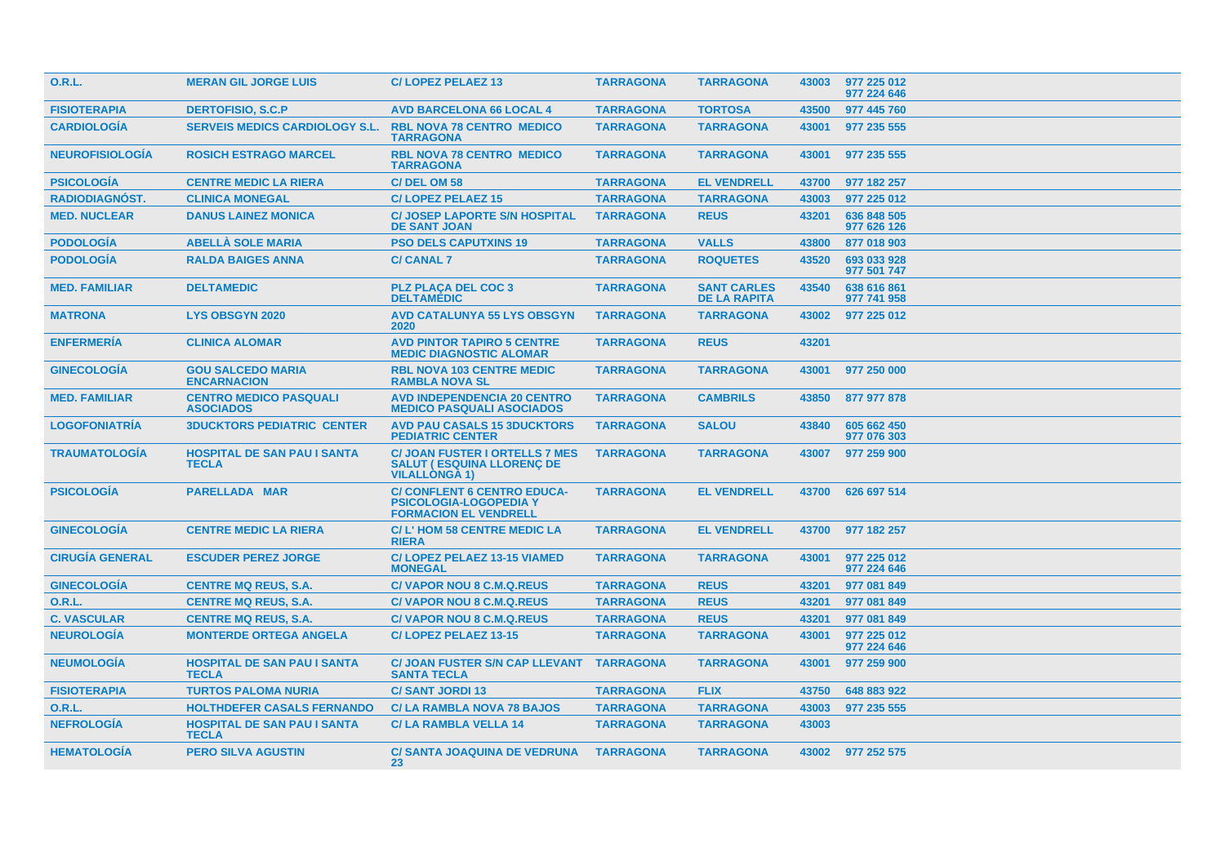| <b>O.R.L.</b>          | <b>MERAN GIL JORGE LUIS</b>                        | <b>C/LOPEZ PELAEZ 13</b>                                                                            | <b>TARRAGONA</b> | <b>TARRAGONA</b>                          | 43003 | 977 225 012<br>977 224 646 |
|------------------------|----------------------------------------------------|-----------------------------------------------------------------------------------------------------|------------------|-------------------------------------------|-------|----------------------------|
| <b>FISIOTERAPIA</b>    | <b>DERTOFISIO, S.C.P</b>                           | <b>AVD BARCELONA 66 LOCAL 4</b>                                                                     | <b>TARRAGONA</b> | <b>TORTOSA</b>                            | 43500 | 977 445 760                |
| <b>CARDIOLOGIA</b>     | <b>SERVEIS MEDICS CARDIOLOGY S.L.</b>              | <b>RBL NOVA 78 CENTRO MEDICO</b><br><b>TARRAGONA</b>                                                | <b>TARRAGONA</b> | <b>TARRAGONA</b>                          | 43001 | 977 235 555                |
| <b>NEUROFISIOLOGIA</b> | <b>ROSICH ESTRAGO MARCEL</b>                       | <b>RBL NOVA 78 CENTRO MEDICO</b><br><b>TARRAGONA</b>                                                | <b>TARRAGONA</b> | <b>TARRAGONA</b>                          | 43001 | 977 235 555                |
| <b>PSICOLOGÍA</b>      | <b>CENTRE MEDIC LA RIERA</b>                       | C/DEL OM 58                                                                                         | <b>TARRAGONA</b> | <b>EL VENDRELL</b>                        | 43700 | 977 182 257                |
| <b>RADIODIAGNOST.</b>  | <b>CLINICA MONEGAL</b>                             | <b>C/LOPEZ PELAEZ 15</b>                                                                            | <b>TARRAGONA</b> | <b>TARRAGONA</b>                          | 43003 | 977 225 012                |
| <b>MED. NUCLEAR</b>    | <b>DANUS LAINEZ MONICA</b>                         | <b>C/ JOSEP LAPORTE S/N HOSPITAL</b><br><b>DE SANT JOAN</b>                                         | <b>TARRAGONA</b> | <b>REUS</b>                               | 43201 | 636 848 505<br>977 626 126 |
| <b>PODOLOGÍA</b>       | <b>ABELLA SOLE MARIA</b>                           | <b>PSO DELS CAPUTXINS 19</b>                                                                        | <b>TARRAGONA</b> | <b>VALLS</b>                              | 43800 | 877 018 903                |
| <b>PODOLOGÍA</b>       | <b>RALDA BAIGES ANNA</b>                           | <b>C/ CANAL 7</b>                                                                                   | <b>TARRAGONA</b> | <b>ROQUETES</b>                           | 43520 | 693 033 928<br>977 501 747 |
| <b>MED. FAMILIAR</b>   | <b>DELTAMEDIC</b>                                  | <b>PLZ PLACA DEL COC 3</b><br><b>DELTAMÉDIC</b>                                                     | <b>TARRAGONA</b> | <b>SANT CARLES</b><br><b>DE LA RAPITA</b> | 43540 | 638 616 861<br>977 741 958 |
| <b>MATRONA</b>         | <b>LYS OBSGYN 2020</b>                             | <b>AVD CATALUNYA 55 LYS OBSGYN</b><br>2020                                                          | <b>TARRAGONA</b> | <b>TARRAGONA</b>                          | 43002 | 977 225 012                |
| <b>ENFERMERIA</b>      | <b>CLINICA ALOMAR</b>                              | <b>AVD PINTOR TAPIRO 5 CENTRE</b><br><b>MEDIC DIAGNOSTIC ALOMAR</b>                                 | <b>TARRAGONA</b> | <b>REUS</b>                               | 43201 |                            |
| <b>GINECOLOGIA</b>     | <b>GOU SALCEDO MARIA</b><br><b>ENCARNACION</b>     | <b>RBL NOVA 103 CENTRE MEDIC</b><br><b>RAMBLA NOVA SL</b>                                           | <b>TARRAGONA</b> | <b>TARRAGONA</b>                          | 43001 | 977 250 000                |
| <b>MED. FAMILIAR</b>   | <b>CENTRO MEDICO PASQUALI</b><br><b>ASOCIADOS</b>  | <b>AVD INDEPENDENCIA 20 CENTRO</b><br><b>MEDICO PASQUALI ASOCIADOS</b>                              | <b>TARRAGONA</b> | <b>CAMBRILS</b>                           | 43850 | 877 977 878                |
| <b>LOGOFONIATRÍA</b>   | <b>3DUCKTORS PEDIATRIC CENTER</b>                  | <b>AVD PAU CASALS 15 3DUCKTORS</b><br><b>PEDIATRIC CENTER</b>                                       | <b>TARRAGONA</b> | <b>SALOU</b>                              | 43840 | 605 662 450<br>977 076 303 |
| <b>TRAUMATOLOGÍA</b>   | <b>HOSPITAL DE SAN PAU I SANTA</b><br><b>TECLA</b> | <b>C/ JOAN FUSTER I ORTELLS 7 MES</b><br><b>SALUT (ESQUINA LLORENC DE</b><br><b>VILALLONGA 1)</b>   | <b>TARRAGONA</b> | <b>TARRAGONA</b>                          | 43007 | 977 259 900                |
| <b>PSICOLOGIA</b>      | <b>PARELLADA MAR</b>                               | <b>C/ CONFLENT 6 CENTRO EDUCA-</b><br><b>PSICOLOGIA-LOGOPEDIA Y</b><br><b>FORMACION EL VENDRELL</b> | <b>TARRAGONA</b> | <b>EL VENDRELL</b>                        | 43700 | 626 697 514                |
| <b>GINECOLOGÍA</b>     | <b>CENTRE MEDIC LA RIERA</b>                       | C/L'HOM 58 CENTRE MEDIC LA<br><b>RIERA</b>                                                          | <b>TARRAGONA</b> | <b>EL VENDRELL</b>                        | 43700 | 977 182 257                |
| <b>CIRUGIA GENERAL</b> | <b>ESCUDER PEREZ JORGE</b>                         | C/LOPEZ PELAEZ 13-15 VIAMED<br><b>MONEGAL</b>                                                       | <b>TARRAGONA</b> | <b>TARRAGONA</b>                          | 43001 | 977 225 012<br>977 224 646 |
| <b>GINECOLOGÍA</b>     | <b>CENTRE MQ REUS, S.A.</b>                        | <b>C/VAPOR NOU 8 C.M.Q.REUS</b>                                                                     | <b>TARRAGONA</b> | <b>REUS</b>                               | 43201 | 977 081 849                |
| <b>O.R.L.</b>          | <b>CENTRE MQ REUS, S.A.</b>                        | <b>C/VAPOR NOU 8 C.M.Q.REUS</b>                                                                     | <b>TARRAGONA</b> | <b>REUS</b>                               | 43201 | 977 081 849                |
| <b>C. VASCULAR</b>     | <b>CENTRE MQ REUS, S.A.</b>                        | <b>C/VAPOR NOU 8 C.M.Q.REUS</b>                                                                     | <b>TARRAGONA</b> | <b>REUS</b>                               | 43201 | 977 081 849                |
| <b>NEUROLOGIA</b>      | <b>MONTERDE ORTEGA ANGELA</b>                      | C/LOPEZ PELAEZ 13-15                                                                                | <b>TARRAGONA</b> | <b>TARRAGONA</b>                          | 43001 | 977 225 012<br>977 224 646 |
| <b>NEUMOLOGÍA</b>      | <b>HOSPITAL DE SAN PAU I SANTA</b><br><b>TECLA</b> | <b>C/ JOAN FUSTER S/N CAP LLEVANT</b><br><b>SANTA TECLA</b>                                         | <b>TARRAGONA</b> | <b>TARRAGONA</b>                          | 43001 | 977 259 900                |
| <b>FISIOTERAPIA</b>    | <b>TURTOS PALOMA NURIA</b>                         | <b>C/SANT JORDI 13</b>                                                                              | <b>TARRAGONA</b> | <b>FLIX</b>                               | 43750 | 648 883 922                |
| <b>O.R.L.</b>          | <b>HOLTHDEFER CASALS FERNANDO</b>                  | <b>C/LA RAMBLA NOVA 78 BAJOS</b>                                                                    | <b>TARRAGONA</b> | <b>TARRAGONA</b>                          | 43003 | 977 235 555                |
| <b>NEFROLOGÍA</b>      | <b>HOSPITAL DE SAN PAU I SANTA</b><br><b>TECLA</b> | <b>C/LA RAMBLA VELLA 14</b>                                                                         | <b>TARRAGONA</b> | <b>TARRAGONA</b>                          | 43003 |                            |
| <b>HEMATOLOGIA</b>     | <b>PERO SILVA AGUSTIN</b>                          | <b>C/ SANTA JOAQUINA DE VEDRUNA</b><br>23                                                           | <b>TARRAGONA</b> | <b>TARRAGONA</b>                          |       | 43002 977 252 575          |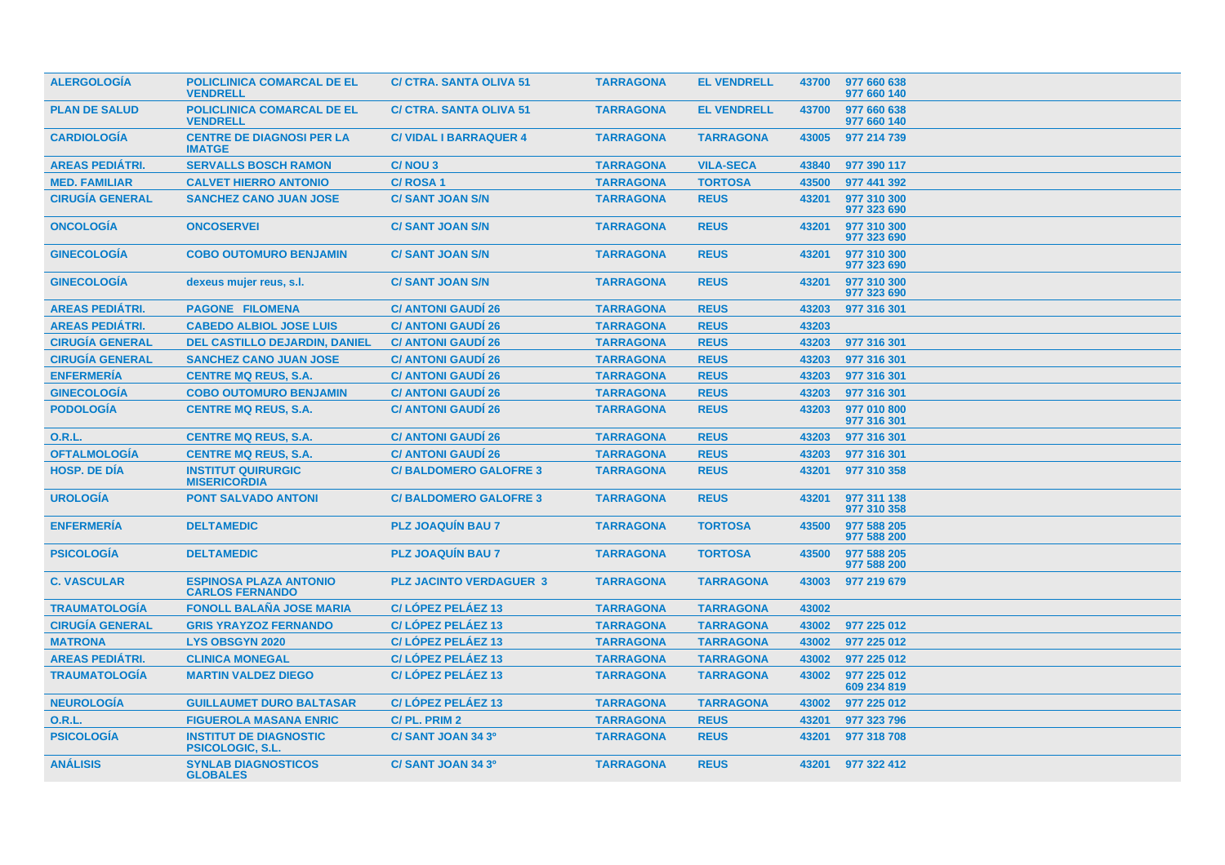| <b>ALERGOLOGIA</b>     | <b>POLICLINICA COMARCAL DE EL</b><br><b>VENDRELL</b>     | <b>C/ CTRA, SANTA OLIVA 51</b> | <b>TARRAGONA</b> | <b>EL VENDRELL</b> | 43700 | 977 660 638<br>977 660 140 |
|------------------------|----------------------------------------------------------|--------------------------------|------------------|--------------------|-------|----------------------------|
| <b>PLAN DE SALUD</b>   | <b>POLICLINICA COMARCAL DE EL</b><br><b>VENDRELL</b>     | <b>C/ CTRA, SANTA OLIVA 51</b> | <b>TARRAGONA</b> | <b>EL VENDRELL</b> | 43700 | 977 660 638<br>977 660 140 |
| <b>CARDIOLOGÍA</b>     | <b>CENTRE DE DIAGNOSI PER LA</b><br><b>IMATGE</b>        | <b>C/VIDAL I BARRAQUER 4</b>   | <b>TARRAGONA</b> | <b>TARRAGONA</b>   | 43005 | 977 214 739                |
| <b>AREAS PEDIÁTRI.</b> | <b>SERVALLS BOSCH RAMON</b>                              | C/NOU 3                        | <b>TARRAGONA</b> | <b>VILA-SECA</b>   | 43840 | 977 390 117                |
| <b>MED. FAMILIAR</b>   | <b>CALVET HIERRO ANTONIO</b>                             | <b>C/ROSA1</b>                 | <b>TARRAGONA</b> | <b>TORTOSA</b>     | 43500 | 977 441 392                |
| <b>CIRUGÍA GENERAL</b> | <b>SANCHEZ CANO JUAN JOSE</b>                            | <b>C/SANT JOAN S/N</b>         | <b>TARRAGONA</b> | <b>REUS</b>        | 43201 | 977 310 300<br>977 323 690 |
| <b>ONCOLOGIA</b>       | <b>ONCOSERVEI</b>                                        | <b>C/SANT JOAN S/N</b>         | <b>TARRAGONA</b> | <b>REUS</b>        | 43201 | 977 310 300<br>977 323 690 |
| <b>GINECOLOGÍA</b>     | <b>COBO OUTOMURO BENJAMIN</b>                            | <b>C/SANT JOAN S/N</b>         | <b>TARRAGONA</b> | <b>REUS</b>        | 43201 | 977 310 300<br>977 323 690 |
| <b>GINECOLOGÍA</b>     | dexeus mujer reus, s.l.                                  | <b>C/SANT JOAN S/N</b>         | <b>TARRAGONA</b> | <b>REUS</b>        | 43201 | 977 310 300<br>977 323 690 |
| <b>AREAS PEDIATRI.</b> | <b>PAGONE FILOMENA</b>                                   | <b>C/ ANTONI GAUDI 26</b>      | <b>TARRAGONA</b> | <b>REUS</b>        | 43203 | 977 316 301                |
| <b>AREAS PEDIÁTRI.</b> | <b>CABEDO ALBIOL JOSE LUIS</b>                           | <b>C/ ANTONI GAUDI 26</b>      | <b>TARRAGONA</b> | <b>REUS</b>        | 43203 |                            |
| <b>CIRUGÍA GENERAL</b> | <b>DEL CASTILLO DEJARDIN, DANIEL</b>                     | <b>C/ ANTONI GAUDI 26</b>      | <b>TARRAGONA</b> | <b>REUS</b>        | 43203 | 977 316 301                |
| <b>CIRUGÍA GENERAL</b> | <b>SANCHEZ CANO JUAN JOSE</b>                            | <b>C/ ANTONI GAUDI 26</b>      | <b>TARRAGONA</b> | <b>REUS</b>        | 43203 | 977 316 301                |
| <b>ENFERMERÍA</b>      | <b>CENTRE MQ REUS, S.A.</b>                              | <b>C/ ANTONI GAUDI 26</b>      | <b>TARRAGONA</b> | <b>REUS</b>        | 43203 | 977 316 301                |
| <b>GINECOLOGÍA</b>     | <b>COBO OUTOMURO BENJAMIN</b>                            | <b>C/ ANTONI GAUDI 26</b>      | <b>TARRAGONA</b> | <b>REUS</b>        | 43203 | 977 316 301                |
| <b>PODOLOGÍA</b>       | <b>CENTRE MQ REUS, S.A.</b>                              | <b>C/ ANTONI GAUDI 26</b>      | <b>TARRAGONA</b> | <b>REUS</b>        | 43203 | 977 010 800<br>977 316 301 |
| <b>O.R.L.</b>          | <b>CENTRE MQ REUS, S.A.</b>                              | <b>C/ ANTONI GAUDI 26</b>      | <b>TARRAGONA</b> | <b>REUS</b>        | 43203 | 977 316 301                |
| <b>OFTALMOLOGÍA</b>    | <b>CENTRE MQ REUS, S.A.</b>                              | <b>C/ ANTONI GAUDI 26</b>      | <b>TARRAGONA</b> | <b>REUS</b>        | 43203 | 977 316 301                |
| <b>HOSP, DE DIA</b>    | <b>INSTITUT QUIRURGIC</b><br><b>MISERICORDIA</b>         | <b>C/BALDOMERO GALOFRE 3</b>   | <b>TARRAGONA</b> | <b>REUS</b>        | 43201 | 977 310 358                |
| <b>UROLOGÍA</b>        | <b>PONT SALVADO ANTONI</b>                               | <b>C/BALDOMERO GALOFRE 3</b>   | <b>TARRAGONA</b> | <b>REUS</b>        | 43201 | 977 311 138<br>977 310 358 |
| <b>ENFERMERIA</b>      | <b>DELTAMEDIC</b>                                        | <b>PLZ JOAQUIN BAU 7</b>       | <b>TARRAGONA</b> | <b>TORTOSA</b>     | 43500 | 977 588 205<br>977 588 200 |
| <b>PSICOLOGÍA</b>      | <b>DELTAMEDIC</b>                                        | <b>PLZ JOAQUIN BAU 7</b>       | <b>TARRAGONA</b> | <b>TORTOSA</b>     | 43500 | 977 588 205<br>977 588 200 |
| <b>C. VASCULAR</b>     | <b>ESPINOSA PLAZA ANTONIO</b><br><b>CARLOS FERNANDO</b>  | <b>PLZ JACINTO VERDAGUER 3</b> | <b>TARRAGONA</b> | <b>TARRAGONA</b>   | 43003 | 977 219 679                |
| <b>TRAUMATOLOGÍA</b>   | <b>FONOLL BALAÑA JOSE MARIA</b>                          | C/LOPEZ PELAEZ 13              | <b>TARRAGONA</b> | <b>TARRAGONA</b>   | 43002 |                            |
| <b>CIRUGÍA GENERAL</b> | <b>GRIS YRAYZOZ FERNANDO</b>                             | C/LOPEZ PELAEZ 13              | <b>TARRAGONA</b> | <b>TARRAGONA</b>   | 43002 | 977 225 012                |
| <b>MATRONA</b>         | <b>LYS OBSGYN 2020</b>                                   | C/LÓPEZ PELÁEZ 13              | <b>TARRAGONA</b> | <b>TARRAGONA</b>   | 43002 | 977 225 012                |
| <b>AREAS PEDIÁTRI.</b> | <b>CLINICA MONEGAL</b>                                   | C/LOPEZ PELAEZ 13              | <b>TARRAGONA</b> | <b>TARRAGONA</b>   | 43002 | 977 225 012                |
| <b>TRAUMATOLOGÍA</b>   | <b>MARTIN VALDEZ DIEGO</b>                               | C/LOPEZ PELAEZ 13              | <b>TARRAGONA</b> | <b>TARRAGONA</b>   | 43002 | 977 225 012<br>609 234 819 |
| <b>NEUROLOGÍA</b>      | <b>GUILLAUMET DURO BALTASAR</b>                          | C/LÓPEZ PELÁEZ 13              | <b>TARRAGONA</b> | <b>TARRAGONA</b>   | 43002 | 977 225 012                |
| <b>O.R.L.</b>          | <b>FIGUEROLA MASANA ENRIC</b>                            | C/PL, PRIM 2                   | <b>TARRAGONA</b> | <b>REUS</b>        | 43201 | 977 323 796                |
| <b>PSICOLOGÍA</b>      | <b>INSTITUT DE DIAGNOSTIC</b><br><b>PSICOLOGIC, S.L.</b> | C/SANT JOAN 34 3º              | <b>TARRAGONA</b> | <b>REUS</b>        | 43201 | 977 318 708                |
| <b>ANÁLISIS</b>        | <b>SYNLAB DIAGNOSTICOS</b><br><b>GLOBALES</b>            | C/ SANT JOAN 34 3º             | <b>TARRAGONA</b> | <b>REUS</b>        | 43201 | 977 322 412                |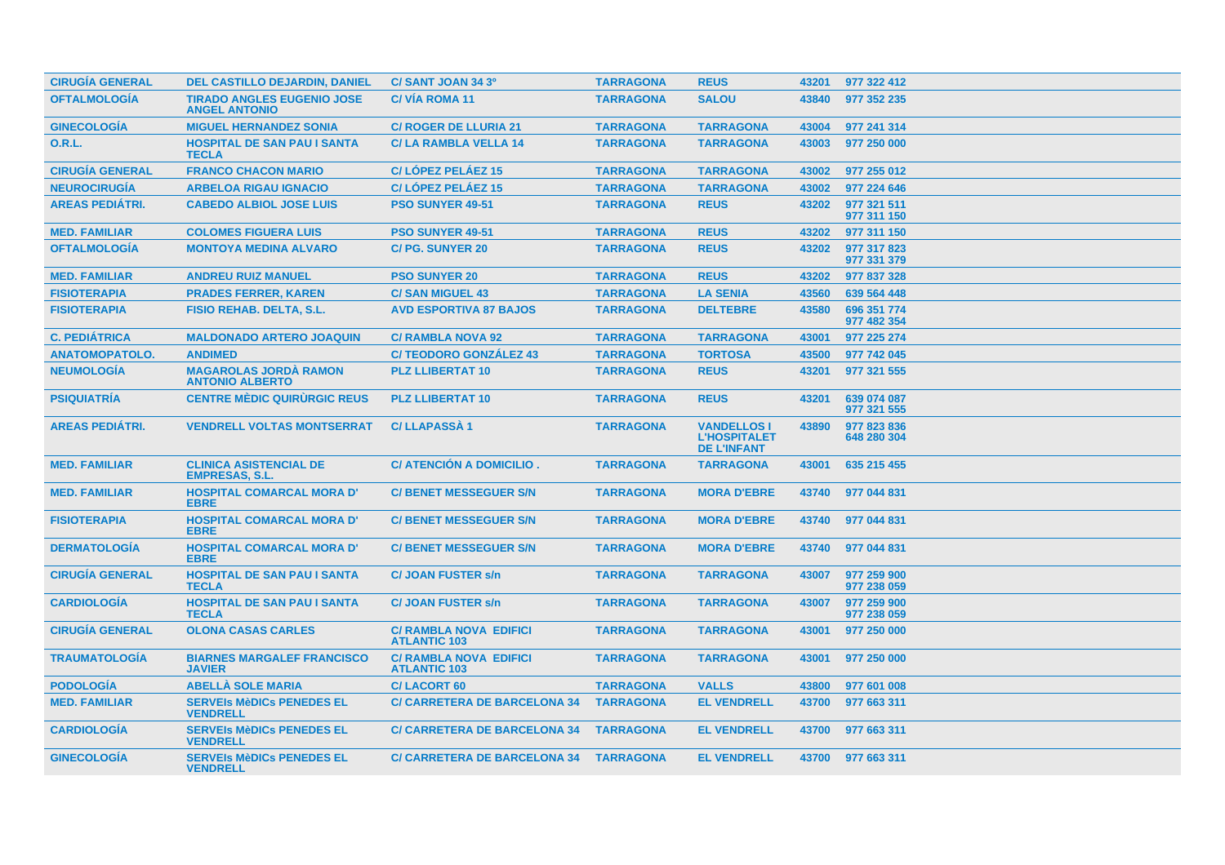| <b>CIRUGÍA GENERAL</b> | <b>DEL CASTILLO DEJARDIN, DANIEL</b>                      | C/SANT JOAN 34 3º                                    | <b>TARRAGONA</b> | <b>REUS</b>                                                     | 43201 | 977 322 412                |
|------------------------|-----------------------------------------------------------|------------------------------------------------------|------------------|-----------------------------------------------------------------|-------|----------------------------|
| <b>OFTALMOLOGÍA</b>    | <b>TIRADO ANGLES EUGENIO JOSE</b><br><b>ANGEL ANTONIO</b> | <b>C/VÍA ROMA 11</b>                                 | <b>TARRAGONA</b> | <b>SALOU</b>                                                    | 43840 | 977 352 235                |
| <b>GINECOLOGÍA</b>     | <b>MIGUEL HERNANDEZ SONIA</b>                             | <b>C/ ROGER DE LLURIA 21</b>                         | <b>TARRAGONA</b> | <b>TARRAGONA</b>                                                | 43004 | 977 241 314                |
| <b>O.R.L.</b>          | <b>HOSPITAL DE SAN PAU I SANTA</b><br><b>TECLA</b>        | <b>C/LA RAMBLA VELLA 14</b>                          | <b>TARRAGONA</b> | <b>TARRAGONA</b>                                                | 43003 | 977 250 000                |
| <b>CIRUGÍA GENERAL</b> | <b>FRANCO CHACON MARIO</b>                                | C/LÓPEZ PELÁEZ 15                                    | <b>TARRAGONA</b> | <b>TARRAGONA</b>                                                | 43002 | 977 255 012                |
| <b>NEUROCIRUGÍA</b>    | <b>ARBELOA RIGAU IGNACIO</b>                              | C/LÓPEZ PELÁEZ 15                                    | <b>TARRAGONA</b> | <b>TARRAGONA</b>                                                | 43002 | 977 224 646                |
| <b>AREAS PEDIÁTRI.</b> | <b>CABEDO ALBIOL JOSE LUIS</b>                            | <b>PSO SUNYER 49-51</b>                              | <b>TARRAGONA</b> | <b>REUS</b>                                                     | 43202 | 977 321 511<br>977 311 150 |
| <b>MED. FAMILIAR</b>   | <b>COLOMES FIGUERA LUIS</b>                               | <b>PSO SUNYER 49-51</b>                              | <b>TARRAGONA</b> | <b>REUS</b>                                                     | 43202 | 977 311 150                |
| <b>OFTALMOLOGÍA</b>    | <b>MONTOYA MEDINA ALVARO</b>                              | <b>C/PG. SUNYER 20</b>                               | <b>TARRAGONA</b> | <b>REUS</b>                                                     | 43202 | 977 317 823<br>977 331 379 |
| <b>MED. FAMILIAR</b>   | <b>ANDREU RUIZ MANUEL</b>                                 | <b>PSO SUNYER 20</b>                                 | <b>TARRAGONA</b> | <b>REUS</b>                                                     | 43202 | 977 837 328                |
| <b>FISIOTERAPIA</b>    | <b>PRADES FERRER, KAREN</b>                               | <b>C/SAN MIGUEL 43</b>                               | <b>TARRAGONA</b> | <b>LA SENIA</b>                                                 | 43560 | 639 564 448                |
| <b>FISIOTERAPIA</b>    | <b>FISIO REHAB. DELTA, S.L.</b>                           | <b>AVD ESPORTIVA 87 BAJOS</b>                        | <b>TARRAGONA</b> | <b>DELTEBRE</b>                                                 | 43580 | 696 351 774<br>977 482 354 |
| <b>C. PEDIÁTRICA</b>   | <b>MALDONADO ARTERO JOAQUIN</b>                           | <b>C/ RAMBLA NOVA 92</b>                             | <b>TARRAGONA</b> | <b>TARRAGONA</b>                                                | 43001 | 977 225 274                |
| <b>ANATOMOPATOLO.</b>  | <b>ANDIMED</b>                                            | <b>C/TEODORO GONZÁLEZ 43</b>                         | <b>TARRAGONA</b> | <b>TORTOSA</b>                                                  | 43500 | 977 742 045                |
| <b>NEUMOLOGÍA</b>      | <b>MAGAROLAS JORDA RAMON</b><br><b>ANTONIO ALBERTO</b>    | <b>PLZ LLIBERTAT 10</b>                              | <b>TARRAGONA</b> | <b>REUS</b>                                                     | 43201 | 977 321 555                |
| <b>PSIQUIATRÍA</b>     | <b>CENTRE MÉDIC QUIRURGIC REUS</b>                        | <b>PLZ LLIBERTAT 10</b>                              | <b>TARRAGONA</b> | <b>REUS</b>                                                     | 43201 | 639 074 087<br>977 321 555 |
| <b>AREAS PEDIÁTRI.</b> | <b>VENDRELL VOLTAS MONTSERRAT</b>                         | <b>C/LLAPASSA1</b>                                   | <b>TARRAGONA</b> | <b>VANDELLOS I</b><br><b>L'HOSPITALET</b><br><b>DE L'INFANT</b> | 43890 | 977 823 836<br>648 280 304 |
| <b>MED. FAMILIAR</b>   | <b>CLINICA ASISTENCIAL DE</b><br><b>EMPRESAS, S.L.</b>    | C/ ATENCIÓN A DOMICILIO.                             | <b>TARRAGONA</b> | <b>TARRAGONA</b>                                                | 43001 | 635 215 455                |
| <b>MED. FAMILIAR</b>   | <b>HOSPITAL COMARCAL MORA D'</b><br><b>EBRE</b>           | <b>C/BENET MESSEGUER S/N</b>                         | <b>TARRAGONA</b> | <b>MORA D'EBRE</b>                                              | 43740 | 977 044 831                |
| <b>FISIOTERAPIA</b>    | <b>HOSPITAL COMARCAL MORA D'</b><br><b>EBRE</b>           | <b>C/ BENET MESSEGUER S/N</b>                        | <b>TARRAGONA</b> | <b>MORA D'EBRE</b>                                              | 43740 | 977 044 831                |
| <b>DERMATOLOGIA</b>    | <b>HOSPITAL COMARCAL MORA D'</b><br><b>EBRE</b>           | <b>C/ BENET MESSEGUER S/N</b>                        | <b>TARRAGONA</b> | <b>MORA D'EBRE</b>                                              | 43740 | 977 044 831                |
| <b>CIRUGÍA GENERAL</b> | <b>HOSPITAL DE SAN PAU I SANTA</b><br><b>TECLA</b>        | <b>C/JOAN FUSTER s/n</b>                             | <b>TARRAGONA</b> | <b>TARRAGONA</b>                                                | 43007 | 977 259 900<br>977 238 059 |
| <b>CARDIOLOGÍA</b>     | <b>HOSPITAL DE SAN PAU I SANTA</b><br><b>TECLA</b>        | <b>C/JOAN FUSTER s/n</b>                             | <b>TARRAGONA</b> | <b>TARRAGONA</b>                                                | 43007 | 977 259 900<br>977 238 059 |
| <b>CIRUGÍA GENERAL</b> | <b>OLONA CASAS CARLES</b>                                 | <b>C/ RAMBLA NOVA EDIFICI</b><br><b>ATLANTIC 103</b> | <b>TARRAGONA</b> | <b>TARRAGONA</b>                                                | 43001 | 977 250 000                |
| <b>TRAUMATOLOGÍA</b>   | <b>BIARNES MARGALEF FRANCISCO</b><br><b>JAVIER</b>        | <b>C/ RAMBLA NOVA EDIFICI</b><br><b>ATLANTIC 103</b> | <b>TARRAGONA</b> | <b>TARRAGONA</b>                                                | 43001 | 977 250 000                |
| <b>PODOLOGÍA</b>       | <b>ABELLA SOLE MARIA</b>                                  | <b>C/LACORT 60</b>                                   | <b>TARRAGONA</b> | <b>VALLS</b>                                                    | 43800 | 977 601 008                |
| <b>MED. FAMILIAR</b>   | <b>SERVEIS MèDICS PENEDES EL</b><br><b>VENDRELL</b>       | <b>C/ CARRETERA DE BARCELONA 34</b>                  | <b>TARRAGONA</b> | <b>EL VENDRELL</b>                                              | 43700 | 977 663 311                |
| <b>CARDIOLOGIA</b>     | <b>SERVEIS MèDICS PENEDES EL</b><br><b>VENDRELL</b>       | <b>C/ CARRETERA DE BARCELONA 34</b>                  | <b>TARRAGONA</b> | <b>EL VENDRELL</b>                                              | 43700 | 977 663 311                |
| <b>GINECOLOGIA</b>     | <b>SERVEIS MèDICS PENEDES EL</b><br><b>VENDRELL</b>       | C/ CARRETERA DE BARCELONA 34 TARRAGONA               |                  | <b>EL VENDRELL</b>                                              |       | 43700 977 663 311          |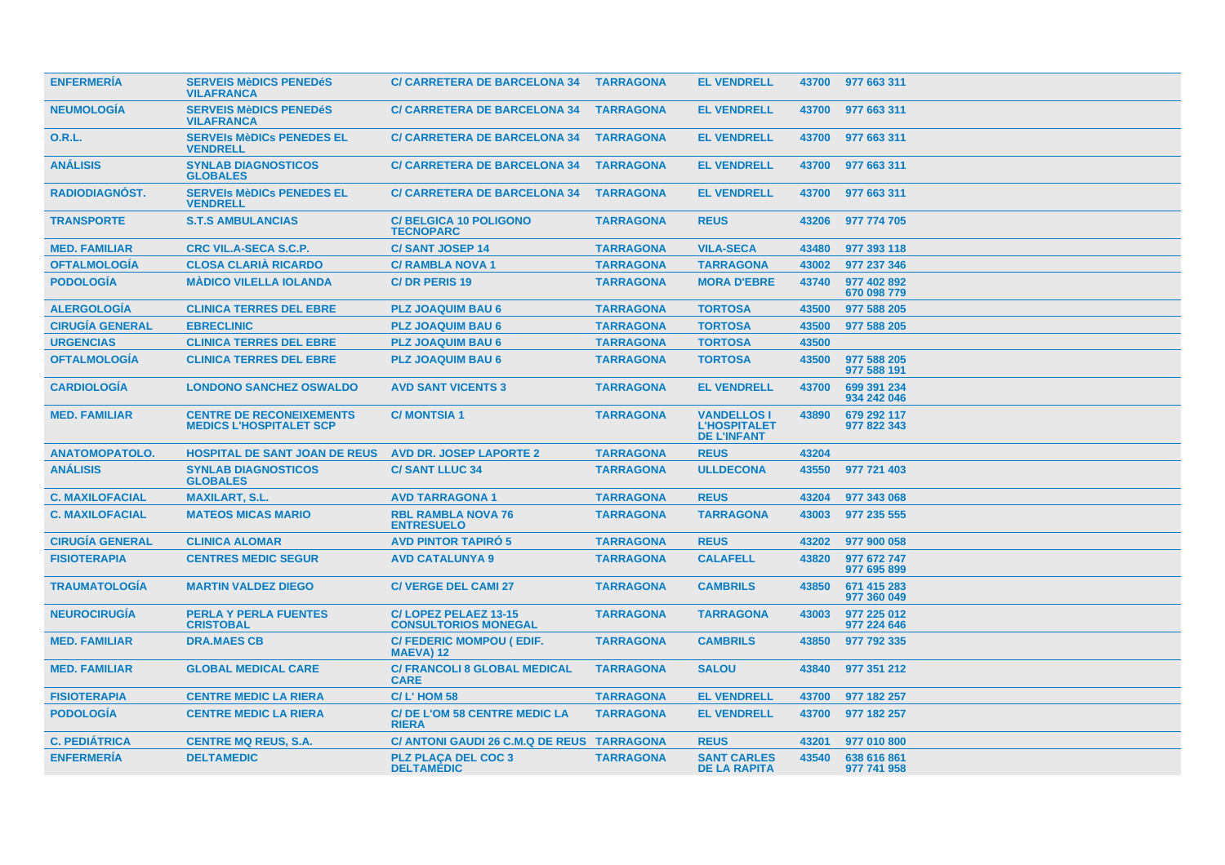| <b>ENFERMERIA</b>      | <b>SERVEIS MèDICS PENEDéS</b><br><b>VILAFRANCA</b>                | <b>C/ CARRETERA DE BARCELONA 34</b>                 | <b>TARRAGONA</b> | <b>EL VENDRELL</b>                                              | 43700 | 977 663 311                |
|------------------------|-------------------------------------------------------------------|-----------------------------------------------------|------------------|-----------------------------------------------------------------|-------|----------------------------|
| <b>NEUMOLOGÍA</b>      | <b>SERVEIS MèDICS PENEDéS</b><br><b>VILAFRANCA</b>                | <b>C/ CARRETERA DE BARCELONA 34</b>                 | <b>TARRAGONA</b> | <b>EL VENDRELL</b>                                              | 43700 | 977 663 311                |
| 0.R.L.                 | <b>SERVEIS MèDICS PENEDES EL</b><br><b>VENDRELL</b>               | <b>C/ CARRETERA DE BARCELONA 34</b>                 | <b>TARRAGONA</b> | <b>EL VENDRELL</b>                                              | 43700 | 977 663 311                |
| <b>ANÁLISIS</b>        | <b>SYNLAB DIAGNOSTICOS</b><br><b>GLOBALES</b>                     | <b>C/ CARRETERA DE BARCELONA 34</b>                 | <b>TARRAGONA</b> | <b>EL VENDRELL</b>                                              | 43700 | 977 663 311                |
| <b>RADIODIAGNÓST.</b>  | <b>SERVEIS MèDICS PENEDES EL</b><br><b>VENDRELL</b>               | <b>C/ CARRETERA DE BARCELONA 34</b>                 | <b>TARRAGONA</b> | <b>EL VENDRELL</b>                                              | 43700 | 977 663 311                |
| <b>TRANSPORTE</b>      | <b>S.T.S AMBULANCIAS</b>                                          | <b>C/BELGICA 10 POLIGONO</b><br><b>TECNOPARC</b>    | <b>TARRAGONA</b> | <b>REUS</b>                                                     | 43206 | 977 774 705                |
| <b>MED. FAMILIAR</b>   | <b>CRC VIL.A-SECA S.C.P.</b>                                      | <b>C/SANT JOSEP 14</b>                              | <b>TARRAGONA</b> | <b>VILA-SECA</b>                                                | 43480 | 977 393 118                |
| <b>OFTALMOLOGÍA</b>    | <b>CLOSA CLARIA RICARDO</b>                                       | <b>C/ RAMBLA NOVA 1</b>                             | <b>TARRAGONA</b> | <b>TARRAGONA</b>                                                | 43002 | 977 237 346                |
| <b>PODOLOGÍA</b>       | <b>MÁDICO VILELLA IOLANDA</b>                                     | <b>C/DR PERIS 19</b>                                | <b>TARRAGONA</b> | <b>MORA D'EBRE</b>                                              | 43740 | 977 402 892<br>670 098 779 |
| <b>ALERGOLOGÍA</b>     | <b>CLINICA TERRES DEL EBRE</b>                                    | <b>PLZ JOAQUIM BAU 6</b>                            | <b>TARRAGONA</b> | <b>TORTOSA</b>                                                  | 43500 | 977 588 205                |
| <b>CIRUGÍA GENERAL</b> | <b>EBRECLINIC</b>                                                 | <b>PLZ JOAQUIM BAU 6</b>                            | <b>TARRAGONA</b> | <b>TORTOSA</b>                                                  | 43500 | 977 588 205                |
| <b>URGENCIAS</b>       | <b>CLINICA TERRES DEL EBRE</b>                                    | <b>PLZ JOAQUIM BAU 6</b>                            | <b>TARRAGONA</b> | <b>TORTOSA</b>                                                  | 43500 |                            |
| <b>OFTALMOLOGÍA</b>    | <b>CLINICA TERRES DEL EBRE</b>                                    | <b>PLZ JOAQUIM BAU 6</b>                            | <b>TARRAGONA</b> | <b>TORTOSA</b>                                                  | 43500 | 977 588 205<br>977 588 191 |
| <b>CARDIOLOGÍA</b>     | <b>LONDONO SANCHEZ OSWALDO</b>                                    | <b>AVD SANT VICENTS 3</b>                           | <b>TARRAGONA</b> | <b>EL VENDRELL</b>                                              | 43700 | 699 391 234<br>934 242 046 |
| <b>MED. FAMILIAR</b>   | <b>CENTRE DE RECONEIXEMENTS</b><br><b>MEDICS L'HOSPITALET SCP</b> | <b>C/MONTSIA1</b>                                   | <b>TARRAGONA</b> | <b>VANDELLOS I</b><br><b>L'HOSPITALET</b><br><b>DE L'INFANT</b> | 43890 | 679 292 117<br>977 822 343 |
| <b>ANATOMOPATOLO.</b>  | <b>HOSPITAL DE SANT JOAN DE REUS</b>                              | <b>AVD DR. JOSEP LAPORTE 2</b>                      | <b>TARRAGONA</b> | <b>REUS</b>                                                     | 43204 |                            |
| <b>ANÁLISIS</b>        | <b>SYNLAB DIAGNOSTICOS</b><br><b>GLOBALES</b>                     | <b>C/SANT LLUC 34</b>                               | <b>TARRAGONA</b> | <b>ULLDECONA</b>                                                | 43550 | 977 721 403                |
| <b>C. MAXILOFACIAL</b> | <b>MAXILART, S.L.</b>                                             | <b>AVD TARRAGONA 1</b>                              | <b>TARRAGONA</b> | <b>REUS</b>                                                     | 43204 | 977 343 068                |
| <b>C. MAXILOFACIAL</b> | <b>MATEOS MICAS MARIO</b>                                         | <b>RBL RAMBLA NOVA 76</b><br><b>ENTRESUELO</b>      | <b>TARRAGONA</b> | <b>TARRAGONA</b>                                                | 43003 | 977 235 555                |
| <b>CIRUGÍA GENERAL</b> | <b>CLINICA ALOMAR</b>                                             | <b>AVD PINTOR TAPIRO 5</b>                          | <b>TARRAGONA</b> | <b>REUS</b>                                                     | 43202 | 977 900 058                |
| <b>FISIOTERAPIA</b>    | <b>CENTRES MEDIC SEGUR</b>                                        | <b>AVD CATALUNYA 9</b>                              | <b>TARRAGONA</b> | <b>CALAFELL</b>                                                 | 43820 | 977 672 747<br>977 695 899 |
| <b>TRAUMATOLOGÍA</b>   | <b>MARTIN VALDEZ DIEGO</b>                                        | <b>C/ VERGE DEL CAMI 27</b>                         | <b>TARRAGONA</b> | <b>CAMBRILS</b>                                                 | 43850 | 671 415 283<br>977 360 049 |
| <b>NEUROCIRUGÍA</b>    | <b>PERLA Y PERLA FUENTES</b><br><b>CRISTOBAL</b>                  | C/LOPEZ PELAEZ 13-15<br><b>CONSULTORIOS MONEGAL</b> | <b>TARRAGONA</b> | <b>TARRAGONA</b>                                                | 43003 | 977 225 012<br>977 224 646 |
| <b>MED. FAMILIAR</b>   | <b>DRA.MAES CB</b>                                                | C/ FEDERIC MOMPOU ( EDIF.<br><b>MAEVA) 12</b>       | <b>TARRAGONA</b> | <b>CAMBRILS</b>                                                 | 43850 | 977 792 335                |
| <b>MED. FAMILIAR</b>   | <b>GLOBAL MEDICAL CARE</b>                                        | <b>C/ FRANCOLI 8 GLOBAL MEDICAL</b><br><b>CARE</b>  | <b>TARRAGONA</b> | <b>SALOU</b>                                                    | 43840 | 977 351 212                |
| <b>FISIOTERAPIA</b>    | <b>CENTRE MEDIC LA RIERA</b>                                      | <b>C/L'HOM 58</b>                                   | <b>TARRAGONA</b> | <b>EL VENDRELL</b>                                              | 43700 | 977 182 257                |
| <b>PODOLOGIA</b>       | <b>CENTRE MEDIC LA RIERA</b>                                      | <b>C/DE L'OM 58 CENTRE MEDIC LA</b><br><b>RIERA</b> | <b>TARRAGONA</b> | <b>EL VENDRELL</b>                                              | 43700 | 977 182 257                |
| <b>C. PEDIÁTRICA</b>   | <b>CENTRE MQ REUS, S.A.</b>                                       | C/ ANTONI GAUDI 26 C.M.Q DE REUS TARRAGONA          |                  | <b>REUS</b>                                                     | 43201 | 977 010 800                |
| <b>ENFERMERÍA</b>      | <b>DELTAMEDIC</b>                                                 | <b>PLZ PLACA DEL COC 3</b><br><b>DELTAMÉDIC</b>     | <b>TARRAGONA</b> | <b>SANT CARLES</b><br><b>DE LA RAPITA</b>                       | 43540 | 638 616 861<br>977 741 958 |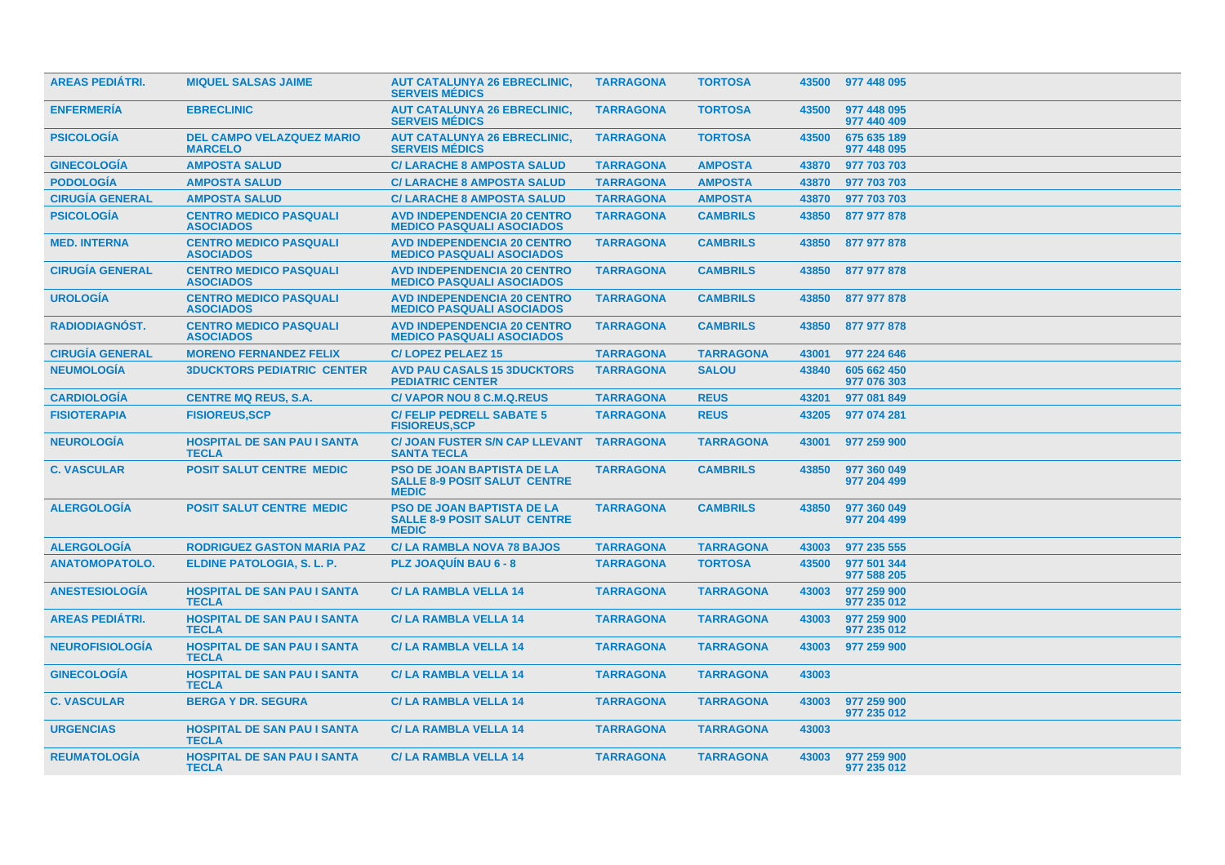| <b>AREAS PEDIÁTRI.</b> | <b>MIQUEL SALSAS JAIME</b>                         | <b>AUT CATALUNYA 26 EBRECLINIC.</b><br><b>SERVEIS MÉDICS</b>                             | <b>TARRAGONA</b> | <b>TORTOSA</b>   | 43500 | 977 448 095                |
|------------------------|----------------------------------------------------|------------------------------------------------------------------------------------------|------------------|------------------|-------|----------------------------|
| <b>ENFERMERIA</b>      | <b>EBRECLINIC</b>                                  | <b>AUT CATALUNYA 26 EBRECLINIC,</b><br><b>SERVEIS MÉDICS</b>                             | <b>TARRAGONA</b> | <b>TORTOSA</b>   | 43500 | 977 448 095<br>977 440 409 |
| <b>PSICOLOGÍA</b>      | <b>DEL CAMPO VELAZQUEZ MARIO</b><br><b>MARCELO</b> | <b>AUT CATALUNYA 26 EBRECLINIC,</b><br><b>SERVEIS MÉDICS</b>                             | <b>TARRAGONA</b> | <b>TORTOSA</b>   | 43500 | 675 635 189<br>977 448 095 |
| <b>GINECOLOGÍA</b>     | <b>AMPOSTA SALUD</b>                               | <b>C/ LARACHE 8 AMPOSTA SALUD</b>                                                        | <b>TARRAGONA</b> | <b>AMPOSTA</b>   | 43870 | 977 703 703                |
| <b>PODOLOGÍA</b>       | <b>AMPOSTA SALUD</b>                               | <b>C/ LARACHE 8 AMPOSTA SALUD</b>                                                        | <b>TARRAGONA</b> | <b>AMPOSTA</b>   | 43870 | 977 703 703                |
| <b>CIRUGÍA GENERAL</b> | <b>AMPOSTA SALUD</b>                               | <b>C/ LARACHE 8 AMPOSTA SALUD</b>                                                        | <b>TARRAGONA</b> | <b>AMPOSTA</b>   | 43870 | 977 703 703                |
| <b>PSICOLOGÍA</b>      | <b>CENTRO MEDICO PASQUALI</b><br><b>ASOCIADOS</b>  | <b>AVD INDEPENDENCIA 20 CENTRO</b><br><b>MEDICO PASQUALI ASOCIADOS</b>                   | <b>TARRAGONA</b> | <b>CAMBRILS</b>  | 43850 | 877 977 878                |
| <b>MED. INTERNA</b>    | <b>CENTRO MEDICO PASQUALI</b><br><b>ASOCIADOS</b>  | <b>AVD INDEPENDENCIA 20 CENTRO</b><br><b>MEDICO PASQUALI ASOCIADOS</b>                   | <b>TARRAGONA</b> | <b>CAMBRILS</b>  | 43850 | 877 977 878                |
| <b>CIRUGÍA GENERAL</b> | <b>CENTRO MEDICO PASQUALI</b><br><b>ASOCIADOS</b>  | <b>AVD INDEPENDENCIA 20 CENTRO</b><br><b>MEDICO PASQUALI ASOCIADOS</b>                   | <b>TARRAGONA</b> | <b>CAMBRILS</b>  | 43850 | 877 977 878                |
| <b>UROLOGIA</b>        | <b>CENTRO MEDICO PASQUALI</b><br><b>ASOCIADOS</b>  | <b>AVD INDEPENDENCIA 20 CENTRO</b><br><b>MEDICO PASQUALI ASOCIADOS</b>                   | <b>TARRAGONA</b> | <b>CAMBRILS</b>  | 43850 | 877 977 878                |
| <b>RADIODIAGNÓST.</b>  | <b>CENTRO MEDICO PASQUALI</b><br><b>ASOCIADOS</b>  | <b>AVD INDEPENDENCIA 20 CENTRO</b><br><b>MEDICO PASQUALI ASOCIADOS</b>                   | <b>TARRAGONA</b> | <b>CAMBRILS</b>  | 43850 | 877 977 878                |
| <b>CIRUGÍA GENERAL</b> | <b>MORENO FERNANDEZ FELIX</b>                      | <b>C/LOPEZ PELAEZ 15</b>                                                                 | <b>TARRAGONA</b> | <b>TARRAGONA</b> | 43001 | 977 224 646                |
| <b>NEUMOLOGÍA</b>      | <b>3DUCKTORS PEDIATRIC CENTER</b>                  | <b>AVD PAU CASALS 15 3DUCKTORS</b><br><b>PEDIATRIC CENTER</b>                            | <b>TARRAGONA</b> | <b>SALOU</b>     | 43840 | 605 662 450<br>977 076 303 |
| <b>CARDIOLOGIA</b>     | <b>CENTRE MQ REUS, S.A.</b>                        | <b>C/VAPOR NOU 8 C.M.Q.REUS</b>                                                          | <b>TARRAGONA</b> | <b>REUS</b>      | 43201 | 977 081 849                |
| <b>FISIOTERAPIA</b>    | <b>FISIOREUS, SCP</b>                              | <b>C/ FELIP PEDRELL SABATE 5</b><br><b>FISIOREUS, SCP</b>                                | <b>TARRAGONA</b> | <b>REUS</b>      | 43205 | 977 074 281                |
| <b>NEUROLOGÍA</b>      | <b>HOSPITAL DE SAN PAU I SANTA</b><br><b>TECLA</b> | C/ JOAN FUSTER S/N CAP LLEVANT TARRAGONA<br><b>SANTA TECLA</b>                           |                  | <b>TARRAGONA</b> | 43001 | 977 259 900                |
| <b>C. VASCULAR</b>     | <b>POSIT SALUT CENTRE MEDIC</b>                    | <b>PSO DE JOAN BAPTISTA DE LA</b><br><b>SALLE 8-9 POSIT SALUT CENTRE</b><br><b>MEDIC</b> | <b>TARRAGONA</b> | <b>CAMBRILS</b>  | 43850 | 977 360 049<br>977 204 499 |
| <b>ALERGOLOGÍA</b>     | <b>POSIT SALUT CENTRE MEDIC</b>                    | <b>PSO DE JOAN BAPTISTA DE LA</b><br><b>SALLE 8-9 POSIT SALUT CENTRE</b><br><b>MEDIC</b> | <b>TARRAGONA</b> | <b>CAMBRILS</b>  | 43850 | 977 360 049<br>977 204 499 |
| <b>ALERGOLOGÍA</b>     | <b>RODRIGUEZ GASTON MARIA PAZ</b>                  | <b>C/LA RAMBLA NOVA 78 BAJOS</b>                                                         | <b>TARRAGONA</b> | <b>TARRAGONA</b> | 43003 | 977 235 555                |
| <b>ANATOMOPATOLO.</b>  | ELDINE PATOLOGIA, S. L. P.                         | <b>PLZ JOAQUIN BAU 6 - 8</b>                                                             | <b>TARRAGONA</b> | <b>TORTOSA</b>   | 43500 | 977 501 344<br>977 588 205 |
| <b>ANESTESIOLOGIA</b>  | <b>HOSPITAL DE SAN PAU I SANTA</b><br><b>TECLA</b> | <b>C/LA RAMBLA VELLA 14</b>                                                              | <b>TARRAGONA</b> | <b>TARRAGONA</b> | 43003 | 977 259 900<br>977 235 012 |
| <b>AREAS PEDIÁTRI.</b> | <b>HOSPITAL DE SAN PAU I SANTA</b><br><b>TECLA</b> | <b>C/LA RAMBLA VELLA 14</b>                                                              | <b>TARRAGONA</b> | <b>TARRAGONA</b> | 43003 | 977 259 900<br>977 235 012 |
| <b>NEUROFISIOLOGIA</b> | <b>HOSPITAL DE SAN PAU I SANTA</b><br><b>TECLA</b> | <b>C/LA RAMBLA VELLA 14</b>                                                              | <b>TARRAGONA</b> | <b>TARRAGONA</b> | 43003 | 977 259 900                |
| <b>GINECOLOGÍA</b>     | <b>HOSPITAL DE SAN PAU I SANTA</b><br><b>TECLA</b> | <b>C/LA RAMBLA VELLA 14</b>                                                              | <b>TARRAGONA</b> | <b>TARRAGONA</b> | 43003 |                            |
| <b>C. VASCULAR</b>     | <b>BERGA Y DR. SEGURA</b>                          | <b>C/LA RAMBLA VELLA 14</b>                                                              | <b>TARRAGONA</b> | <b>TARRAGONA</b> | 43003 | 977 259 900<br>977 235 012 |
| <b>URGENCIAS</b>       | <b>HOSPITAL DE SAN PAU I SANTA</b><br><b>TECLA</b> | <b>C/LA RAMBLA VELLA 14</b>                                                              | <b>TARRAGONA</b> | <b>TARRAGONA</b> | 43003 |                            |
| <b>REUMATOLOGIA</b>    | <b>HOSPITAL DE SAN PAU I SANTA</b><br><b>TECLA</b> | <b>C/LA RAMBLA VELLA 14</b>                                                              | <b>TARRAGONA</b> | <b>TARRAGONA</b> | 43003 | 977 259 900<br>977 235 012 |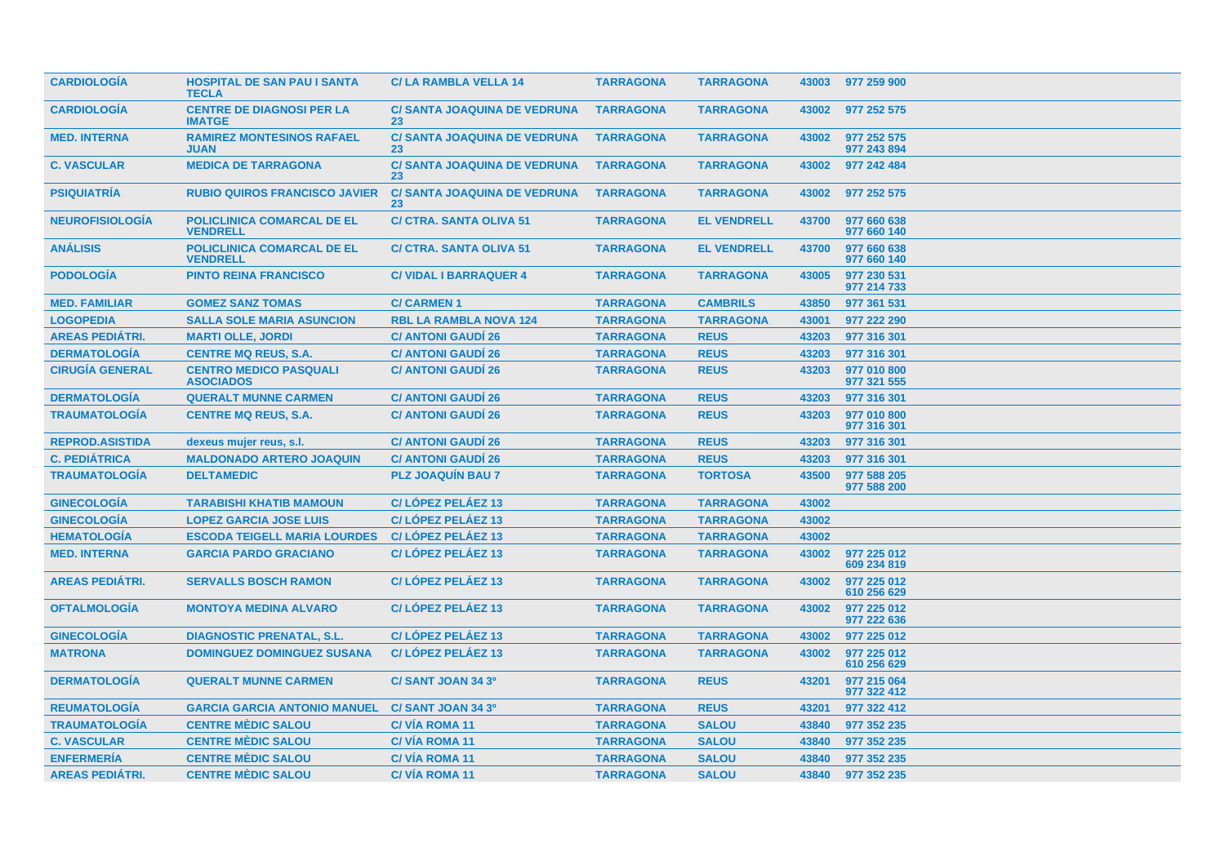| <b>CARDIOLOGIA</b>     | <b>HOSPITAL DE SAN PAU I SANTA</b><br><b>TECLA</b>   | <b>C/LA RAMBLA VELLA 14</b>               | <b>TARRAGONA</b> | <b>TARRAGONA</b>   | 43003 | 977 259 900                |
|------------------------|------------------------------------------------------|-------------------------------------------|------------------|--------------------|-------|----------------------------|
| <b>CARDIOLOGÍA</b>     | <b>CENTRE DE DIAGNOSI PER LA</b><br><b>IMATGE</b>    | <b>C/ SANTA JOAQUINA DE VEDRUNA</b><br>23 | <b>TARRAGONA</b> | <b>TARRAGONA</b>   | 43002 | 977 252 575                |
| <b>MED. INTERNA</b>    | <b>RAMIREZ MONTESINOS RAFAEL</b><br><b>JUAN</b>      | <b>C/ SANTA JOAQUINA DE VEDRUNA</b><br>23 | <b>TARRAGONA</b> | <b>TARRAGONA</b>   | 43002 | 977 252 575<br>977 243 894 |
| <b>C. VASCULAR</b>     | <b>MEDICA DE TARRAGONA</b>                           | <b>C/ SANTA JOAQUINA DE VEDRUNA</b><br>23 | <b>TARRAGONA</b> | <b>TARRAGONA</b>   | 43002 | 977 242 484                |
| <b>PSIQUIATRÍA</b>     | <b>RUBIO QUIROS FRANCISCO JAVIER</b>                 | <b>C/ SANTA JOAQUINA DE VEDRUNA</b><br>23 | <b>TARRAGONA</b> | <b>TARRAGONA</b>   | 43002 | 977 252 575                |
| <b>NEUROFISIOLOGÍA</b> | <b>POLICLINICA COMARCAL DE EL</b><br><b>VENDRELL</b> | <b>C/ CTRA, SANTA OLIVA 51</b>            | <b>TARRAGONA</b> | <b>EL VENDRELL</b> | 43700 | 977 660 638<br>977 660 140 |
| <b>ANÁLISIS</b>        | POLICLINICA COMARCAL DE EL<br><b>VENDRELL</b>        | <b>C/ CTRA. SANTA OLIVA 51</b>            | <b>TARRAGONA</b> | <b>EL VENDRELL</b> | 43700 | 977 660 638<br>977 660 140 |
| <b>PODOLOGÍA</b>       | <b>PINTO REINA FRANCISCO</b>                         | <b>C/VIDAL I BARRAQUER 4</b>              | <b>TARRAGONA</b> | <b>TARRAGONA</b>   | 43005 | 977 230 531<br>977 214 733 |
| <b>MED. FAMILIAR</b>   | <b>GOMEZ SANZ TOMAS</b>                              | <b>C/CARMEN1</b>                          | <b>TARRAGONA</b> | <b>CAMBRILS</b>    | 43850 | 977 361 531                |
| <b>LOGOPEDIA</b>       | <b>SALLA SOLE MARIA ASUNCION</b>                     | <b>RBL LA RAMBLA NOVA 124</b>             | <b>TARRAGONA</b> | <b>TARRAGONA</b>   | 43001 | 977 222 290                |
| <b>AREAS PEDIÁTRI.</b> | <b>MARTI OLLE, JORDI</b>                             | <b>C/ ANTONI GAUDÍ 26</b>                 | <b>TARRAGONA</b> | <b>REUS</b>        | 43203 | 977 316 301                |
| <b>DERMATOLOGÍA</b>    | <b>CENTRE MQ REUS, S.A.</b>                          | <b>C/ ANTONI GAUDI 26</b>                 | <b>TARRAGONA</b> | <b>REUS</b>        | 43203 | 977 316 301                |
| <b>CIRUGÍA GENERAL</b> | <b>CENTRO MEDICO PASQUALI</b><br><b>ASOCIADOS</b>    | <b>C/ ANTONI GAUDI 26</b>                 | <b>TARRAGONA</b> | <b>REUS</b>        | 43203 | 977 010 800<br>977 321 555 |
| <b>DERMATOLOGÍA</b>    | <b>QUERALT MUNNE CARMEN</b>                          | <b>C/ ANTONI GAUDI 26</b>                 | <b>TARRAGONA</b> | <b>REUS</b>        | 43203 | 977 316 301                |
| <b>TRAUMATOLOGÍA</b>   | <b>CENTRE MQ REUS, S.A.</b>                          | <b>C/ ANTONI GAUDI 26</b>                 | <b>TARRAGONA</b> | <b>REUS</b>        | 43203 | 977 010 800<br>977 316 301 |
| <b>REPROD.ASISTIDA</b> | dexeus mujer reus, s.l.                              | <b>C/ ANTONI GAUDÍ 26</b>                 | <b>TARRAGONA</b> | <b>REUS</b>        | 43203 | 977 316 301                |
| <b>C. PEDIÁTRICA</b>   | <b>MALDONADO ARTERO JOAQUIN</b>                      | <b>C/ ANTONI GAUDÍ 26</b>                 | <b>TARRAGONA</b> | <b>REUS</b>        | 43203 | 977 316 301                |
| <b>TRAUMATOLOGÍA</b>   | <b>DELTAMEDIC</b>                                    | <b>PLZ JOAQUIN BAU 7</b>                  | <b>TARRAGONA</b> | <b>TORTOSA</b>     | 43500 | 977 588 205<br>977 588 200 |
| <b>GINECOLOGÍA</b>     | <b>TARABISHI KHATIB MAMOUN</b>                       | C/LÓPEZ PELÁEZ 13                         | <b>TARRAGONA</b> | <b>TARRAGONA</b>   | 43002 |                            |
| <b>GINECOLOGÍA</b>     | <b>LOPEZ GARCIA JOSE LUIS</b>                        | C/LÓPEZ PELÁEZ 13                         | <b>TARRAGONA</b> | <b>TARRAGONA</b>   | 43002 |                            |
| <b>HEMATOLOGIA</b>     | <b>ESCODA TEIGELL MARIA LOURDES</b>                  | <b>C/LOPEZ PELAEZ 13</b>                  | <b>TARRAGONA</b> | <b>TARRAGONA</b>   | 43002 |                            |
| <b>MED. INTERNA</b>    | <b>GARCIA PARDO GRACIANO</b>                         | C/LÓPEZ PELÁEZ 13                         | <b>TARRAGONA</b> | <b>TARRAGONA</b>   | 43002 | 977 225 012<br>609 234 819 |
| <b>AREAS PEDIÁTRI.</b> | <b>SERVALLS BOSCH RAMON</b>                          | C/LÓPEZ PELÁEZ 13                         | <b>TARRAGONA</b> | <b>TARRAGONA</b>   | 43002 | 977 225 012<br>610 256 629 |
| <b>OFTALMOLOGÍA</b>    | <b>MONTOYA MEDINA ALVARO</b>                         | <b>C/LOPEZ PELAEZ 13</b>                  | <b>TARRAGONA</b> | <b>TARRAGONA</b>   | 43002 | 977 225 012<br>977 222 636 |
| <b>GINECOLOGIA</b>     | <b>DIAGNOSTIC PRENATAL, S.L.</b>                     | <b>C/LOPEZ PELAEZ 13</b>                  | <b>TARRAGONA</b> | <b>TARRAGONA</b>   | 43002 | 977 225 012                |
| <b>MATRONA</b>         | <b>DOMINGUEZ DOMINGUEZ SUSANA</b>                    | C/LÓPEZ PELÁEZ 13                         | <b>TARRAGONA</b> | <b>TARRAGONA</b>   | 43002 | 977 225 012<br>610 256 629 |
| <b>DERMATOLOGIA</b>    | <b>QUERALT MUNNE CARMEN</b>                          | C/SANT JOAN 34 3º                         | <b>TARRAGONA</b> | <b>REUS</b>        | 43201 | 977 215 064<br>977 322 412 |
| <b>REUMATOLOGÍA</b>    | <b>GARCIA GARCIA ANTONIO MANUEL</b>                  | C/SANT JOAN 34 3º                         | <b>TARRAGONA</b> | <b>REUS</b>        | 43201 | 977 322 412                |
| <b>TRAUMATOLOGÍA</b>   | <b>CENTRE MÈDIC SALOU</b>                            | <b>C/VIA ROMA 11</b>                      | <b>TARRAGONA</b> | <b>SALOU</b>       | 43840 | 977 352 235                |
| <b>C. VASCULAR</b>     | <b>CENTRE MÈDIC SALOU</b>                            | <b>C/VIA ROMA 11</b>                      | <b>TARRAGONA</b> | <b>SALOU</b>       | 43840 | 977 352 235                |
| <b>ENFERMERÍA</b>      | <b>CENTRE MÈDIC SALOU</b>                            | <b>C/VÍA ROMA 11</b>                      | <b>TARRAGONA</b> | <b>SALOU</b>       | 43840 | 977 352 235                |
| <b>AREAS PEDIÁTRI.</b> | <b>CENTRE MEDIC SALOU</b>                            | <b>C/VIA ROMA 11</b>                      | <b>TARRAGONA</b> | <b>SALOU</b>       | 43840 | 977 352 235                |
|                        |                                                      |                                           |                  |                    |       |                            |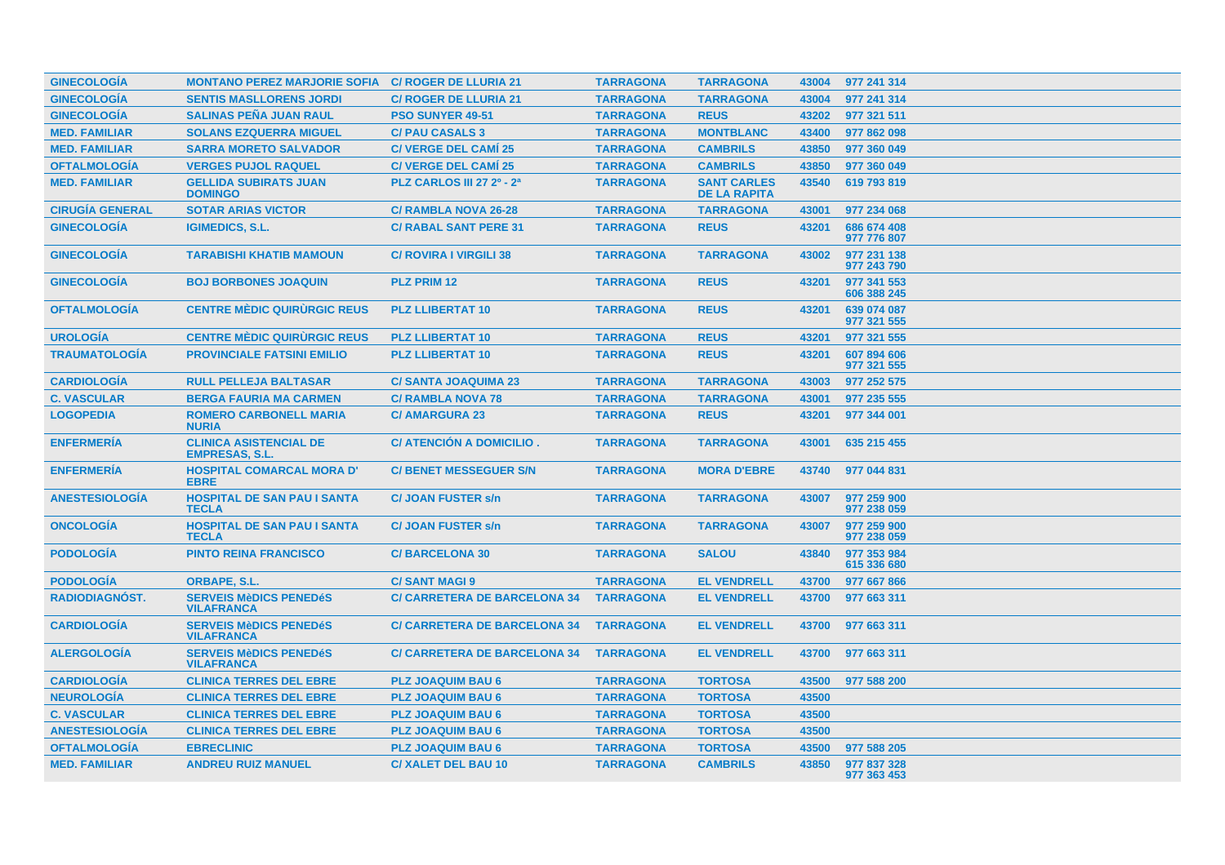| <b>GINECOLOGÍA</b>     | <b>MONTANO PEREZ MARJORIE SOFIA C/ ROGER DE LLURIA 21</b> |                                     | <b>TARRAGONA</b> | <b>TARRAGONA</b>                          | 43004 | 977 241 314                |
|------------------------|-----------------------------------------------------------|-------------------------------------|------------------|-------------------------------------------|-------|----------------------------|
| <b>GINECOLOGÍA</b>     | <b>SENTIS MASLLORENS JORDI</b>                            | <b>C/ ROGER DE LLURIA 21</b>        | <b>TARRAGONA</b> | <b>TARRAGONA</b>                          | 43004 | 977 241 314                |
| <b>GINECOLOGÍA</b>     | <b>SALINAS PEÑA JUAN RAUL</b>                             | <b>PSO SUNYER 49-51</b>             | <b>TARRAGONA</b> | <b>REUS</b>                               | 43202 | 977 321 511                |
| <b>MED. FAMILIAR</b>   | <b>SOLANS EZQUERRA MIGUEL</b>                             | <b>C/ PAU CASALS 3</b>              | <b>TARRAGONA</b> | <b>MONTBLANC</b>                          | 43400 | 977 862 098                |
| <b>MED. FAMILIAR</b>   | <b>SARRA MORETO SALVADOR</b>                              | <b>C/ VERGE DEL CAMI 25</b>         | <b>TARRAGONA</b> | <b>CAMBRILS</b>                           | 43850 | 977 360 049                |
| <b>OFTALMOLOGÍA</b>    | <b>VERGES PUJOL RAQUEL</b>                                | <b>C/ VERGE DEL CAMÍ 25</b>         | <b>TARRAGONA</b> | <b>CAMBRILS</b>                           | 43850 | 977 360 049                |
| <b>MED. FAMILIAR</b>   | <b>GELLIDA SUBIRATS JUAN</b><br><b>DOMINGO</b>            | <b>PLZ CARLOS III 27 2º - 2ª</b>    | <b>TARRAGONA</b> | <b>SANT CARLES</b><br><b>DE LA RAPITA</b> | 43540 | 619 793 819                |
| <b>CIRUGÍA GENERAL</b> | <b>SOTAR ARIAS VICTOR</b>                                 | <b>C/ RAMBLA NOVA 26-28</b>         | <b>TARRAGONA</b> | <b>TARRAGONA</b>                          | 43001 | 977 234 068                |
| <b>GINECOLOGÍA</b>     | <b>IGIMEDICS, S.L.</b>                                    | <b>C/ RABAL SANT PERE 31</b>        | <b>TARRAGONA</b> | <b>REUS</b>                               | 43201 | 686 674 408<br>977 776 807 |
| <b>GINECOLOGÍA</b>     | <b>TARABISHI KHATIB MAMOUN</b>                            | <b>C/ ROVIRA I VIRGILI 38</b>       | <b>TARRAGONA</b> | <b>TARRAGONA</b>                          | 43002 | 977 231 138<br>977 243 790 |
| <b>GINECOLOGIA</b>     | <b>BOJ BORBONES JOAQUIN</b>                               | <b>PLZ PRIM 12</b>                  | <b>TARRAGONA</b> | <b>REUS</b>                               | 43201 | 977 341 553<br>606 388 245 |
| <b>OFTALMOLOGÍA</b>    | <b>CENTRE MÉDIC QUIRURGIC REUS</b>                        | <b>PLZ LLIBERTAT 10</b>             | <b>TARRAGONA</b> | <b>REUS</b>                               | 43201 | 639 074 087<br>977 321 555 |
| <b>UROLOGÍA</b>        | <b>CENTRE MÉDIC QUIRURGIC REUS</b>                        | <b>PLZ LLIBERTAT 10</b>             | <b>TARRAGONA</b> | <b>REUS</b>                               | 43201 | 977 321 555                |
| <b>TRAUMATOLOGÍA</b>   | <b>PROVINCIALE FATSINI EMILIO</b>                         | <b>PLZ LLIBERTAT 10</b>             | <b>TARRAGONA</b> | <b>REUS</b>                               | 43201 | 607 894 606<br>977 321 555 |
| <b>CARDIOLOGÍA</b>     | <b>RULL PELLEJA BALTASAR</b>                              | <b>C/SANTA JOAQUIMA 23</b>          | <b>TARRAGONA</b> | <b>TARRAGONA</b>                          | 43003 | 977 252 575                |
| <b>C. VASCULAR</b>     | <b>BERGA FAURIA MA CARMEN</b>                             | <b>C/ RAMBLA NOVA 78</b>            | <b>TARRAGONA</b> | <b>TARRAGONA</b>                          | 43001 | 977 235 555                |
| <b>LOGOPEDIA</b>       | <b>ROMERO CARBONELL MARIA</b><br><b>NURIA</b>             | <b>C/ AMARGURA 23</b>               | <b>TARRAGONA</b> | <b>REUS</b>                               | 43201 | 977 344 001                |
| <b>ENFERMERÍA</b>      | <b>CLINICA ASISTENCIAL DE</b><br><b>EMPRESAS, S.L.</b>    | C/ ATENCIÓN A DOMICILIO.            | <b>TARRAGONA</b> | <b>TARRAGONA</b>                          | 43001 | 635 215 455                |
| <b>ENFERMERÍA</b>      | <b>HOSPITAL COMARCAL MORA D'</b><br><b>EBRE</b>           | <b>C/ BENET MESSEGUER S/N</b>       | <b>TARRAGONA</b> | <b>MORA D'EBRE</b>                        | 43740 | 977 044 831                |
| <b>ANESTESIOLOGÍA</b>  | <b>HOSPITAL DE SAN PAU I SANTA</b><br><b>TECLA</b>        | <b>C/JOAN FUSTER s/n</b>            | <b>TARRAGONA</b> | <b>TARRAGONA</b>                          | 43007 | 977 259 900<br>977 238 059 |
| <b>ONCOLOGIA</b>       | <b>HOSPITAL DE SAN PAU I SANTA</b><br><b>TECLA</b>        | <b>C/JOAN FUSTER s/n</b>            | <b>TARRAGONA</b> | <b>TARRAGONA</b>                          | 43007 | 977 259 900<br>977 238 059 |
| <b>PODOLOGÍA</b>       | <b>PINTO REINA FRANCISCO</b>                              | <b>C/BARCELONA 30</b>               | <b>TARRAGONA</b> | <b>SALOU</b>                              | 43840 | 977 353 984<br>615 336 680 |
| <b>PODOLOGÍA</b>       | <b>ORBAPE, S.L.</b>                                       | <b>C/SANT MAGI 9</b>                | <b>TARRAGONA</b> | <b>EL VENDRELL</b>                        | 43700 | 977 667 866                |
| <b>RADIODIAGNÓST.</b>  | <b>SERVEIS MèDICS PENEDéS</b><br><b>VILAFRANCA</b>        | <b>C/ CARRETERA DE BARCELONA 34</b> | <b>TARRAGONA</b> | <b>EL VENDRELL</b>                        | 43700 | 977 663 311                |
| <b>CARDIOLOGÍA</b>     | <b>SERVEIS MèDICS PENEDéS</b><br><b>VILAFRANCA</b>        | <b>C/ CARRETERA DE BARCELONA 34</b> | <b>TARRAGONA</b> | <b>EL VENDRELL</b>                        | 43700 | 977 663 311                |
| <b>ALERGOLOGÍA</b>     | <b>SERVEIS MèDICS PENEDéS</b><br><b>VILAFRANCA</b>        | <b>C/ CARRETERA DE BARCELONA 34</b> | <b>TARRAGONA</b> | <b>EL VENDRELL</b>                        | 43700 | 977 663 311                |
| <b>CARDIOLOGÍA</b>     | <b>CLINICA TERRES DEL EBRE</b>                            | <b>PLZ JOAQUIM BAU 6</b>            | <b>TARRAGONA</b> | <b>TORTOSA</b>                            | 43500 | 977 588 200                |
| <b>NEUROLOGÍA</b>      | <b>CLINICA TERRES DEL EBRE</b>                            | <b>PLZ JOAQUIM BAU 6</b>            | <b>TARRAGONA</b> | <b>TORTOSA</b>                            | 43500 |                            |
| <b>C. VASCULAR</b>     | <b>CLINICA TERRES DEL EBRE</b>                            | <b>PLZ JOAQUIM BAU 6</b>            | <b>TARRAGONA</b> | <b>TORTOSA</b>                            | 43500 |                            |
| <b>ANESTESIOLOGIA</b>  | <b>CLINICA TERRES DEL EBRE</b>                            | <b>PLZ JOAQUIM BAU 6</b>            | <b>TARRAGONA</b> | <b>TORTOSA</b>                            | 43500 |                            |
| <b>OFTALMOLOGÍA</b>    | <b>EBRECLINIC</b>                                         | <b>PLZ JOAQUIM BAU 6</b>            | <b>TARRAGONA</b> | <b>TORTOSA</b>                            | 43500 | 977 588 205                |
| <b>MED. FAMILIAR</b>   | <b>ANDREU RUIZ MANUEL</b>                                 | <b>C/XALET DEL BAU 10</b>           | <b>TARRAGONA</b> | <b>CAMBRILS</b>                           | 43850 | 977 837 328<br>977 363 453 |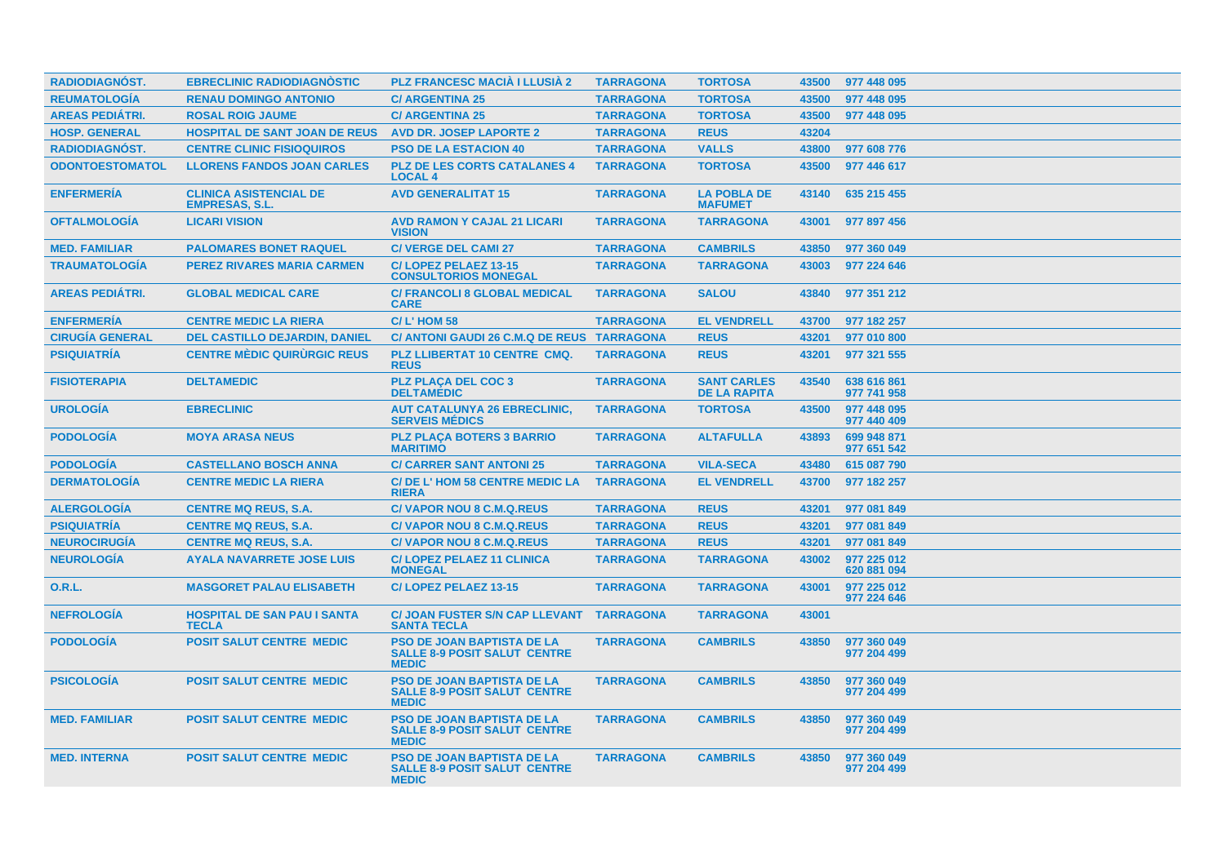| RADIODIAGNÓST.         | <b>EBRECLINIC RADIODIAGNOSTIC</b>                      | <b>PLZ FRANCESC MACIÀ I LLUSIÀ 2</b>                                                     | <b>TARRAGONA</b> | <b>TORTOSA</b>                            | 43500 | 977 448 095                |
|------------------------|--------------------------------------------------------|------------------------------------------------------------------------------------------|------------------|-------------------------------------------|-------|----------------------------|
| <b>REUMATOLOGÍA</b>    | <b>RENAU DOMINGO ANTONIO</b>                           | <b>C/ ARGENTINA 25</b>                                                                   | <b>TARRAGONA</b> | <b>TORTOSA</b>                            | 43500 | 977 448 095                |
| <b>AREAS PEDIÁTRI.</b> | <b>ROSAL ROIG JAUME</b>                                | <b>C/ ARGENTINA 25</b>                                                                   | <b>TARRAGONA</b> | <b>TORTOSA</b>                            | 43500 | 977 448 095                |
| <b>HOSP. GENERAL</b>   | <b>HOSPITAL DE SANT JOAN DE REUS</b>                   | <b>AVD DR. JOSEP LAPORTE 2</b>                                                           | <b>TARRAGONA</b> | <b>REUS</b>                               | 43204 |                            |
| RADIODIAGNÓST.         | <b>CENTRE CLINIC FISIOQUIROS</b>                       | <b>PSO DE LA ESTACION 40</b>                                                             | <b>TARRAGONA</b> | <b>VALLS</b>                              | 43800 | 977 608 776                |
| <b>ODONTOESTOMATOL</b> | <b>LLORENS FANDOS JOAN CARLES</b>                      | <b>PLZ DE LES CORTS CATALANES 4</b><br><b>LOCAL 4</b>                                    | <b>TARRAGONA</b> | <b>TORTOSA</b>                            | 43500 | 977 446 617                |
| <b>ENFERMERÍA</b>      | <b>CLINICA ASISTENCIAL DE</b><br><b>EMPRESAS, S.L.</b> | <b>AVD GENERALITAT 15</b>                                                                | <b>TARRAGONA</b> | <b>LA POBLA DE</b><br><b>MAFUMET</b>      | 43140 | 635 215 455                |
| <b>OFTALMOLOGÍA</b>    | <b>LICARI VISION</b>                                   | <b>AVD RAMON Y CAJAL 21 LICARI</b><br><b>VISION</b>                                      | <b>TARRAGONA</b> | <b>TARRAGONA</b>                          | 43001 | 977 897 456                |
| <b>MED. FAMILIAR</b>   | <b>PALOMARES BONET RAQUEL</b>                          | <b>C/VERGE DEL CAMI 27</b>                                                               | <b>TARRAGONA</b> | <b>CAMBRILS</b>                           | 43850 | 977 360 049                |
| <b>TRAUMATOLOGÍA</b>   | <b>PEREZ RIVARES MARIA CARMEN</b>                      | C/LOPEZ PELAEZ 13-15<br><b>CONSULTORIOS MONEGAL</b>                                      | <b>TARRAGONA</b> | <b>TARRAGONA</b>                          | 43003 | 977 224 646                |
| <b>AREAS PEDIÁTRI.</b> | <b>GLOBAL MEDICAL CARE</b>                             | <b>C/ FRANCOLI 8 GLOBAL MEDICAL</b><br><b>CARE</b>                                       | <b>TARRAGONA</b> | <b>SALOU</b>                              | 43840 | 977 351 212                |
| <b>ENFERMERÍA</b>      | <b>CENTRE MEDIC LA RIERA</b>                           | $C/L$ ' HOM 58                                                                           | <b>TARRAGONA</b> | <b>EL VENDRELL</b>                        | 43700 | 977 182 257                |
| <b>CIRUGÍA GENERAL</b> | <b>DEL CASTILLO DEJARDIN, DANIEL</b>                   | C/ ANTONI GAUDI 26 C.M.Q DE REUS TARRAGONA                                               |                  | <b>REUS</b>                               | 43201 | 977 010 800                |
| <b>PSIQUIATRÍA</b>     | <b>CENTRE MÈDIC QUIRURGIC REUS</b>                     | PLZ LLIBERTAT 10 CENTRE CMQ.<br><b>REUS</b>                                              | <b>TARRAGONA</b> | <b>REUS</b>                               | 43201 | 977 321 555                |
| <b>FISIOTERAPIA</b>    | <b>DELTAMEDIC</b>                                      | <b>PLZ PLAÇA DEL COC 3</b><br><b>DELTAMÉDIC</b>                                          | <b>TARRAGONA</b> | <b>SANT CARLES</b><br><b>DE LA RAPITA</b> | 43540 | 638 616 861<br>977 741 958 |
| <b>UROLOGÍA</b>        | <b>EBRECLINIC</b>                                      | <b>AUT CATALUNYA 26 EBRECLINIC.</b><br><b>SERVEIS MÉDICS</b>                             | <b>TARRAGONA</b> | <b>TORTOSA</b>                            | 43500 | 977 448 095<br>977 440 409 |
| <b>PODOLOGÍA</b>       | <b>MOYA ARASA NEUS</b>                                 | <b>PLZ PLACA BOTERS 3 BARRIO</b><br><b>MARITIMO</b>                                      | <b>TARRAGONA</b> | <b>ALTAFULLA</b>                          | 43893 | 699 948 871<br>977 651 542 |
| <b>PODOLOGÍA</b>       | <b>CASTELLANO BOSCH ANNA</b>                           | <b>C/ CARRER SANT ANTONI 25</b>                                                          | <b>TARRAGONA</b> | <b>VILA-SECA</b>                          | 43480 | 615 087 790                |
| <b>DERMATOLOGÍA</b>    | <b>CENTRE MEDIC LA RIERA</b>                           | C/DE L'HOM 58 CENTRE MEDIC LA<br><b>RIERA</b>                                            | <b>TARRAGONA</b> | <b>EL VENDRELL</b>                        | 43700 | 977 182 257                |
| <b>ALERGOLOGÍA</b>     | <b>CENTRE MQ REUS, S.A.</b>                            | <b>C/VAPOR NOU 8 C.M.Q.REUS</b>                                                          | <b>TARRAGONA</b> | <b>REUS</b>                               | 43201 | 977 081 849                |
| <b>PSIQUIATRÍA</b>     | <b>CENTRE MQ REUS, S.A.</b>                            | <b>C/VAPOR NOU 8 C.M.Q.REUS</b>                                                          | <b>TARRAGONA</b> | <b>REUS</b>                               | 43201 | 977 081 849                |
| <b>NEUROCIRUGÍA</b>    | <b>CENTRE MQ REUS, S.A.</b>                            | <b>C/VAPOR NOU 8 C.M.Q.REUS</b>                                                          | <b>TARRAGONA</b> | <b>REUS</b>                               | 43201 | 977 081 849                |
| <b>NEUROLOGÍA</b>      | <b>AYALA NAVARRETE JOSE LUIS</b>                       | <b>C/LOPEZ PELAEZ 11 CLINICA</b><br><b>MONEGAL</b>                                       | <b>TARRAGONA</b> | <b>TARRAGONA</b>                          | 43002 | 977 225 012<br>620 881 094 |
| 0.R.L.                 | <b>MASGORET PALAU ELISABETH</b>                        | C/LOPEZ PELAEZ 13-15                                                                     | <b>TARRAGONA</b> | <b>TARRAGONA</b>                          | 43001 | 977 225 012<br>977 224 646 |
| <b>NEFROLOGÍA</b>      | <b>HOSPITAL DE SAN PAU I SANTA</b><br><b>TECLA</b>     | <b>C/ JOAN FUSTER S/N CAP LLEVANT</b><br><b>SANTA TECLA</b>                              | <b>TARRAGONA</b> | <b>TARRAGONA</b>                          | 43001 |                            |
| <b>PODOLOGÍA</b>       | <b>POSIT SALUT CENTRE MEDIC</b>                        | <b>PSO DE JOAN BAPTISTA DE LA</b><br><b>SALLE 8-9 POSIT SALUT CENTRE</b><br><b>MEDIC</b> | <b>TARRAGONA</b> | <b>CAMBRILS</b>                           | 43850 | 977 360 049<br>977 204 499 |
| <b>PSICOLOGÍA</b>      | <b>POSIT SALUT CENTRE MEDIC</b>                        | <b>PSO DE JOAN BAPTISTA DE LA</b><br><b>SALLE 8-9 POSIT SALUT CENTRE</b><br><b>MEDIC</b> | <b>TARRAGONA</b> | <b>CAMBRILS</b>                           | 43850 | 977 360 049<br>977 204 499 |
| <b>MED. FAMILIAR</b>   | <b>POSIT SALUT CENTRE MEDIC</b>                        | <b>PSO DE JOAN BAPTISTA DE LA</b><br><b>SALLE 8-9 POSIT SALUT CENTRE</b><br><b>MEDIC</b> | <b>TARRAGONA</b> | <b>CAMBRILS</b>                           | 43850 | 977 360 049<br>977 204 499 |
| <b>MED. INTERNA</b>    | <b>POSIT SALUT CENTRE MEDIC</b>                        | <b>PSO DE JOAN BAPTISTA DE LA</b><br><b>SALLE 8-9 POSIT SALUT CENTRE</b><br><b>MEDIC</b> | <b>TARRAGONA</b> | <b>CAMBRILS</b>                           | 43850 | 977 360 049<br>977 204 499 |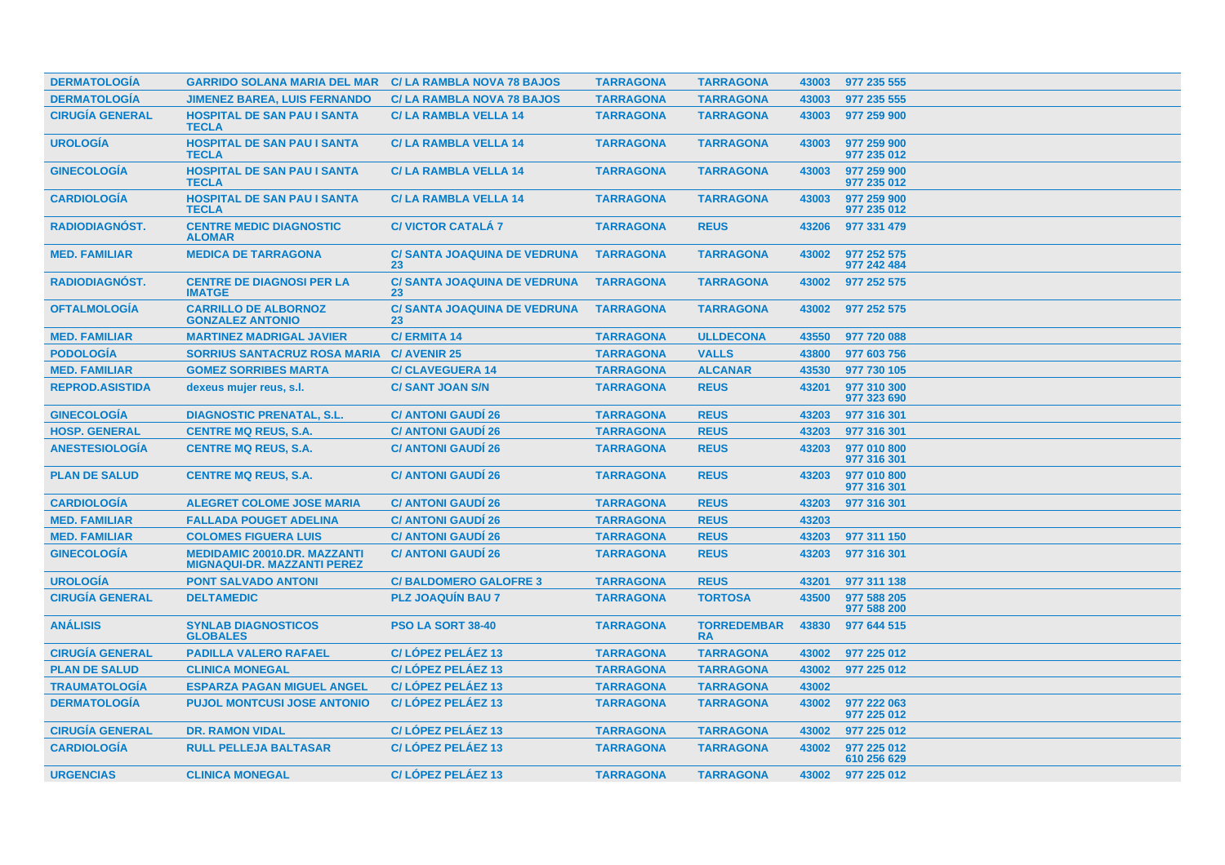| <b>DERMATOLOGIA</b>    | <b>GARRIDO SOLANA MARIA DEL MAR</b>                                       | <b>C/LA RAMBLA NOVA 78 BAJOS</b>          | <b>TARRAGONA</b> | <b>TARRAGONA</b>                | 43003 | 977 235 555                |
|------------------------|---------------------------------------------------------------------------|-------------------------------------------|------------------|---------------------------------|-------|----------------------------|
| <b>DERMATOLOGÍA</b>    | <b>JIMENEZ BAREA, LUIS FERNANDO</b>                                       | <b>C/LA RAMBLA NOVA 78 BAJOS</b>          | <b>TARRAGONA</b> | <b>TARRAGONA</b>                | 43003 | 977 235 555                |
| <b>CIRUGÍA GENERAL</b> | <b>HOSPITAL DE SAN PAU I SANTA</b><br><b>TECLA</b>                        | <b>C/LA RAMBLA VELLA 14</b>               | <b>TARRAGONA</b> | <b>TARRAGONA</b>                | 43003 | 977 259 900                |
| <b>UROLOGÍA</b>        | <b>HOSPITAL DE SAN PAU I SANTA</b><br><b>TECLA</b>                        | <b>C/LA RAMBLA VELLA 14</b>               | <b>TARRAGONA</b> | <b>TARRAGONA</b>                | 43003 | 977 259 900<br>977 235 012 |
| <b>GINECOLOGIA</b>     | <b>HOSPITAL DE SAN PAU I SANTA</b><br><b>TECLA</b>                        | <b>C/LA RAMBLA VELLA 14</b>               | <b>TARRAGONA</b> | <b>TARRAGONA</b>                | 43003 | 977 259 900<br>977 235 012 |
| <b>CARDIOLOGIA</b>     | <b>HOSPITAL DE SAN PAU I SANTA</b><br><b>TECLA</b>                        | <b>C/LA RAMBLA VELLA 14</b>               | <b>TARRAGONA</b> | <b>TARRAGONA</b>                | 43003 | 977 259 900<br>977 235 012 |
| RADIODIAGNÓST.         | <b>CENTRE MEDIC DIAGNOSTIC</b><br><b>ALOMAR</b>                           | <b>C/VICTOR CATALA 7</b>                  | <b>TARRAGONA</b> | <b>REUS</b>                     | 43206 | 977 331 479                |
| <b>MED. FAMILIAR</b>   | <b>MEDICA DE TARRAGONA</b>                                                | <b>C/ SANTA JOAQUINA DE VEDRUNA</b><br>23 | <b>TARRAGONA</b> | <b>TARRAGONA</b>                | 43002 | 977 252 575<br>977 242 484 |
| <b>RADIODIAGNOST.</b>  | <b>CENTRE DE DIAGNOSI PER LA</b><br><b>IMATGE</b>                         | <b>C/ SANTA JOAQUINA DE VEDRUNA</b><br>23 | <b>TARRAGONA</b> | <b>TARRAGONA</b>                | 43002 | 977 252 575                |
| <b>OFTALMOLOGÍA</b>    | <b>CARRILLO DE ALBORNOZ</b><br><b>GONZALEZ ANTONIO</b>                    | <b>C/ SANTA JOAQUINA DE VEDRUNA</b><br>23 | <b>TARRAGONA</b> | <b>TARRAGONA</b>                | 43002 | 977 252 575                |
| <b>MED. FAMILIAR</b>   | <b>MARTINEZ MADRIGAL JAVIER</b>                                           | <b>C/ERMITA 14</b>                        | <b>TARRAGONA</b> | <b>ULLDECONA</b>                | 43550 | 977 720 088                |
| <b>PODOLOGÍA</b>       | <b>SORRIUS SANTACRUZ ROSA MARIA</b>                                       | <b>C/ AVENIR 25</b>                       | <b>TARRAGONA</b> | <b>VALLS</b>                    | 43800 | 977 603 756                |
| <b>MED. FAMILIAR</b>   | <b>GOMEZ SORRIBES MARTA</b>                                               | <b>C/CLAVEGUERA 14</b>                    | <b>TARRAGONA</b> | <b>ALCANAR</b>                  | 43530 | 977 730 105                |
| <b>REPROD.ASISTIDA</b> | dexeus mujer reus, s.l.                                                   | <b>C/SANT JOAN S/N</b>                    | <b>TARRAGONA</b> | <b>REUS</b>                     | 43201 | 977 310 300<br>977 323 690 |
| <b>GINECOLOGÍA</b>     | <b>DIAGNOSTIC PRENATAL, S.L.</b>                                          | <b>C/ ANTONI GAUDÍ 26</b>                 | <b>TARRAGONA</b> | <b>REUS</b>                     | 43203 | 977 316 301                |
| <b>HOSP. GENERAL</b>   | <b>CENTRE MQ REUS, S.A.</b>                                               | <b>C/ ANTONI GAUDI 26</b>                 | <b>TARRAGONA</b> | <b>REUS</b>                     | 43203 | 977 316 301                |
| <b>ANESTESIOLOGÍA</b>  | <b>CENTRE MQ REUS, S.A.</b>                                               | <b>C/ ANTONI GAUDÍ 26</b>                 | <b>TARRAGONA</b> | <b>REUS</b>                     | 43203 | 977 010 800<br>977 316 301 |
| <b>PLAN DE SALUD</b>   | <b>CENTRE MQ REUS, S.A.</b>                                               | <b>C/ ANTONI GAUDI 26</b>                 | <b>TARRAGONA</b> | <b>REUS</b>                     | 43203 | 977 010 800<br>977 316 301 |
| <b>CARDIOLOGIA</b>     | <b>ALEGRET COLOME JOSE MARIA</b>                                          | <b>C/ ANTONI GAUDI 26</b>                 | <b>TARRAGONA</b> | <b>REUS</b>                     | 43203 | 977 316 301                |
| <b>MED. FAMILIAR</b>   | <b>FALLADA POUGET ADELINA</b>                                             | <b>C/ ANTONI GAUDI 26</b>                 | <b>TARRAGONA</b> | <b>REUS</b>                     | 43203 |                            |
| <b>MED. FAMILIAR</b>   | <b>COLOMES FIGUERA LUIS</b>                                               | <b>C/ ANTONI GAUDI 26</b>                 | <b>TARRAGONA</b> | <b>REUS</b>                     | 43203 | 977 311 150                |
| <b>GINECOLOGÍA</b>     | <b>MEDIDAMIC 20010.DR. MAZZANTI</b><br><b>MIGNAQUI-DR. MAZZANTI PEREZ</b> | <b>C/ ANTONI GAUDI 26</b>                 | <b>TARRAGONA</b> | <b>REUS</b>                     | 43203 | 977 316 301                |
| <b>UROLOGÍA</b>        | <b>PONT SALVADO ANTONI</b>                                                | <b>C/BALDOMERO GALOFRE 3</b>              | <b>TARRAGONA</b> | <b>REUS</b>                     | 43201 | 977 311 138                |
| <b>CIRUGÍA GENERAL</b> | <b>DELTAMEDIC</b>                                                         | <b>PLZ JOAQUIN BAU 7</b>                  | <b>TARRAGONA</b> | <b>TORTOSA</b>                  | 43500 | 977 588 205<br>977 588 200 |
| <b>ANÁLISIS</b>        | <b>SYNLAB DIAGNOSTICOS</b><br><b>GLOBALES</b>                             | PSO LA SORT 38-40                         | <b>TARRAGONA</b> | <b>TORREDEMBAR</b><br><b>RA</b> | 43830 | 977 644 515                |
| <b>CIRUGÍA GENERAL</b> | <b>PADILLA VALERO RAFAEL</b>                                              | <b>C/LOPEZ PELAEZ 13</b>                  | <b>TARRAGONA</b> | <b>TARRAGONA</b>                | 43002 | 977 225 012                |
| <b>PLAN DE SALUD</b>   | <b>CLINICA MONEGAL</b>                                                    | C/LÓPEZ PELÁEZ 13                         | <b>TARRAGONA</b> | <b>TARRAGONA</b>                | 43002 | 977 225 012                |
| <b>TRAUMATOLOGÍA</b>   | <b>ESPARZA PAGAN MIGUEL ANGEL</b>                                         | C/LÓPEZ PELÁEZ 13                         | <b>TARRAGONA</b> | <b>TARRAGONA</b>                | 43002 |                            |
| <b>DERMATOLOGIA</b>    | <b>PUJOL MONTCUSI JOSE ANTONIO</b>                                        | <b>C/LOPEZ PELAEZ 13</b>                  | <b>TARRAGONA</b> | <b>TARRAGONA</b>                | 43002 | 977 222 063<br>977 225 012 |
| <b>CIRUGÍA GENERAL</b> | <b>DR. RAMON VIDAL</b>                                                    | C/LÓPEZ PELÁEZ 13                         | <b>TARRAGONA</b> | <b>TARRAGONA</b>                | 43002 | 977 225 012                |
| <b>CARDIOLOGIA</b>     | <b>RULL PELLEJA BALTASAR</b>                                              | <b>C/LOPEZ PELAEZ 13</b>                  | <b>TARRAGONA</b> | <b>TARRAGONA</b>                | 43002 | 977 225 012<br>610 256 629 |
| <b>URGENCIAS</b>       | <b>CLINICA MONEGAL</b>                                                    | C/LÓPEZ PELÁEZ 13                         | <b>TARRAGONA</b> | <b>TARRAGONA</b>                |       | 43002 977 225 012          |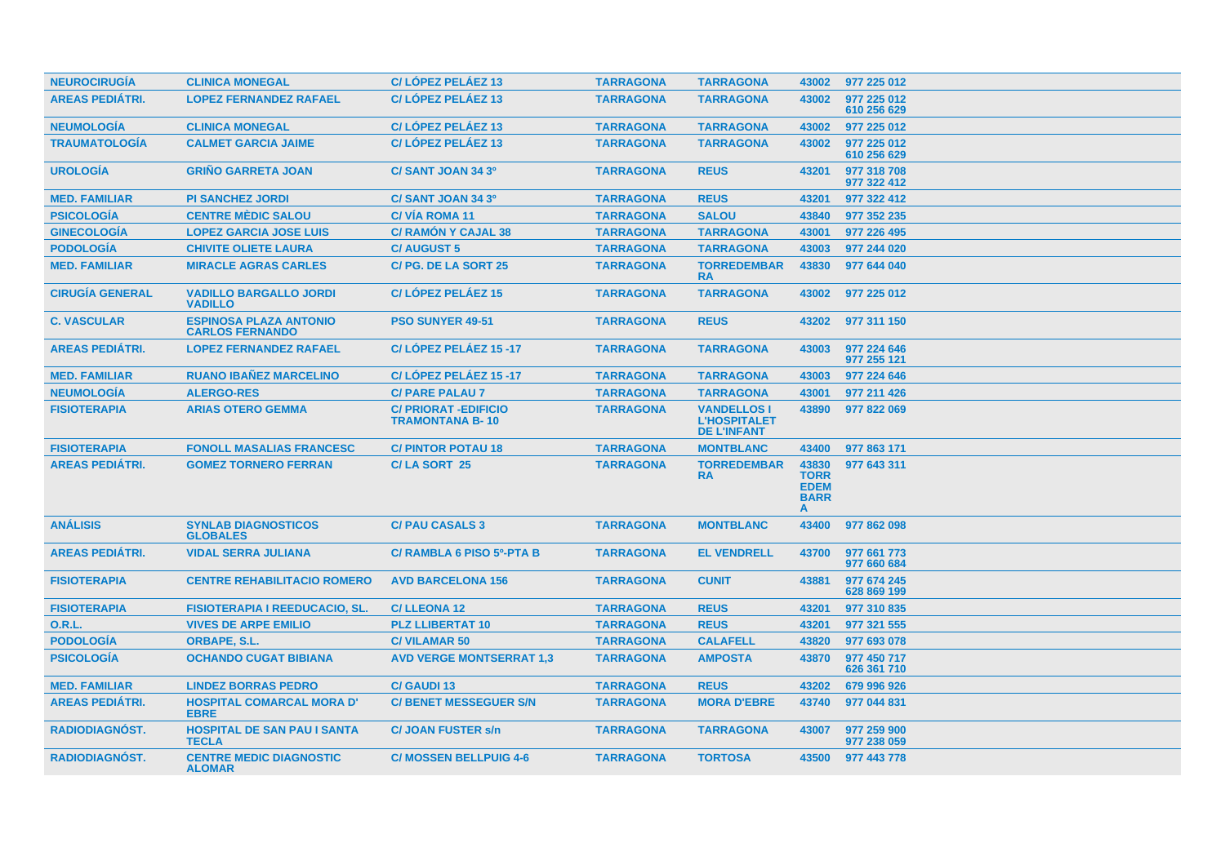| <b>NEUROCIRUGIA</b>    | <b>CLINICA MONEGAL</b>                                  | C/LÓPEZ PELÁEZ 13                                     | <b>TARRAGONA</b> | <b>TARRAGONA</b>                                                | 43002                                                   | 977 225 012                |
|------------------------|---------------------------------------------------------|-------------------------------------------------------|------------------|-----------------------------------------------------------------|---------------------------------------------------------|----------------------------|
| <b>AREAS PEDIÁTRI.</b> | <b>LOPEZ FERNANDEZ RAFAEL</b>                           | C/LOPEZ PELAEZ 13                                     | <b>TARRAGONA</b> | <b>TARRAGONA</b>                                                | 43002                                                   | 977 225 012<br>610 256 629 |
| <b>NEUMOLOGÍA</b>      | <b>CLINICA MONEGAL</b>                                  | C/LÓPEZ PELÁEZ 13                                     | <b>TARRAGONA</b> | <b>TARRAGONA</b>                                                | 43002                                                   | 977 225 012                |
| <b>TRAUMATOLOGÍA</b>   | <b>CALMET GARCIA JAIME</b>                              | C/LÓPEZ PELÁEZ 13                                     | <b>TARRAGONA</b> | <b>TARRAGONA</b>                                                | 43002                                                   | 977 225 012<br>610 256 629 |
| <b>UROLOGÍA</b>        | <b>GRINO GARRETA JOAN</b>                               | C/SANT JOAN 34 3º                                     | <b>TARRAGONA</b> | <b>REUS</b>                                                     | 43201                                                   | 977 318 708<br>977 322 412 |
| <b>MED. FAMILIAR</b>   | <b>PI SANCHEZ JORDI</b>                                 | C/SANT JOAN 34 3º                                     | <b>TARRAGONA</b> | <b>REUS</b>                                                     | 43201                                                   | 977 322 412                |
| <b>PSICOLOGÍA</b>      | <b>CENTRE MÉDIC SALOU</b>                               | <b>C/VIA ROMA 11</b>                                  | <b>TARRAGONA</b> | <b>SALOU</b>                                                    | 43840                                                   | 977 352 235                |
| <b>GINECOLOGÍA</b>     | <b>LOPEZ GARCIA JOSE LUIS</b>                           | <b>C/ RAMON Y CAJAL 38</b>                            | <b>TARRAGONA</b> | <b>TARRAGONA</b>                                                | 43001                                                   | 977 226 495                |
| <b>PODOLOGÍA</b>       | <b>CHIVITE OLIETE LAURA</b>                             | <b>C/AUGUST 5</b>                                     | <b>TARRAGONA</b> | <b>TARRAGONA</b>                                                | 43003                                                   | 977 244 020                |
| <b>MED. FAMILIAR</b>   | <b>MIRACLE AGRAS CARLES</b>                             | C/PG. DE LA SORT 25                                   | <b>TARRAGONA</b> | <b>TORREDEMBAR</b><br><b>RA</b>                                 | 43830                                                   | 977 644 040                |
| <b>CIRUGÍA GENERAL</b> | <b>VADILLO BARGALLO JORDI</b><br><b>VADILLO</b>         | C/LÓPEZ PELÁEZ 15                                     | <b>TARRAGONA</b> | <b>TARRAGONA</b>                                                | 43002                                                   | 977 225 012                |
| <b>C. VASCULAR</b>     | <b>ESPINOSA PLAZA ANTONIO</b><br><b>CARLOS FERNANDO</b> | <b>PSO SUNYER 49-51</b>                               | <b>TARRAGONA</b> | <b>REUS</b>                                                     | 43202                                                   | 977 311 150                |
| <b>AREAS PEDIÁTRI.</b> | <b>LOPEZ FERNANDEZ RAFAEL</b>                           | C/LÓPEZ PELÁEZ 15-17                                  | <b>TARRAGONA</b> | <b>TARRAGONA</b>                                                | 43003                                                   | 977 224 646<br>977 255 121 |
| <b>MED. FAMILIAR</b>   | <b>RUANO IBAÑEZ MARCELINO</b>                           | C/LÓPEZ PELÁEZ 15-17                                  | <b>TARRAGONA</b> | <b>TARRAGONA</b>                                                | 43003                                                   | 977 224 646                |
| <b>NEUMOLOGÍA</b>      | <b>ALERGO-RES</b>                                       | <b>C/ PARE PALAU 7</b>                                | <b>TARRAGONA</b> | <b>TARRAGONA</b>                                                | 43001                                                   | 977 211 426                |
| <b>FISIOTERAPIA</b>    | <b>ARIAS OTERO GEMMA</b>                                | <b>C/ PRIORAT -EDIFICIO</b><br><b>TRAMONTANA B-10</b> | <b>TARRAGONA</b> | <b>VANDELLOS I</b><br><b>L'HOSPITALET</b><br><b>DE L'INFANT</b> | 43890                                                   | 977 822 069                |
| <b>FISIOTERAPIA</b>    | <b>FONOLL MASALIAS FRANCESC</b>                         | <b>C/PINTOR POTAU 18</b>                              | <b>TARRAGONA</b> | <b>MONTBLANC</b>                                                | 43400                                                   | 977 863 171                |
| <b>AREAS PEDIÁTRI.</b> | <b>GOMEZ TORNERO FERRAN</b>                             | C/LA SORT 25                                          | <b>TARRAGONA</b> | <b>TORREDEMBAR</b><br><b>RA</b>                                 | 43830<br><b>TORR</b><br><b>EDEM</b><br><b>BARR</b><br>A | 977 643 311                |
| <b>ANÁLISIS</b>        | <b>SYNLAB DIAGNOSTICOS</b><br><b>GLOBALES</b>           | <b>C/PAU CASALS 3</b>                                 | <b>TARRAGONA</b> | <b>MONTBLANC</b>                                                | 43400                                                   | 977 862 098                |
| <b>AREAS PEDIÁTRI.</b> | <b>VIDAL SERRA JULIANA</b>                              | C/ RAMBLA 6 PISO 5º-PTA B                             | <b>TARRAGONA</b> | <b>EL VENDRELL</b>                                              | 43700                                                   | 977 661 773<br>977 660 684 |
| <b>FISIOTERAPIA</b>    | <b>CENTRE REHABILITACIO ROMERO</b>                      | <b>AVD BARCELONA 156</b>                              | <b>TARRAGONA</b> | <b>CUNIT</b>                                                    | 43881                                                   | 977 674 245<br>628 869 199 |
| <b>FISIOTERAPIA</b>    | <b>FISIOTERAPIA I REEDUCACIO, SL.</b>                   | <b>C/LLEONA 12</b>                                    | <b>TARRAGONA</b> | <b>REUS</b>                                                     | 43201                                                   | 977 310 835                |
| 0.R.L.                 | <b>VIVES DE ARPE EMILIO</b>                             | <b>PLZ LLIBERTAT 10</b>                               | <b>TARRAGONA</b> | <b>REUS</b>                                                     | 43201                                                   | 977 321 555                |
| <b>PODOLOGÍA</b>       | <b>ORBAPE, S.L.</b>                                     | <b>C/VILAMAR 50</b>                                   | <b>TARRAGONA</b> | <b>CALAFELL</b>                                                 | 43820                                                   | 977 693 078                |
| <b>PSICOLOGÍA</b>      | <b>OCHANDO CUGAT BIBIANA</b>                            | <b>AVD VERGE MONTSERRAT 1,3</b>                       | <b>TARRAGONA</b> | <b>AMPOSTA</b>                                                  | 43870                                                   | 977 450 717<br>626 361 710 |
| <b>MED. FAMILIAR</b>   | <b>LINDEZ BORRAS PEDRO</b>                              | <b>C/ GAUDI 13</b>                                    | <b>TARRAGONA</b> | <b>REUS</b>                                                     | 43202                                                   | 679 996 926                |
| <b>AREAS PEDIÁTRI.</b> | <b>HOSPITAL COMARCAL MORA D'</b><br><b>EBRE</b>         | <b>C/ BENET MESSEGUER S/N</b>                         | <b>TARRAGONA</b> | <b>MORA D'EBRE</b>                                              | 43740                                                   | 977 044 831                |
| <b>RADIODIAGNOST.</b>  | <b>HOSPITAL DE SAN PAU I SANTA</b><br><b>TECLA</b>      | <b>C/JOAN FUSTER s/n</b>                              | <b>TARRAGONA</b> | <b>TARRAGONA</b>                                                | 43007                                                   | 977 259 900<br>977 238 059 |
| <b>RADIODIAGNOST.</b>  | <b>CENTRE MEDIC DIAGNOSTIC</b><br><b>ALOMAR</b>         | <b>C/ MOSSEN BELLPUIG 4-6</b>                         | <b>TARRAGONA</b> | <b>TORTOSA</b>                                                  | 43500                                                   | 977 443 778                |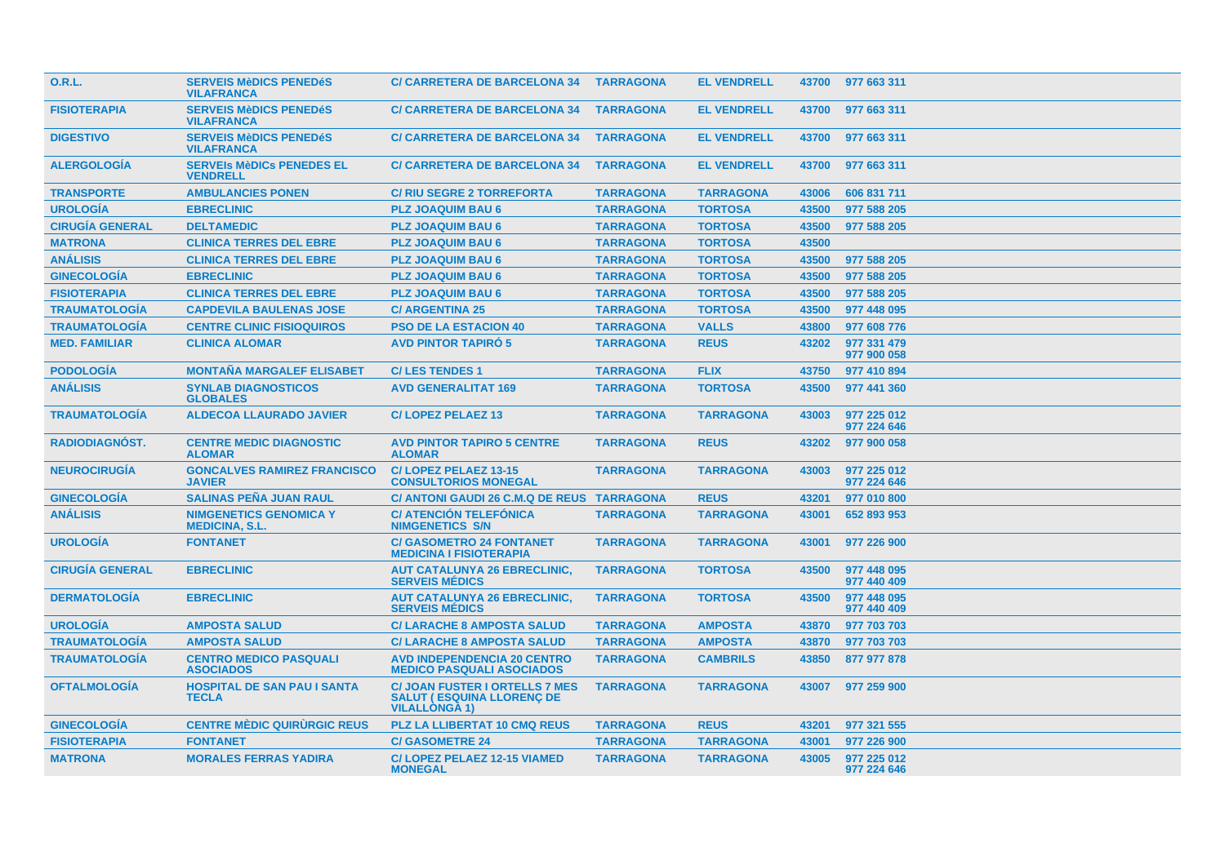| <b>O.R.L.</b>          | <b>SERVEIS MèDICS PENEDéS</b><br><b>VILAFRANCA</b>     | <b>C/ CARRETERA DE BARCELONA 34</b>                                                                | <b>TARRAGONA</b> | <b>EL VENDRELL</b> |       | 43700 977 663 311          |
|------------------------|--------------------------------------------------------|----------------------------------------------------------------------------------------------------|------------------|--------------------|-------|----------------------------|
| <b>FISIOTERAPIA</b>    | <b>SERVEIS MèDICS PENEDéS</b><br><b>VILAFRANCA</b>     | <b>C/ CARRETERA DE BARCELONA 34</b>                                                                | <b>TARRAGONA</b> | <b>EL VENDRELL</b> | 43700 | 977 663 311                |
| <b>DIGESTIVO</b>       | <b>SERVEIS MèDICS PENEDéS</b><br><b>VILAFRANCA</b>     | <b>C/ CARRETERA DE BARCELONA 34</b>                                                                | <b>TARRAGONA</b> | <b>EL VENDRELL</b> | 43700 | 977 663 311                |
| <b>ALERGOLOGIA</b>     | <b>SERVEIS MèDICS PENEDES EL</b><br><b>VENDRELL</b>    | <b>C/ CARRETERA DE BARCELONA 34</b>                                                                | <b>TARRAGONA</b> | <b>EL VENDRELL</b> | 43700 | 977 663 311                |
| <b>TRANSPORTE</b>      | <b>AMBULANCIES PONEN</b>                               | <b>C/RIU SEGRE 2 TORREFORTA</b>                                                                    | <b>TARRAGONA</b> | <b>TARRAGONA</b>   | 43006 | 606 831 711                |
| <b>UROLOGÍA</b>        | <b>EBRECLINIC</b>                                      | <b>PLZ JOAQUIM BAU 6</b>                                                                           | <b>TARRAGONA</b> | <b>TORTOSA</b>     | 43500 | 977 588 205                |
| <b>CIRUGÍA GENERAL</b> | <b>DELTAMEDIC</b>                                      | <b>PLZ JOAQUIM BAU 6</b>                                                                           | <b>TARRAGONA</b> | <b>TORTOSA</b>     | 43500 | 977 588 205                |
| <b>MATRONA</b>         | <b>CLINICA TERRES DEL EBRE</b>                         | <b>PLZ JOAQUIM BAU 6</b>                                                                           | <b>TARRAGONA</b> | <b>TORTOSA</b>     | 43500 |                            |
| <b>ANÁLISIS</b>        | <b>CLINICA TERRES DEL EBRE</b>                         | <b>PLZ JOAQUIM BAU 6</b>                                                                           | <b>TARRAGONA</b> | <b>TORTOSA</b>     | 43500 | 977 588 205                |
| <b>GINECOLOGÍA</b>     | <b>EBRECLINIC</b>                                      | <b>PLZ JOAQUIM BAU 6</b>                                                                           | <b>TARRAGONA</b> | <b>TORTOSA</b>     | 43500 | 977 588 205                |
| <b>FISIOTERAPIA</b>    | <b>CLINICA TERRES DEL EBRE</b>                         | <b>PLZ JOAQUIM BAU 6</b>                                                                           | <b>TARRAGONA</b> | <b>TORTOSA</b>     | 43500 | 977 588 205                |
| <b>TRAUMATOLOGÍA</b>   | <b>CAPDEVILA BAULENAS JOSE</b>                         | <b>C/ ARGENTINA 25</b>                                                                             | <b>TARRAGONA</b> | <b>TORTOSA</b>     | 43500 | 977 448 095                |
| <b>TRAUMATOLOGÍA</b>   | <b>CENTRE CLINIC FISIOQUIROS</b>                       | <b>PSO DE LA ESTACION 40</b>                                                                       | <b>TARRAGONA</b> | <b>VALLS</b>       | 43800 | 977 608 776                |
| <b>MED. FAMILIAR</b>   | <b>CLINICA ALOMAR</b>                                  | <b>AVD PINTOR TAPIRÓ 5</b>                                                                         | <b>TARRAGONA</b> | <b>REUS</b>        | 43202 | 977 331 479<br>977 900 058 |
| <b>PODOLOGÍA</b>       | <b>MONTAÑA MARGALEF ELISABET</b>                       | <b>C/LES TENDES 1</b>                                                                              | <b>TARRAGONA</b> | <b>FLIX</b>        | 43750 | 977 410 894                |
| <b>ANÁLISIS</b>        | <b>SYNLAB DIAGNOSTICOS</b><br><b>GLOBALES</b>          | <b>AVD GENERALITAT 169</b>                                                                         | <b>TARRAGONA</b> | <b>TORTOSA</b>     | 43500 | 977 441 360                |
| <b>TRAUMATOLOGÍA</b>   | <b>ALDECOA LLAURADO JAVIER</b>                         | <b>C/LOPEZ PELAEZ 13</b>                                                                           | <b>TARRAGONA</b> | <b>TARRAGONA</b>   | 43003 | 977 225 012<br>977 224 646 |
| <b>RADIODIAGNÓST.</b>  | <b>CENTRE MEDIC DIAGNOSTIC</b><br><b>ALOMAR</b>        | <b>AVD PINTOR TAPIRO 5 CENTRE</b><br><b>ALOMAR</b>                                                 | <b>TARRAGONA</b> | <b>REUS</b>        | 43202 | 977 900 058                |
| <b>NEUROCIRUGÍA</b>    | <b>GONCALVES RAMIREZ FRANCISCO</b><br><b>JAVIER</b>    | C/LOPEZ PELAEZ 13-15<br><b>CONSULTORIOS MONEGAL</b>                                                | <b>TARRAGONA</b> | <b>TARRAGONA</b>   | 43003 | 977 225 012<br>977 224 646 |
| <b>GINECOLOGIA</b>     | <b>SALINAS PENA JUAN RAUL</b>                          | C/ ANTONI GAUDI 26 C.M.Q DE REUS TARRAGONA                                                         |                  | <b>REUS</b>        | 43201 | 977 010 800                |
| <b>ANÁLISIS</b>        | <b>NIMGENETICS GENOMICA Y</b><br><b>MEDICINA, S.L.</b> | <b>C/ ATENCIÓN TELEFÓNICA</b><br><b>NIMGENETICS S/N</b>                                            | <b>TARRAGONA</b> | <b>TARRAGONA</b>   | 43001 | 652 893 953                |
| <b>UROLOGIA</b>        | <b>FONTANET</b>                                        | <b>C/ GASOMETRO 24 FONTANET</b><br><b>MEDICINA I FISIOTERAPIA</b>                                  | <b>TARRAGONA</b> | <b>TARRAGONA</b>   | 43001 | 977 226 900                |
| <b>CIRUGIA GENERAL</b> | <b>EBRECLINIC</b>                                      | <b>AUT CATALUNYA 26 EBRECLINIC,</b><br><b>SERVEIS MÉDICS</b>                                       | <b>TARRAGONA</b> | <b>TORTOSA</b>     | 43500 | 977 448 095<br>977 440 409 |
| <b>DERMATOLOGÍA</b>    | <b>EBRECLINIC</b>                                      | <b>AUT CATALUNYA 26 EBRECLINIC.</b><br><b>SERVEIS MEDICS</b>                                       | <b>TARRAGONA</b> | <b>TORTOSA</b>     | 43500 | 977 448 095<br>977 440 409 |
| <b>UROLOGÍA</b>        | <b>AMPOSTA SALUD</b>                                   | <b>C/ LARACHE 8 AMPOSTA SALUD</b>                                                                  | <b>TARRAGONA</b> | <b>AMPOSTA</b>     | 43870 | 977 703 703                |
| <b>TRAUMATOLOGÍA</b>   | <b>AMPOSTA SALUD</b>                                   | <b>C/ LARACHE 8 AMPOSTA SALUD</b>                                                                  | <b>TARRAGONA</b> | <b>AMPOSTA</b>     | 43870 | 977 703 703                |
| <b>TRAUMATOLOGÍA</b>   | <b>CENTRO MEDICO PASQUALI</b><br><b>ASOCIADOS</b>      | <b>AVD INDEPENDENCIA 20 CENTRO</b><br><b>MEDICO PASQUALI ASOCIADOS</b>                             | <b>TARRAGONA</b> | <b>CAMBRILS</b>    | 43850 | 877 977 878                |
| <b>OFTALMOLOGÍA</b>    | <b>HOSPITAL DE SAN PAU I SANTA</b><br><b>TECLA</b>     | <b>C/ JOAN FUSTER I ORTELLS 7 MES</b><br><b>SALUT ( ESQUINA LLORENC DE</b><br><b>VILALLONGA 1)</b> | <b>TARRAGONA</b> | <b>TARRAGONA</b>   | 43007 | 977 259 900                |
| <b>GINECOLOGIA</b>     | <b>CENTRE MÉDIC QUIRURGIC REUS</b>                     | <b>PLZ LA LLIBERTAT 10 CMQ REUS</b>                                                                | <b>TARRAGONA</b> | <b>REUS</b>        | 43201 | 977 321 555                |
| <b>FISIOTERAPIA</b>    | <b>FONTANET</b>                                        | <b>C/GASOMETRE 24</b>                                                                              | <b>TARRAGONA</b> | <b>TARRAGONA</b>   | 43001 | 977 226 900                |
| <b>MATRONA</b>         | <b>MORALES FERRAS YADIRA</b>                           | <b>C/LOPEZ PELAEZ 12-15 VIAMED</b><br><b>MONEGAL</b>                                               | <b>TARRAGONA</b> | <b>TARRAGONA</b>   | 43005 | 977 225 012<br>977 224 646 |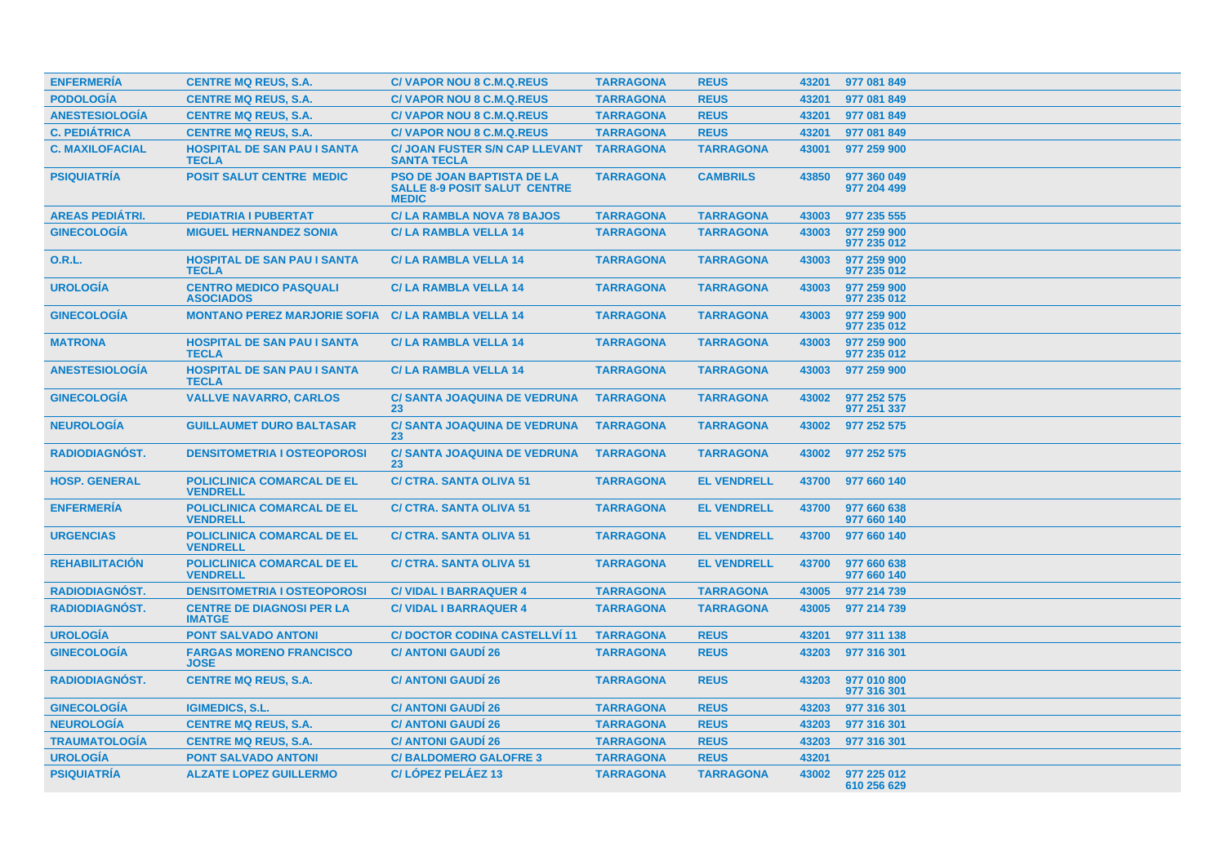| <b>ENFERMERÍA</b>      | <b>CENTRE MQ REUS, S.A.</b>                               | <b>C/VAPOR NOU 8 C.M.Q.REUS</b>                                                          | <b>TARRAGONA</b> | <b>REUS</b>        | 43201 | 977 081 849                |
|------------------------|-----------------------------------------------------------|------------------------------------------------------------------------------------------|------------------|--------------------|-------|----------------------------|
| <b>PODOLOGÍA</b>       | <b>CENTRE MQ REUS, S.A.</b>                               | <b>C/VAPOR NOU 8 C.M.Q.REUS</b>                                                          | <b>TARRAGONA</b> | <b>REUS</b>        | 43201 | 977 081 849                |
| <b>ANESTESIOLOGÍA</b>  | <b>CENTRE MQ REUS, S.A.</b>                               | <b>C/VAPOR NOU 8 C.M.Q.REUS</b>                                                          | <b>TARRAGONA</b> | <b>REUS</b>        | 43201 | 977 081 849                |
| <b>C. PEDIÁTRICA</b>   | <b>CENTRE MQ REUS, S.A.</b>                               | <b>C/VAPOR NOU 8 C.M.Q.REUS</b>                                                          | <b>TARRAGONA</b> | <b>REUS</b>        | 43201 | 977 081 849                |
| <b>C. MAXILOFACIAL</b> | <b>HOSPITAL DE SAN PAU I SANTA</b><br><b>TECLA</b>        | <b>C/ JOAN FUSTER S/N CAP LLEVANT</b><br><b>SANTA TECLA</b>                              | <b>TARRAGONA</b> | <b>TARRAGONA</b>   | 43001 | 977 259 900                |
| <b>PSIQUIATRIA</b>     | <b>POSIT SALUT CENTRE MEDIC</b>                           | <b>PSO DE JOAN BAPTISTA DE LA</b><br><b>SALLE 8-9 POSIT SALUT CENTRE</b><br><b>MEDIC</b> | <b>TARRAGONA</b> | <b>CAMBRILS</b>    | 43850 | 977 360 049<br>977 204 499 |
| <b>AREAS PEDIÁTRI.</b> | <b>PEDIATRIA I PUBERTAT</b>                               | <b>C/LA RAMBLA NOVA 78 BAJOS</b>                                                         | <b>TARRAGONA</b> | <b>TARRAGONA</b>   | 43003 | 977 235 555                |
| <b>GINECOLOGIA</b>     | <b>MIGUEL HERNANDEZ SONIA</b>                             | <b>C/LA RAMBLA VELLA 14</b>                                                              | <b>TARRAGONA</b> | <b>TARRAGONA</b>   | 43003 | 977 259 900<br>977 235 012 |
| <b>O.R.L.</b>          | <b>HOSPITAL DE SAN PAU I SANTA</b><br><b>TECLA</b>        | <b>C/LA RAMBLA VELLA 14</b>                                                              | <b>TARRAGONA</b> | <b>TARRAGONA</b>   | 43003 | 977 259 900<br>977 235 012 |
| <b>UROLOGÍA</b>        | <b>CENTRO MEDICO PASQUALI</b><br><b>ASOCIADOS</b>         | <b>C/LA RAMBLA VELLA 14</b>                                                              | <b>TARRAGONA</b> | <b>TARRAGONA</b>   | 43003 | 977 259 900<br>977 235 012 |
| <b>GINECOLOGIA</b>     | <b>MONTANO PEREZ MARJORIE SOFIA C/ LA RAMBLA VELLA 14</b> |                                                                                          | <b>TARRAGONA</b> | <b>TARRAGONA</b>   | 43003 | 977 259 900<br>977 235 012 |
| <b>MATRONA</b>         | <b>HOSPITAL DE SAN PAU I SANTA</b><br><b>TECLA</b>        | <b>C/LA RAMBLA VELLA 14</b>                                                              | <b>TARRAGONA</b> | <b>TARRAGONA</b>   | 43003 | 977 259 900<br>977 235 012 |
| <b>ANESTESIOLOGÍA</b>  | <b>HOSPITAL DE SAN PAU I SANTA</b><br><b>TECLA</b>        | <b>C/LA RAMBLA VELLA 14</b>                                                              | <b>TARRAGONA</b> | <b>TARRAGONA</b>   | 43003 | 977 259 900                |
| <b>GINECOLOGIA</b>     | <b>VALLVE NAVARRO, CARLOS</b>                             | <b>C/ SANTA JOAQUINA DE VEDRUNA</b><br>23                                                | <b>TARRAGONA</b> | <b>TARRAGONA</b>   | 43002 | 977 252 575<br>977 251 337 |
| <b>NEUROLOGÍA</b>      | <b>GUILLAUMET DURO BALTASAR</b>                           | <b>C/ SANTA JOAQUINA DE VEDRUNA</b><br>23                                                | <b>TARRAGONA</b> | <b>TARRAGONA</b>   | 43002 | 977 252 575                |
| <b>RADIODIAGNÓST.</b>  | <b>DENSITOMETRIA I OSTEOPOROSI</b>                        | <b>C/ SANTA JOAQUINA DE VEDRUNA</b><br>23                                                | <b>TARRAGONA</b> | <b>TARRAGONA</b>   | 43002 | 977 252 575                |
| <b>HOSP. GENERAL</b>   | <b>POLICLINICA COMARCAL DE EL</b><br><b>VENDRELL</b>      | <b>C/ CTRA, SANTA OLIVA 51</b>                                                           | <b>TARRAGONA</b> | <b>EL VENDRELL</b> | 43700 | 977 660 140                |
| <b>ENFERMERÍA</b>      | POLICLINICA COMARCAL DE EL<br><b>VENDRELL</b>             | <b>C/ CTRA. SANTA OLIVA 51</b>                                                           | <b>TARRAGONA</b> | <b>EL VENDRELL</b> | 43700 | 977 660 638<br>977 660 140 |
| <b>URGENCIAS</b>       | <b>POLICLINICA COMARCAL DE EL</b><br><b>VENDRELL</b>      | <b>C/ CTRA, SANTA OLIVA 51</b>                                                           | <b>TARRAGONA</b> | <b>EL VENDRELL</b> | 43700 | 977 660 140                |
| <b>REHABILITACION</b>  | <b>POLICLINICA COMARCAL DE EL</b><br><b>VENDRELL</b>      | <b>C/ CTRA. SANTA OLIVA 51</b>                                                           | <b>TARRAGONA</b> | <b>EL VENDRELL</b> | 43700 | 977 660 638<br>977 660 140 |
| <b>RADIODIAGNÓST.</b>  | <b>DENSITOMETRIA I OSTEOPOROSI</b>                        | <b>C/ VIDAL I BARRAQUER 4</b>                                                            | <b>TARRAGONA</b> | <b>TARRAGONA</b>   | 43005 | 977 214 739                |
| RADIODIAGNÓST.         | <b>CENTRE DE DIAGNOSI PER LA</b><br><b>IMATGE</b>         | <b>C/ VIDAL I BARRAQUER 4</b>                                                            | <b>TARRAGONA</b> | <b>TARRAGONA</b>   | 43005 | 977 214 739                |
| <b>UROLOGÍA</b>        | <b>PONT SALVADO ANTONI</b>                                | <b>C/DOCTOR CODINA CASTELLVI 11</b>                                                      | <b>TARRAGONA</b> | <b>REUS</b>        | 43201 | 977 311 138                |
| <b>GINECOLOGÍA</b>     | <b>FARGAS MORENO FRANCISCO</b><br><b>JOSE</b>             | <b>C/ ANTONI GAUDÍ 26</b>                                                                | <b>TARRAGONA</b> | <b>REUS</b>        | 43203 | 977 316 301                |
| RADIODIAGNÓST.         | <b>CENTRE MQ REUS, S.A.</b>                               | <b>C/ ANTONI GAUDI 26</b>                                                                | <b>TARRAGONA</b> | <b>REUS</b>        | 43203 | 977 010 800<br>977 316 301 |
| <b>GINECOLOGIA</b>     | <b>IGIMEDICS, S.L.</b>                                    | <b>C/ ANTONI GAUDI 26</b>                                                                | <b>TARRAGONA</b> | <b>REUS</b>        | 43203 | 977 316 301                |
| <b>NEUROLOGÍA</b>      | <b>CENTRE MQ REUS, S.A.</b>                               | <b>C/ ANTONI GAUDI 26</b>                                                                | <b>TARRAGONA</b> | <b>REUS</b>        | 43203 | 977 316 301                |
| <b>TRAUMATOLOGÍA</b>   | <b>CENTRE MQ REUS, S.A.</b>                               | <b>C/ ANTONI GAUDI 26</b>                                                                | <b>TARRAGONA</b> | <b>REUS</b>        | 43203 | 977 316 301                |
| <b>UROLOGÍA</b>        | <b>PONT SALVADO ANTONI</b>                                | <b>C/BALDOMERO GALOFRE 3</b>                                                             | <b>TARRAGONA</b> | <b>REUS</b>        | 43201 |                            |
| <b>PSIQUIATRÍA</b>     | <b>ALZATE LOPEZ GUILLERMO</b>                             | C/LÓPEZ PELÁEZ 13                                                                        | <b>TARRAGONA</b> | <b>TARRAGONA</b>   | 43002 | 977 225 012<br>610 256 629 |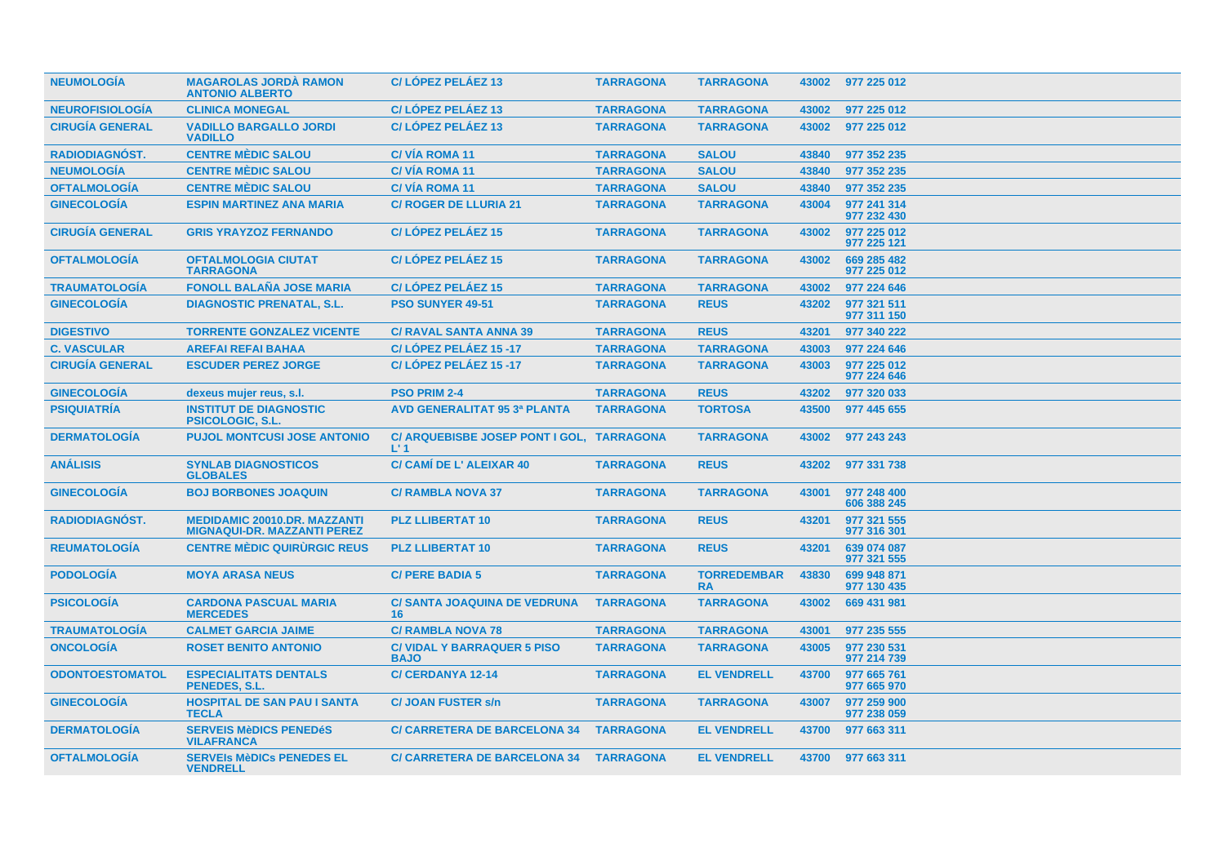| <b>NEUMOLOGÍA</b>      | <b>MAGAROLAS JORDA RAMON</b><br><b>ANTONIO ALBERTO</b>                    | C/LÓPEZ PELÁEZ 13                                           | <b>TARRAGONA</b> | <b>TARRAGONA</b>                |       | 43002 977 225 012          |
|------------------------|---------------------------------------------------------------------------|-------------------------------------------------------------|------------------|---------------------------------|-------|----------------------------|
| <b>NEUROFISIOLOGÍA</b> | <b>CLINICA MONEGAL</b>                                                    | C/LÓPEZ PELÁEZ 13                                           | <b>TARRAGONA</b> | <b>TARRAGONA</b>                | 43002 | 977 225 012                |
| <b>CIRUGÍA GENERAL</b> | <b>VADILLO BARGALLO JORDI</b><br><b>VADILLO</b>                           | C/LOPEZ PELAEZ 13                                           | <b>TARRAGONA</b> | <b>TARRAGONA</b>                | 43002 | 977 225 012                |
| <b>RADIODIAGNOST.</b>  | <b>CENTRE MEDIC SALOU</b>                                                 | <b>C/VIA ROMA 11</b>                                        | <b>TARRAGONA</b> | <b>SALOU</b>                    | 43840 | 977 352 235                |
| <b>NEUMOLOGÍA</b>      | <b>CENTRE MEDIC SALOU</b>                                                 | <b>C/VIA ROMA 11</b>                                        | <b>TARRAGONA</b> | <b>SALOU</b>                    | 43840 | 977 352 235                |
| <b>OFTALMOLOGÍA</b>    | <b>CENTRE MÉDIC SALOU</b>                                                 | <b>C/VIA ROMA 11</b>                                        | <b>TARRAGONA</b> | <b>SALOU</b>                    | 43840 | 977 352 235                |
| <b>GINECOLOGÍA</b>     | <b>ESPIN MARTINEZ ANA MARIA</b>                                           | <b>C/ ROGER DE LLURIA 21</b>                                | <b>TARRAGONA</b> | <b>TARRAGONA</b>                | 43004 | 977 241 314<br>977 232 430 |
| <b>CIRUGIA GENERAL</b> | <b>GRIS YRAYZOZ FERNANDO</b>                                              | <b>C/LOPEZ PELAEZ 15</b>                                    | <b>TARRAGONA</b> | <b>TARRAGONA</b>                | 43002 | 977 225 012<br>977 225 121 |
| <b>OFTALMOLOGIA</b>    | <b>OFTALMOLOGIA CIUTAT</b><br><b>TARRAGONA</b>                            | <b>C/LOPEZ PELAEZ 15</b>                                    | <b>TARRAGONA</b> | <b>TARRAGONA</b>                | 43002 | 669 285 482<br>977 225 012 |
| <b>TRAUMATOLOGIA</b>   | <b>FONOLL BALAÑA JOSE MARIA</b>                                           | <b>C/LOPEZ PELAEZ 15</b>                                    | <b>TARRAGONA</b> | <b>TARRAGONA</b>                | 43002 | 977 224 646                |
| <b>GINECOLOGÍA</b>     | <b>DIAGNOSTIC PRENATAL, S.L.</b>                                          | <b>PSO SUNYER 49-51</b>                                     | <b>TARRAGONA</b> | <b>REUS</b>                     | 43202 | 977 321 511<br>977 311 150 |
| <b>DIGESTIVO</b>       | <b>TORRENTE GONZALEZ VICENTE</b>                                          | <b>C/ RAVAL SANTA ANNA 39</b>                               | <b>TARRAGONA</b> | <b>REUS</b>                     | 43201 | 977 340 222                |
| <b>C. VASCULAR</b>     | <b>AREFAI REFAI BAHAA</b>                                                 | C/LÓPEZ PELÁEZ 15 -17                                       | <b>TARRAGONA</b> | <b>TARRAGONA</b>                | 43003 | 977 224 646                |
| <b>CIRUGÍA GENERAL</b> | <b>ESCUDER PEREZ JORGE</b>                                                | C/LÓPEZ PELÁEZ 15 -17                                       | <b>TARRAGONA</b> | <b>TARRAGONA</b>                | 43003 | 977 225 012<br>977 224 646 |
| <b>GINECOLOGÍA</b>     | dexeus mujer reus, s.l.                                                   | <b>PSO PRIM 2-4</b>                                         | <b>TARRAGONA</b> | <b>REUS</b>                     | 43202 | 977 320 033                |
| <b>PSIQUIATRÍA</b>     | <b>INSTITUT DE DIAGNOSTIC</b><br><b>PSICOLOGIC, S.L.</b>                  | <b>AVD GENERALITAT 95 3ª PLANTA</b>                         | <b>TARRAGONA</b> | <b>TORTOSA</b>                  | 43500 | 977 445 655                |
| <b>DERMATOLOGÍA</b>    | <b>PUJOL MONTCUSI JOSE ANTONIO</b>                                        | C/ ARQUEBISBE JOSEP PONT I GOL, TARRAGONA<br>L <sup>1</sup> |                  | <b>TARRAGONA</b>                | 43002 | 977 243 243                |
| <b>ANÁLISIS</b>        | <b>SYNLAB DIAGNOSTICOS</b><br><b>GLOBALES</b>                             | C/ CAMI DE L' ALEIXAR 40                                    | <b>TARRAGONA</b> | <b>REUS</b>                     | 43202 | 977 331 738                |
| <b>GINECOLOGÍA</b>     | <b>BOJ BORBONES JOAQUIN</b>                                               | <b>C/ RAMBLA NOVA 37</b>                                    | <b>TARRAGONA</b> | <b>TARRAGONA</b>                | 43001 | 977 248 400<br>606 388 245 |
| <b>RADIODIAGNOST.</b>  | <b>MEDIDAMIC 20010.DR. MAZZANTI</b><br><b>MIGNAQUI-DR. MAZZANTI PEREZ</b> | <b>PLZ LLIBERTAT 10</b>                                     | <b>TARRAGONA</b> | <b>REUS</b>                     | 43201 | 977 321 555<br>977 316 301 |
| <b>REUMATOLOGIA</b>    | <b>CENTRE MÉDIC QUIRURGIC REUS</b>                                        | <b>PLZ LLIBERTAT 10</b>                                     | <b>TARRAGONA</b> | <b>REUS</b>                     | 43201 | 639 074 087<br>977 321 555 |
| <b>PODOLOGIA</b>       | <b>MOYA ARASA NEUS</b>                                                    | <b>C/ PERE BADIA 5</b>                                      | <b>TARRAGONA</b> | <b>TORREDEMBAR</b><br><b>RA</b> | 43830 | 699 948 871<br>977 130 435 |
| <b>PSICOLOGIA</b>      | <b>CARDONA PASCUAL MARIA</b><br><b>MERCEDES</b>                           | <b>C/ SANTA JOAQUINA DE VEDRUNA</b><br>16                   | <b>TARRAGONA</b> | <b>TARRAGONA</b>                | 43002 | 669 431 981                |
| <b>TRAUMATOLOGÍA</b>   | <b>CALMET GARCIA JAIME</b>                                                | <b>C/ RAMBLA NOVA 78</b>                                    | <b>TARRAGONA</b> | <b>TARRAGONA</b>                | 43001 | 977 235 555                |
| <b>ONCOLOGÍA</b>       | <b>ROSET BENITO ANTONIO</b>                                               | <b>C/ VIDAL Y BARRAQUER 5 PISO</b><br><b>BAJO</b>           | <b>TARRAGONA</b> | <b>TARRAGONA</b>                | 43005 | 977 230 531<br>977 214 739 |
| <b>ODONTOESTOMATOL</b> | <b>ESPECIALITATS DENTALS</b><br>PENEDES, S.L.                             | <b>C/CERDANYA 12-14</b>                                     | <b>TARRAGONA</b> | <b>EL VENDRELL</b>              | 43700 | 977 665 761<br>977 665 970 |
| <b>GINECOLOGIA</b>     | <b>HOSPITAL DE SAN PAU I SANTA</b><br><b>TECLA</b>                        | <b>C/JOAN FUSTER s/n</b>                                    | <b>TARRAGONA</b> | <b>TARRAGONA</b>                | 43007 | 977 259 900<br>977 238 059 |
| <b>DERMATOLOGIA</b>    | <b>SERVEIS MèDICS PENEDÉS</b><br><b>VILAFRANCA</b>                        | <b>C/ CARRETERA DE BARCELONA 34</b>                         | <b>TARRAGONA</b> | <b>EL VENDRELL</b>              | 43700 | 977 663 311                |
| <b>OFTALMOLOGIA</b>    | <b>SERVEIS MèDICS PENEDES EL</b><br><b>VENDRELL</b>                       | <b>C/ CARRETERA DE BARCELONA 34</b>                         | <b>TARRAGONA</b> | <b>EL VENDRELL</b>              | 43700 | 977 663 311                |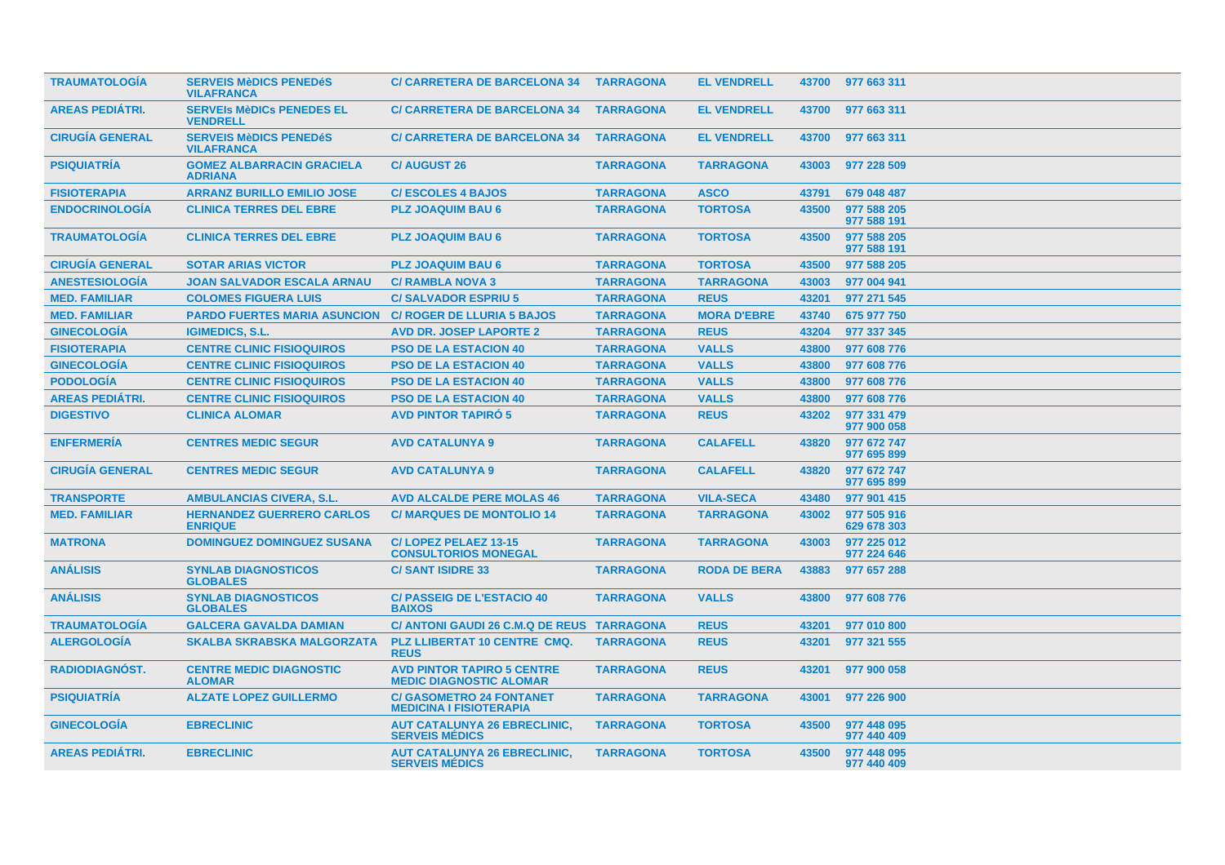| <b>TRAUMATOLOGIA</b>   | <b>SERVEIS MèDICS PENEDéS</b><br><b>VILAFRANCA</b>             | <b>C/ CARRETERA DE BARCELONA 34</b>                                 | <b>TARRAGONA</b> | <b>EL VENDRELL</b>  |       | 43700 977 663 311          |
|------------------------|----------------------------------------------------------------|---------------------------------------------------------------------|------------------|---------------------|-------|----------------------------|
| <b>AREAS PEDIÁTRI.</b> | <b>SERVEIS MèDICS PENEDES EL</b><br><b>VENDRELL</b>            | <b>C/ CARRETERA DE BARCELONA 34</b>                                 | <b>TARRAGONA</b> | <b>EL VENDRELL</b>  | 43700 | 977 663 311                |
| <b>CIRUGÍA GENERAL</b> | <b>SERVEIS MèDICS PENEDéS</b><br><b>VILAFRANCA</b>             | <b>C/ CARRETERA DE BARCELONA 34</b>                                 | <b>TARRAGONA</b> | <b>EL VENDRELL</b>  | 43700 | 977 663 311                |
| <b>PSIQUIATRÍA</b>     | <b>GOMEZ ALBARRACIN GRACIELA</b><br><b>ADRIANA</b>             | <b>C/AUGUST 26</b>                                                  | <b>TARRAGONA</b> | <b>TARRAGONA</b>    | 43003 | 977 228 509                |
| <b>FISIOTERAPIA</b>    | <b>ARRANZ BURILLO EMILIO JOSE</b>                              | <b>C/ESCOLES 4 BAJOS</b>                                            | <b>TARRAGONA</b> | <b>ASCO</b>         | 43791 | 679 048 487                |
| <b>ENDOCRINOLOGIA</b>  | <b>CLINICA TERRES DEL EBRE</b>                                 | <b>PLZ JOAQUIM BAU 6</b>                                            | <b>TARRAGONA</b> | <b>TORTOSA</b>      | 43500 | 977 588 205<br>977 588 191 |
| <b>TRAUMATOLOGÍA</b>   | <b>CLINICA TERRES DEL EBRE</b>                                 | <b>PLZ JOAQUIM BAU 6</b>                                            | <b>TARRAGONA</b> | <b>TORTOSA</b>      | 43500 | 977 588 205<br>977 588 191 |
| <b>CIRUGÍA GENERAL</b> | <b>SOTAR ARIAS VICTOR</b>                                      | <b>PLZ JOAQUIM BAU 6</b>                                            | <b>TARRAGONA</b> | <b>TORTOSA</b>      | 43500 | 977 588 205                |
| <b>ANESTESIOLOGÍA</b>  | <b>JOAN SALVADOR ESCALA ARNAU</b>                              | <b>C/ RAMBLA NOVA 3</b>                                             | <b>TARRAGONA</b> | <b>TARRAGONA</b>    | 43003 | 977 004 941                |
| <b>MED. FAMILIAR</b>   | <b>COLOMES FIGUERA LUIS</b>                                    | <b>C/SALVADOR ESPRIU 5</b>                                          | <b>TARRAGONA</b> | <b>REUS</b>         | 43201 | 977 271 545                |
| <b>MED. FAMILIAR</b>   | <b>PARDO FUERTES MARIA ASUNCION C/ ROGER DE LLURIA 5 BAJOS</b> |                                                                     | <b>TARRAGONA</b> | <b>MORA D'EBRE</b>  | 43740 | 675 977 750                |
| <b>GINECOLOGÍA</b>     | <b>IGIMEDICS, S.L.</b>                                         | <b>AVD DR. JOSEP LAPORTE 2</b>                                      | <b>TARRAGONA</b> | <b>REUS</b>         | 43204 | 977 337 345                |
| <b>FISIOTERAPIA</b>    | <b>CENTRE CLINIC FISIOQUIROS</b>                               | <b>PSO DE LA ESTACION 40</b>                                        | <b>TARRAGONA</b> | <b>VALLS</b>        | 43800 | 977 608 776                |
| <b>GINECOLOGÍA</b>     | <b>CENTRE CLINIC FISIOQUIROS</b>                               | <b>PSO DE LA ESTACION 40</b>                                        | <b>TARRAGONA</b> | <b>VALLS</b>        | 43800 | 977 608 776                |
| <b>PODOLOGÍA</b>       | <b>CENTRE CLINIC FISIOQUIROS</b>                               | <b>PSO DE LA ESTACION 40</b>                                        | <b>TARRAGONA</b> | <b>VALLS</b>        | 43800 | 977 608 776                |
| <b>AREAS PEDIÁTRI.</b> | <b>CENTRE CLINIC FISIOQUIROS</b>                               | <b>PSO DE LA ESTACION 40</b>                                        | <b>TARRAGONA</b> | <b>VALLS</b>        | 43800 | 977 608 776                |
| <b>DIGESTIVO</b>       | <b>CLINICA ALOMAR</b>                                          | <b>AVD PINTOR TAPIRO 5</b>                                          | <b>TARRAGONA</b> | <b>REUS</b>         | 43202 | 977 331 479<br>977 900 058 |
| <b>ENFERMERÍA</b>      | <b>CENTRES MEDIC SEGUR</b>                                     | <b>AVD CATALUNYA 9</b>                                              | <b>TARRAGONA</b> | <b>CALAFELL</b>     | 43820 | 977 672 747<br>977 695 899 |
| <b>CIRUGÍA GENERAL</b> | <b>CENTRES MEDIC SEGUR</b>                                     | <b>AVD CATALUNYA 9</b>                                              | <b>TARRAGONA</b> | <b>CALAFELL</b>     | 43820 | 977 672 747<br>977 695 899 |
| <b>TRANSPORTE</b>      | <b>AMBULANCIAS CIVERA, S.L.</b>                                | <b>AVD ALCALDE PERE MOLAS 46</b>                                    | <b>TARRAGONA</b> | <b>VILA-SECA</b>    | 43480 | 977 901 415                |
| <b>MED. FAMILIAR</b>   | <b>HERNANDEZ GUERRERO CARLOS</b><br><b>ENRIQUE</b>             | <b>C/ MARQUES DE MONTOLIO 14</b>                                    | <b>TARRAGONA</b> | <b>TARRAGONA</b>    | 43002 | 977 505 916<br>629 678 303 |
| <b>MATRONA</b>         | <b>DOMINGUEZ DOMINGUEZ SUSANA</b>                              | C/LOPEZ PELAEZ 13-15<br><b>CONSULTORIOS MONEGAL</b>                 | <b>TARRAGONA</b> | <b>TARRAGONA</b>    | 43003 | 977 225 012<br>977 224 646 |
| <b>ANÁLISIS</b>        | <b>SYNLAB DIAGNOSTICOS</b><br><b>GLOBALES</b>                  | <b>C/SANT ISIDRE 33</b>                                             | <b>TARRAGONA</b> | <b>RODA DE BERA</b> | 43883 | 977 657 288                |
| <b>ANÁLISIS</b>        | <b>SYNLAB DIAGNOSTICOS</b><br><b>GLOBALES</b>                  | <b>C/ PASSEIG DE L'ESTACIO 40</b><br><b>BAIXOS</b>                  | <b>TARRAGONA</b> | <b>VALLS</b>        | 43800 | 977 608 776                |
| <b>TRAUMATOLOGÍA</b>   | <b>GALCERA GAVALDA DAMIAN</b>                                  | C/ ANTONI GAUDI 26 C.M.Q DE REUS TARRAGONA                          |                  | <b>REUS</b>         | 43201 | 977 010 800                |
| <b>ALERGOLOGÍA</b>     | <b>SKALBA SKRABSKA MALGORZATA</b>                              | PLZ LLIBERTAT 10 CENTRE CMQ.<br><b>REUS</b>                         | <b>TARRAGONA</b> | <b>REUS</b>         | 43201 | 977 321 555                |
| RADIODIAGNÓST.         | <b>CENTRE MEDIC DIAGNOSTIC</b><br><b>ALOMAR</b>                | <b>AVD PINTOR TAPIRO 5 CENTRE</b><br><b>MEDIC DIAGNOSTIC ALOMAR</b> | <b>TARRAGONA</b> | <b>REUS</b>         | 43201 | 977 900 058                |
| <b>PSIQUIATRIA</b>     | <b>ALZATE LOPEZ GUILLERMO</b>                                  | <b>C/ GASOMETRO 24 FONTANET</b><br><b>MEDICINA I FISIOTERAPIA</b>   | <b>TARRAGONA</b> | <b>TARRAGONA</b>    | 43001 | 977 226 900                |
| <b>GINECOLOGÍA</b>     | <b>EBRECLINIC</b>                                              | <b>AUT CATALUNYA 26 EBRECLINIC.</b><br><b>SERVEIS MÉDICS</b>        | <b>TARRAGONA</b> | <b>TORTOSA</b>      | 43500 | 977 448 095<br>977 440 409 |
| <b>AREAS PEDIÁTRI.</b> | <b>EBRECLINIC</b>                                              | <b>AUT CATALUNYA 26 EBRECLINIC,</b><br><b>SERVEIS MÉDICS</b>        | <b>TARRAGONA</b> | <b>TORTOSA</b>      | 43500 | 977 448 095<br>977 440 409 |
|                        |                                                                |                                                                     |                  |                     |       |                            |